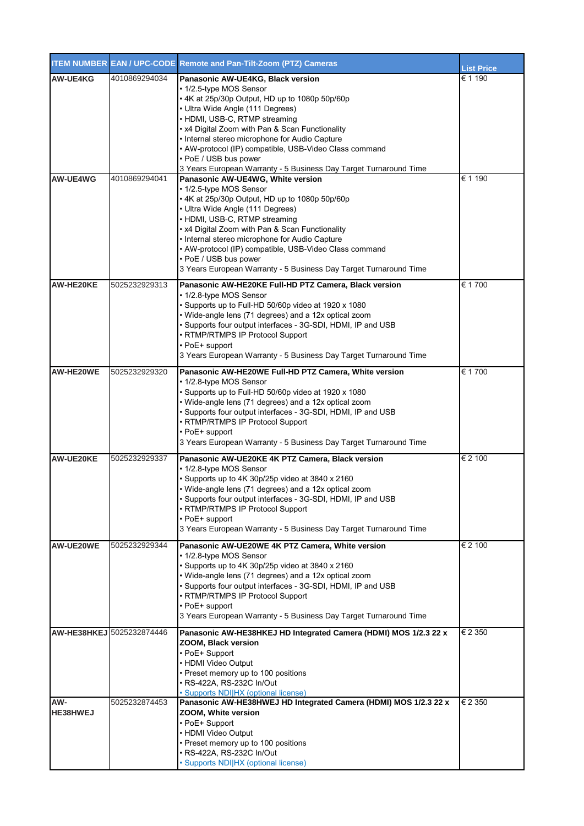|                           |               | <b>ITEM NUMBER EAN / UPC-CODE Remote and Pan-Tilt-Zoom (PTZ) Cameras</b>                                                                                                                                                                                                                                                                                                                                                                         | <b>List Price</b> |
|---------------------------|---------------|--------------------------------------------------------------------------------------------------------------------------------------------------------------------------------------------------------------------------------------------------------------------------------------------------------------------------------------------------------------------------------------------------------------------------------------------------|-------------------|
| <b>AW-UE4KG</b>           | 4010869294034 | Panasonic AW-UE4KG, Black version<br>• 1/2.5-type MOS Sensor<br>• 4K at 25p/30p Output, HD up to 1080p 50p/60p<br>• Ultra Wide Angle (111 Degrees)<br>• HDMI, USB-C, RTMP streaming<br>• x4 Digital Zoom with Pan & Scan Functionality<br>• Internal stereo microphone for Audio Capture<br>• AW-protocol (IP) compatible, USB-Video Class command<br>• PoE / USB bus power<br>3 Years European Warranty - 5 Business Day Target Turnaround Time | € 1 190           |
| <b>AW-UE4WG</b>           | 4010869294041 | Panasonic AW-UE4WG, White version<br>• 1/2.5-type MOS Sensor<br>• 4K at 25p/30p Output, HD up to 1080p 50p/60p<br>• Ultra Wide Angle (111 Degrees)<br>• HDMI, USB-C, RTMP streaming<br>• x4 Digital Zoom with Pan & Scan Functionality<br>• Internal stereo microphone for Audio Capture<br>• AW-protocol (IP) compatible, USB-Video Class command<br>• PoE / USB bus power<br>3 Years European Warranty - 5 Business Day Target Turnaround Time | € 1 190           |
| AW-HE20KE                 | 5025232929313 | Panasonic AW-HE20KE Full-HD PTZ Camera, Black version<br>• 1/2.8-type MOS Sensor<br>• Supports up to Full-HD 50/60p video at 1920 x 1080<br>• Wide-angle lens (71 degrees) and a 12x optical zoom<br>· Supports four output interfaces - 3G-SDI, HDMI, IP and USB<br>· RTMP/RTMPS IP Protocol Support<br>• PoE+ support<br>3 Years European Warranty - 5 Business Day Target Turnaround Time                                                     | € 1 700           |
| AW-HE20WE                 | 5025232929320 | Panasonic AW-HE20WE Full-HD PTZ Camera, White version<br>• 1/2.8-type MOS Sensor<br>• Supports up to Full-HD 50/60p video at 1920 x 1080<br>• Wide-angle lens (71 degrees) and a 12x optical zoom<br>· Supports four output interfaces - 3G-SDI, HDMI, IP and USB<br>· RTMP/RTMPS IP Protocol Support<br>• PoE+ support<br>3 Years European Warranty - 5 Business Day Target Turnaround Time                                                     | € 1 700           |
| AW-UE20KE                 | 5025232929337 | Panasonic AW-UE20KE 4K PTZ Camera, Black version<br>• 1/2.8-type MOS Sensor<br>· Supports up to 4K 30p/25p video at 3840 x 2160<br>• Wide-angle lens (71 degrees) and a 12x optical zoom<br>Supports four output interfaces - 3G-SDI, HDMI, IP and USB<br>· RTMP/RTMPS IP Protocol Support<br>• PoE+ support<br>3 Years European Warranty - 5 Business Day Target Turnaround Time                                                                | € 2 100           |
| AW-UE20WE                 | 5025232929344 | Panasonic AW-UE20WE 4K PTZ Camera, White version<br>• 1/2.8-type MOS Sensor<br>· Supports up to 4K 30p/25p video at 3840 x 2160<br>• Wide-angle lens (71 degrees) and a 12x optical zoom<br>· Supports four output interfaces - 3G-SDI, HDMI, IP and USB<br>· RTMP/RTMPS IP Protocol Support<br>• PoE+ support<br>3 Years European Warranty - 5 Business Day Target Turnaround Time                                                              | € 2 100           |
| AW-HE38HKEJ 5025232874446 |               | Panasonic AW-HE38HKEJ HD Integrated Camera (HDMI) MOS 1/2.3 22 x<br>ZOOM, Black version<br>• PoE+ Support<br>• HDMI Video Output<br>• Preset memory up to 100 positions<br>· RS-422A, RS-232C In/Out<br>· Supports NDI HX (optional license)                                                                                                                                                                                                     | € 2 350           |
| AW-<br>HE38HWEJ           | 5025232874453 | Panasonic AW-HE38HWEJ HD Integrated Camera (HDMI) MOS 1/2.3 22 x<br>ZOOM, White version<br>• PoE+ Support<br>• HDMI Video Output<br>• Preset memory up to 100 positions<br>• RS-422A, RS-232C In/Out<br>• Supports NDI HX (optional license)                                                                                                                                                                                                     | € 2 350           |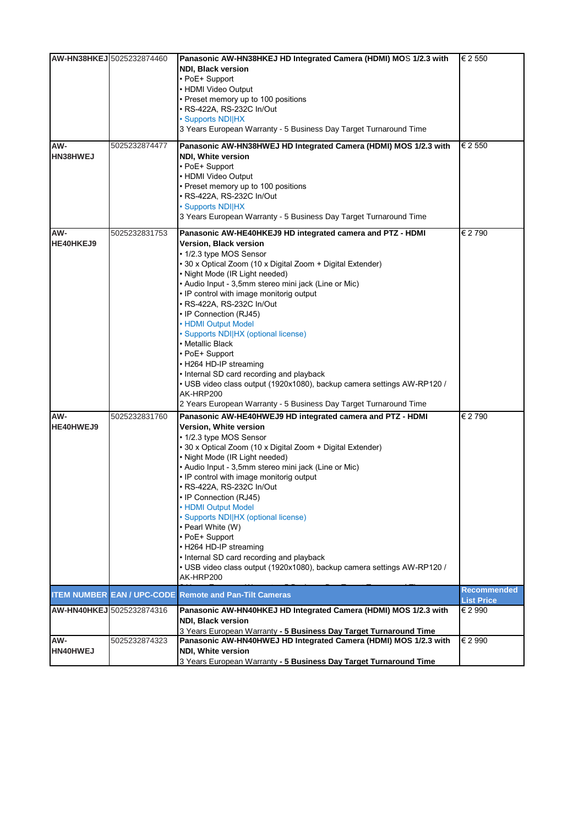| AW-HN38HKEJ 5025232874460 |               | Panasonic AW-HN38HKEJ HD Integrated Camera (HDMI) MOS 1/2.3 with<br><b>NDI, Black version</b><br>• PoE+ Support<br>• HDMI Video Output<br>• Preset memory up to 100 positions<br>• RS-422A, RS-232C In/Out<br><b>Supports NDI HX</b><br>3 Years European Warranty - 5 Business Day Target Turnaround Time                                                                                                                                                                                                                                                                                                                                                                                                           | € 2 550                                 |
|---------------------------|---------------|---------------------------------------------------------------------------------------------------------------------------------------------------------------------------------------------------------------------------------------------------------------------------------------------------------------------------------------------------------------------------------------------------------------------------------------------------------------------------------------------------------------------------------------------------------------------------------------------------------------------------------------------------------------------------------------------------------------------|-----------------------------------------|
| -WA<br>HN38HWEJ           | 5025232874477 | Panasonic AW-HN38HWEJ HD Integrated Camera (HDMI) MOS 1/2.3 with<br>NDI, White version<br>• PoE+ Support<br>• HDMI Video Output<br>• Preset memory up to 100 positions<br>· RS-422A, RS-232C In/Out<br>· Supports NDI HX<br>3 Years European Warranty - 5 Business Day Target Turnaround Time                                                                                                                                                                                                                                                                                                                                                                                                                       | € 2 550                                 |
| AW-<br><b>HE40HKEJ9</b>   | 5025232831753 | Panasonic AW-HE40HKEJ9 HD integrated camera and PTZ - HDMI<br>Version, Black version<br>• 1/2.3 type MOS Sensor<br>• 30 x Optical Zoom (10 x Digital Zoom + Digital Extender)<br>• Night Mode (IR Light needed)<br>• Audio Input - 3,5mm stereo mini jack (Line or Mic)<br>. IP control with image monitorig output<br>• RS-422A, RS-232C In/Out<br>• IP Connection (RJ45)<br>• HDMI Output Model<br>• Supports NDI HX (optional license)<br>• Metallic Black<br>• PoE+ Support<br>• H264 HD-IP streaming<br>• Internal SD card recording and playback<br>• USB video class output (1920x1080), backup camera settings AW-RP120 /<br>AK-HRP200<br>2 Years European Warranty - 5 Business Day Target Turnaround Time | € 2 790                                 |
| -WA<br>HE40HWEJ9          | 5025232831760 | Panasonic AW-HE40HWEJ9 HD integrated camera and PTZ - HDMI<br>Version, White version<br>• 1/2.3 type MOS Sensor<br>• 30 x Optical Zoom (10 x Digital Zoom + Digital Extender)<br>• Night Mode (IR Light needed)<br>· Audio Input - 3,5mm stereo mini jack (Line or Mic)<br>• IP control with image monitorig output<br>· RS-422A. RS-232C In/Out<br>• IP Connection (RJ45)<br>• HDMI Output Model<br>• Supports NDI HX (optional license)<br>• Pearl White (W)<br>• PoE+ Support<br>• H264 HD-IP streaming<br>• Internal SD card recording and playback<br>• USB video class output (1920x1080), backup camera settings AW-RP120 /<br>AK-HRP200                                                                     | € 2790                                  |
|                           |               | <b>ITEM NUMBER EAN / UPC-CODE Remote and Pan-Tilt Cameras</b>                                                                                                                                                                                                                                                                                                                                                                                                                                                                                                                                                                                                                                                       | <b>Recommended</b><br><b>List Price</b> |
| AW-HN40HKEJ 5025232874316 |               | Panasonic AW-HN40HKEJ HD Integrated Camera (HDMI) MOS 1/2.3 with<br>NDI, Black version<br>3 Years European Warranty - 5 Business Day Target Turnaround Time                                                                                                                                                                                                                                                                                                                                                                                                                                                                                                                                                         | € 2 990                                 |
| AW-<br>HN40HWEJ           | 5025232874323 | Panasonic AW-HN40HWEJ HD Integrated Camera (HDMI) MOS 1/2.3 with<br><b>NDI, White version</b><br>3 Years European Warranty - 5 Business Day Target Turnaround Time                                                                                                                                                                                                                                                                                                                                                                                                                                                                                                                                                  | € 2 990                                 |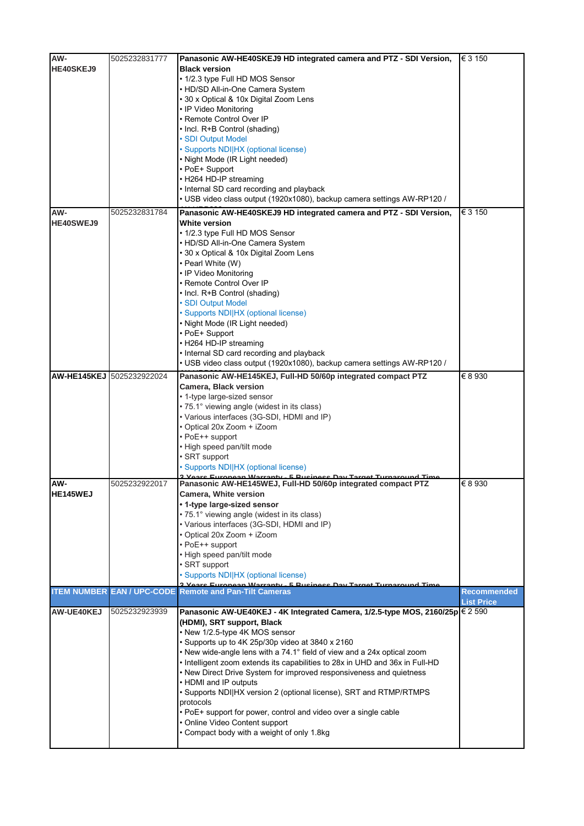| AW-        | 5025232831777                     |                                                                               | € 3 150           |
|------------|-----------------------------------|-------------------------------------------------------------------------------|-------------------|
|            |                                   | Panasonic AW-HE40SKEJ9 HD integrated camera and PTZ - SDI Version,            |                   |
| HE40SKEJ9  |                                   | <b>Black version</b>                                                          |                   |
|            |                                   | • 1/2.3 type Full HD MOS Sensor                                               |                   |
|            |                                   | • HD/SD All-in-One Camera System                                              |                   |
|            |                                   | • 30 x Optical & 10x Digital Zoom Lens                                        |                   |
|            |                                   | • IP Video Monitoring                                                         |                   |
|            |                                   |                                                                               |                   |
|            |                                   | • Remote Control Over IP                                                      |                   |
|            |                                   | • Incl. R+B Control (shading)                                                 |                   |
|            |                                   | · SDI Output Model                                                            |                   |
|            |                                   | • Supports NDI HX (optional license)                                          |                   |
|            |                                   | • Night Mode (IR Light needed)                                                |                   |
|            |                                   | • PoE+ Support                                                                |                   |
|            |                                   |                                                                               |                   |
|            |                                   | • H264 HD-IP streaming                                                        |                   |
|            |                                   | • Internal SD card recording and playback                                     |                   |
|            |                                   | • USB video class output (1920x1080), backup camera settings AW-RP120 /       |                   |
|            |                                   |                                                                               |                   |
| AW-        | 5025232831784                     | Panasonic AW-HE40SKEJ9 HD integrated camera and PTZ - SDI Version,            | € 3 150           |
| HE40SWEJ9  |                                   | White version                                                                 |                   |
|            |                                   | • 1/2.3 type Full HD MOS Sensor                                               |                   |
|            |                                   | • HD/SD All-in-One Camera System                                              |                   |
|            |                                   | • 30 x Optical & 10x Digital Zoom Lens                                        |                   |
|            |                                   |                                                                               |                   |
|            |                                   | • Pearl White (W)                                                             |                   |
|            |                                   | • IP Video Monitoring                                                         |                   |
|            |                                   | • Remote Control Over IP                                                      |                   |
|            |                                   | • Incl. R+B Control (shading)                                                 |                   |
|            |                                   | · SDI Output Model                                                            |                   |
|            |                                   |                                                                               |                   |
|            |                                   | • Supports NDI HX (optional license)                                          |                   |
|            |                                   | • Night Mode (IR Light needed)                                                |                   |
|            |                                   | • PoE+ Support                                                                |                   |
|            |                                   | • H264 HD-IP streaming                                                        |                   |
|            |                                   | • Internal SD card recording and playback                                     |                   |
|            |                                   | • USB video class output (1920x1080), backup camera settings AW-RP120 /       |                   |
|            |                                   |                                                                               |                   |
|            | AW-HE145KEJ 5025232922024         | Panasonic AW-HE145KEJ, Full-HD 50/60p integrated compact PTZ                  | € 8 930           |
|            |                                   | Camera, Black version                                                         |                   |
|            |                                   | • 1-type large-sized sensor                                                   |                   |
|            |                                   | • 75.1° viewing angle (widest in its class)                                   |                   |
|            |                                   |                                                                               |                   |
|            |                                   | • Various interfaces (3G-SDI, HDMI and IP)                                    |                   |
|            |                                   | · Optical 20x Zoom + iZoom                                                    |                   |
|            |                                   | • PoE++ support                                                               |                   |
|            |                                   | • High speed pan/tilt mode                                                    |                   |
|            |                                   | · SRT support                                                                 |                   |
|            |                                   |                                                                               |                   |
|            |                                   | • Supports NDI HX (optional license)                                          |                   |
|            |                                   | <u> 2 Vaare Europaan Warranty - 5 Rusinges Day Target Turnaround Time</u>     |                   |
| AW-        | 5025232922017                     | Panasonic AW-HE145WEJ, Full-HD 50/60p integrated compact PTZ                  | € 8 930           |
| HE145WEJ   |                                   | Camera, White version                                                         |                   |
|            |                                   | • 1-type large-sized sensor                                                   |                   |
|            |                                   | • 75.1° viewing angle (widest in its class)                                   |                   |
|            |                                   | • Various interfaces (3G-SDI, HDMI and IP)                                    |                   |
|            |                                   | · Optical 20x Zoom + iZoom                                                    |                   |
|            |                                   |                                                                               |                   |
|            |                                   | • PoE++ support                                                               |                   |
|            |                                   | • High speed pan/tilt mode                                                    |                   |
|            |                                   | · SRT support                                                                 |                   |
|            |                                   | • Supports NDI HX (optional license)                                          |                   |
|            |                                   | <u> 3 Voars Furonoan Warranty - 5 Rusinoss Day Target Turnaround Time</u>     |                   |
|            | <b>ITEM NUMBER EAN / UPC-CODE</b> | <b>Remote and Pan-Tilt Cameras</b>                                            | Recommended       |
|            |                                   |                                                                               | <b>List Price</b> |
| AW-UE40KEJ | 5025232923939                     | Panasonic AW-UE40KEJ - 4K Integrated Camera, 1/2.5-type MOS, 2160/25p € 2 590 |                   |
|            |                                   |                                                                               |                   |
|            |                                   | (HDMI), SRT support, Black                                                    |                   |
|            |                                   | • New 1/2.5-type 4K MOS sensor                                                |                   |
|            |                                   | · Supports up to 4K 25p/30p video at 3840 x 2160                              |                   |
|            |                                   | • New wide-angle lens with a 74.1° field of view and a 24x optical zoom       |                   |
|            |                                   | • Intelligent zoom extends its capabilities to 28x in UHD and 36x in Full-HD  |                   |
|            |                                   |                                                                               |                   |
|            |                                   | • New Direct Drive System for improved responsiveness and quietness           |                   |
|            |                                   | • HDMI and IP outputs                                                         |                   |
|            |                                   | • Supports NDI HX version 2 (optional license), SRT and RTMP/RTMPS            |                   |
|            |                                   | protocols                                                                     |                   |
|            |                                   | • PoE+ support for power, control and video over a single cable               |                   |
|            |                                   | • Online Video Content support                                                |                   |
|            |                                   |                                                                               |                   |
|            |                                   | • Compact body with a weight of only 1.8kg                                    |                   |
|            |                                   |                                                                               |                   |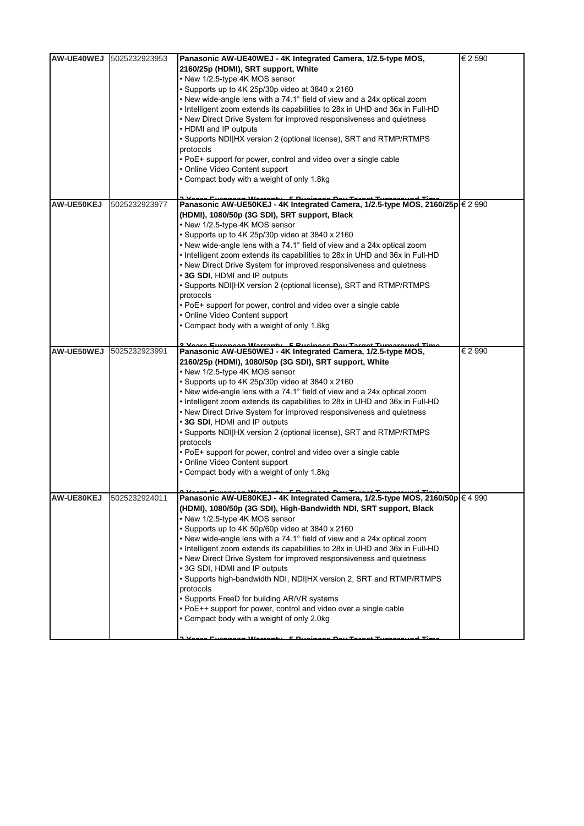|            | AW-UE40WEJ 5025232923953 | Panasonic AW-UE40WEJ - 4K Integrated Camera, 1/2.5-type MOS,                  | € 2 590 |
|------------|--------------------------|-------------------------------------------------------------------------------|---------|
|            |                          | 2160/25p (HDMI), SRT support, White                                           |         |
|            |                          | • New 1/2.5-type 4K MOS sensor                                                |         |
|            |                          |                                                                               |         |
|            |                          | • Supports up to 4K 25p/30p video at 3840 x 2160                              |         |
|            |                          | • New wide-angle lens with a 74.1° field of view and a 24x optical zoom       |         |
|            |                          | • Intelligent zoom extends its capabilities to 28x in UHD and 36x in Full-HD  |         |
|            |                          | • New Direct Drive System for improved responsiveness and quietness           |         |
|            |                          | • HDMI and IP outputs                                                         |         |
|            |                          | • Supports NDI HX version 2 (optional license), SRT and RTMP/RTMPS            |         |
|            |                          | protocols                                                                     |         |
|            |                          |                                                                               |         |
|            |                          | • PoE+ support for power, control and video over a single cable               |         |
|            |                          | • Online Video Content support                                                |         |
|            |                          | • Compact body with a weight of only 1.8kg                                    |         |
|            |                          |                                                                               |         |
|            |                          |                                                                               |         |
| AW-UE50KEJ | 5025232923977            | Panasonic AW-UE50KEJ - 4K Integrated Camera, 1/2.5-type MOS, 2160/25p € 2 990 |         |
|            |                          | (HDMI), 1080/50p (3G SDI), SRT support, Black                                 |         |
|            |                          | • New 1/2.5-type 4K MOS sensor                                                |         |
|            |                          | Supports up to 4K 25p/30p video at 3840 x 2160                                |         |
|            |                          | • New wide-angle lens with a 74.1° field of view and a 24x optical zoom       |         |
|            |                          | • Intelligent zoom extends its capabilities to 28x in UHD and 36x in Full-HD  |         |
|            |                          |                                                                               |         |
|            |                          | • New Direct Drive System for improved responsiveness and quietness           |         |
|            |                          | • 3G SDI, HDMI and IP outputs                                                 |         |
|            |                          | • Supports NDI HX version 2 (optional license), SRT and RTMP/RTMPS            |         |
|            |                          | protocols                                                                     |         |
|            |                          | • PoE+ support for power, control and video over a single cable               |         |
|            |                          | • Online Video Content support                                                |         |
|            |                          | • Compact body with a weight of only 1.8kg                                    |         |
|            |                          |                                                                               |         |
|            |                          |                                                                               |         |
|            |                          |                                                                               |         |
|            | AW-UE50WEJ 5025232923991 |                                                                               | € 2 990 |
|            |                          | Panasonic AW-UE50WEJ - 4K Integrated Camera, 1/2.5-type MOS,                  |         |
|            |                          | 2160/25p (HDMI), 1080/50p (3G SDI), SRT support, White                        |         |
|            |                          | • New 1/2.5-type 4K MOS sensor                                                |         |
|            |                          | · Supports up to 4K 25p/30p video at 3840 x 2160                              |         |
|            |                          | • New wide-angle lens with a 74.1° field of view and a 24x optical zoom       |         |
|            |                          | • Intelligent zoom extends its capabilities to 28x in UHD and 36x in Full-HD  |         |
|            |                          | • New Direct Drive System for improved responsiveness and quietness           |         |
|            |                          | 3G SDI, HDMI and IP outputs                                                   |         |
|            |                          | • Supports NDI HX version 2 (optional license), SRT and RTMP/RTMPS            |         |
|            |                          | protocols                                                                     |         |
|            |                          |                                                                               |         |
|            |                          | • PoE+ support for power, control and video over a single cable               |         |
|            |                          | · Online Video Content support                                                |         |
|            |                          | • Compact body with a weight of only 1.8kg                                    |         |
|            |                          |                                                                               |         |
| AW-UE80KEJ | 5025232924011            | Panasonic AW-UE80KEJ - 4K Integrated Camera, 1/2.5-type MOS, 2160/50p € 4 990 |         |
|            |                          |                                                                               |         |
|            |                          | (HDMI), 1080/50p (3G SDI), High-Bandwidth NDI, SRT support, Black             |         |
|            |                          | • New 1/2.5-type 4K MOS sensor                                                |         |
|            |                          | • Supports up to 4K 50p/60p video at 3840 x 2160                              |         |
|            |                          | • New wide-angle lens with a 74.1° field of view and a 24x optical zoom       |         |
|            |                          | • Intelligent zoom extends its capabilities to 28x in UHD and 36x in Full-HD  |         |
|            |                          | • New Direct Drive System for improved responsiveness and quietness           |         |
|            |                          | • 3G SDI, HDMI and IP outputs                                                 |         |
|            |                          | • Supports high-bandwidth NDI, NDI HX version 2, SRT and RTMP/RTMPS           |         |
|            |                          | protocols                                                                     |         |
|            |                          |                                                                               |         |
|            |                          | • Supports FreeD for building AR/VR systems                                   |         |
|            |                          | • PoE++ support for power, control and video over a single cable              |         |
|            |                          | • Compact body with a weight of only 2.0kg                                    |         |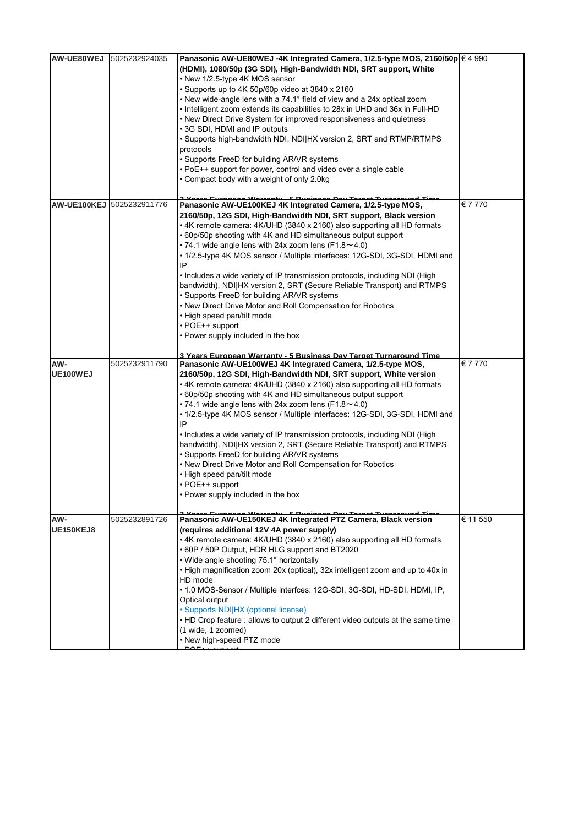| AW-UE80WEJ              | 5025232924035             | Panasonic AW-UE80WEJ -4K Integrated Camera, 1/2.5-type MOS, 2160/50p € 4 990<br>(HDMI), 1080/50p (3G SDI), High-Bandwidth NDI, SRT support, White<br>New 1/2.5-type 4K MOS sensor •<br>Supports up to 4K 50p/60p video at 3840 x 2160<br>• New wide-angle lens with a 74.1° field of view and a 24x optical zoom<br>• Intelligent zoom extends its capabilities to 28x in UHD and 36x in Full-HD<br>• New Direct Drive System for improved responsiveness and quietness<br>• 3G SDI, HDMI and IP outputs<br>• Supports high-bandwidth NDI, NDI HX version 2, SRT and RTMP/RTMPS<br>protocols<br>Supports FreeD for building AR/VR systems<br>• PoE++ support for power, control and video over a single cable<br>• Compact body with a weight of only 2.0kg                                                                    |          |
|-------------------------|---------------------------|--------------------------------------------------------------------------------------------------------------------------------------------------------------------------------------------------------------------------------------------------------------------------------------------------------------------------------------------------------------------------------------------------------------------------------------------------------------------------------------------------------------------------------------------------------------------------------------------------------------------------------------------------------------------------------------------------------------------------------------------------------------------------------------------------------------------------------|----------|
|                         | AW-UE100KEJ 5025232911776 | Panasonic AW-UE100KEJ 4K Integrated Camera, 1/2.5-type MOS,<br>2160/50p, 12G SDI, High-Bandwidth NDI, SRT support, Black version<br>• 4K remote camera: 4K/UHD (3840 x 2160) also supporting all HD formats<br>• 60p/50p shooting with 4K and HD simultaneous output support<br>• 74.1 wide angle lens with 24x zoom lens (F1.8 $\sim$ 4.0)<br>• 1/2.5-type 4K MOS sensor / Multiple interfaces: 12G-SDI, 3G-SDI, HDMI and<br>IP<br>• Includes a wide variety of IP transmission protocols, including NDI (High<br>bandwidth), NDI HX version 2, SRT (Secure Reliable Transport) and RTMPS<br>Supports FreeD for building AR/VR systems<br>• New Direct Drive Motor and Roll Compensation for Robotics<br>• High speed pan/tilt mode<br>· POE++ support<br>• Power supply included in the box                                  | € 7 770  |
| AW-<br>UE100WEJ         | 5025232911790             | 3 Years European Warranty - 5 Business Day Target Turnaround Time<br>Panasonic AW-UE100WEJ 4K Integrated Camera, 1/2.5-type MOS,<br>2160/50p, 12G SDI, High-Bandwidth NDI, SRT support, White version<br>• 4K remote camera: 4K/UHD (3840 x 2160) also supporting all HD formats<br>• 60p/50p shooting with 4K and HD simultaneous output support<br>• 74.1 wide angle lens with 24x zoom lens (F1.8 $\sim$ 4.0)<br>• 1/2.5-type 4K MOS sensor / Multiple interfaces: 12G-SDI, 3G-SDI, HDMI and<br>IP<br>• Includes a wide variety of IP transmission protocols, including NDI (High<br>bandwidth), NDI HX version 2, SRT (Secure Reliable Transport) and RTMPS<br>• Supports FreeD for building AR/VR systems<br>• New Direct Drive Motor and Roll Compensation for Robotics<br>• High speed pan/tilt mode<br>· POE++ support | € 7 770  |
| AW-<br><b>UE150KEJ8</b> | 5025232891726             | • Power supply included in the box<br>Panasonic AW-UE150KEJ 4K Integrated PTZ Camera, Black version<br>(requires additional 12V 4A power supply)<br>• 4K remote camera: 4K/UHD (3840 x 2160) also supporting all HD formats<br>• 60P / 50P Output, HDR HLG support and BT2020<br>• Wide angle shooting 75.1° horizontally<br>• High magnification zoom 20x (optical), 32x intelligent zoom and up to 40x in<br>HD mode<br>• 1.0 MOS-Sensor / Multiple interfces: 12G-SDI, 3G-SDI, HD-SDI, HDMI, IP,<br>Optical output<br>· Supports NDI HX (optional license)<br>• HD Crop feature : allows to output 2 different video outputs at the same time<br>(1 wide, 1 zoomed)<br>• New high-speed PTZ mode                                                                                                                            | € 11 550 |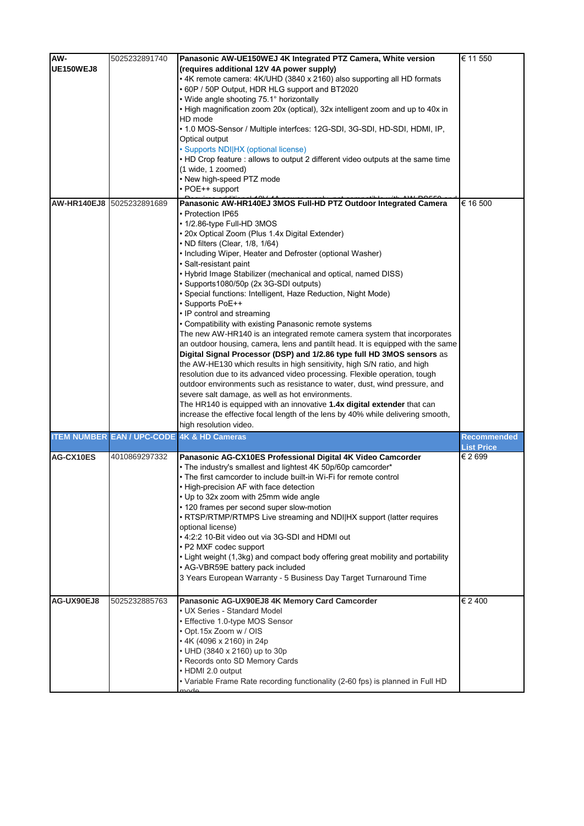| 5025232891740 | Panasonic AW-UE150WEJ 4K Integrated PTZ Camera, White version<br>(requires additional 12V 4A power supply)<br>• 4K remote camera: 4K/UHD (3840 x 2160) also supporting all HD formats<br>• 60P / 50P Output, HDR HLG support and BT2020<br>• Wide angle shooting 75.1° horizontally<br>• High magnification zoom 20x (optical), 32x intelligent zoom and up to 40x in<br>HD mode<br>• 1.0 MOS-Sensor / Multiple interfces: 12G-SDI, 3G-SDI, HD-SDI, HDMI, IP,<br>Optical output<br>• Supports NDI HX (optional license)<br>• HD Crop feature : allows to output 2 different video outputs at the same time<br>(1 wide, 1 zoomed)<br>• New high-speed PTZ mode<br>• POE++ support<br>Panasonic AW-HR140EJ 3MOS Full-HD PTZ Outdoor Integrated Camera<br>• Protection IP65<br>• 1/2.86-type Full-HD 3MOS<br>• 20x Optical Zoom (Plus 1.4x Digital Extender)<br>• ND filters (Clear, 1/8, 1/64)<br>• Including Wiper, Heater and Defroster (optional Washer)<br>· Salt-resistant paint<br>• Hybrid Image Stabilizer (mechanical and optical, named DISS)<br>· Supports1080/50p (2x 3G-SDI outputs)<br>• Special functions: Intelligent, Haze Reduction, Night Mode)<br>· Supports PoE++<br>• IP control and streaming<br>• Compatibility with existing Panasonic remote systems<br>The new AW-HR140 is an integrated remote camera system that incorporates<br>an outdoor housing, camera, lens and pantilt head. It is equipped with the same | € 11 550<br>€ 16 500                       |
|---------------|---------------------------------------------------------------------------------------------------------------------------------------------------------------------------------------------------------------------------------------------------------------------------------------------------------------------------------------------------------------------------------------------------------------------------------------------------------------------------------------------------------------------------------------------------------------------------------------------------------------------------------------------------------------------------------------------------------------------------------------------------------------------------------------------------------------------------------------------------------------------------------------------------------------------------------------------------------------------------------------------------------------------------------------------------------------------------------------------------------------------------------------------------------------------------------------------------------------------------------------------------------------------------------------------------------------------------------------------------------------------------------------------------------------------------------------------|--------------------------------------------|
|               | Digital Signal Processor (DSP) and 1/2.86 type full HD 3MOS sensors as<br>the AW-HE130 which results in high sensitivity, high S/N ratio, and high<br>resolution due to its advanced video processing. Flexible operation, tough<br>outdoor environments such as resistance to water, dust, wind pressure, and<br>severe salt damage, as well as hot environments.<br>The HR140 is equipped with an innovative 1.4x digital extender that can<br>increase the effective focal length of the lens by 40% while delivering smooth,<br>high resolution video.                                                                                                                                                                                                                                                                                                                                                                                                                                                                                                                                                                                                                                                                                                                                                                                                                                                                                  |                                            |
|               |                                                                                                                                                                                                                                                                                                                                                                                                                                                                                                                                                                                                                                                                                                                                                                                                                                                                                                                                                                                                                                                                                                                                                                                                                                                                                                                                                                                                                                             | <b>Recommended</b><br><b>List Price</b>    |
| 4010869297332 | Panasonic AG-CX10ES Professional Digital 4K Video Camcorder<br>• The industry's smallest and lightest 4K 50p/60p camcorder*<br>• The first camcorder to include built-in Wi-Fi for remote control<br>• High-precision AF with face detection<br>• Up to 32x zoom with 25mm wide angle<br>• 120 frames per second super slow-motion<br>• RTSP/RTMP/RTMPS Live streaming and NDI HX support (latter requires<br>optional license)<br>• 4:2:2 10-Bit video out via 3G-SDI and HDMI out<br>• P2 MXF codec support<br>• Light weight (1,3kg) and compact body offering great mobility and portability<br>• AG-VBR59E battery pack included<br>3 Years European Warranty - 5 Business Day Target Turnaround Time                                                                                                                                                                                                                                                                                                                                                                                                                                                                                                                                                                                                                                                                                                                                  | € 2 699                                    |
| 5025232885763 | Panasonic AG-UX90EJ8 4K Memory Card Camcorder<br>• UX Series - Standard Model<br>• Effective 1.0-type MOS Sensor<br>· Opt.15x Zoom w / OIS<br>• 4K (4096 x 2160) in 24p<br>• UHD (3840 x 2160) up to 30p<br>• Records onto SD Memory Cards<br>• HDMI 2.0 output<br>• Variable Frame Rate recording functionality (2-60 fps) is planned in Full HD                                                                                                                                                                                                                                                                                                                                                                                                                                                                                                                                                                                                                                                                                                                                                                                                                                                                                                                                                                                                                                                                                           | € 2 400                                    |
|               | AW-HR140EJ8 5025232891689                                                                                                                                                                                                                                                                                                                                                                                                                                                                                                                                                                                                                                                                                                                                                                                                                                                                                                                                                                                                                                                                                                                                                                                                                                                                                                                                                                                                                   | ITEM NUMBER EAN / UPC-CODE 4K & HD Cameras |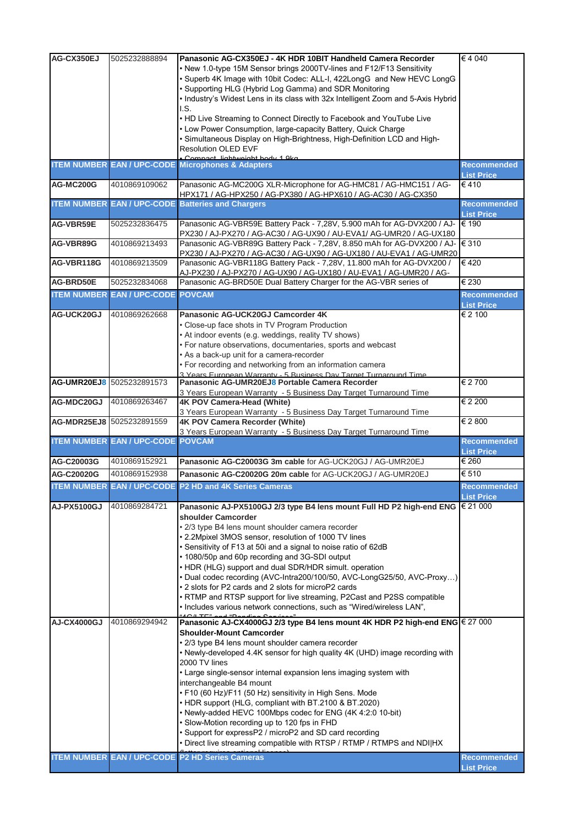| AG-CX350EJ         | 5025232888894                     | Panasonic AG-CX350EJ - 4K HDR 10BIT Handheld Camera Recorder<br>• New 1.0-type 15M Sensor brings 2000TV-lines and F12/F13 Sensitivity<br>Superb 4K Image with 10bit Codec: ALL-I, 422LongG and New HEVC LongG<br>• Supporting HLG (Hybrid Log Gamma) and SDR Monitoring<br>• Industry's Widest Lens in its class with 32x Intelligent Zoom and 5-Axis Hybrid<br>I.S.<br>• HD Live Streaming to Connect Directly to Facebook and YouTube Live<br>• Low Power Consumption, large-capacity Battery, Quick Charge<br>· Simultaneous Display on High-Brightness, High-Definition LCD and High-<br><b>Resolution OLED EVF</b><br>ط +طعنصبيط مناطق<br>4.4.0 <sub>k</sub><br><b>ITEM NUMBER EAN / UPC-CODE Microphones &amp; Adapters</b>                                                                  | €4 040<br><b>Recommended</b>                   |
|--------------------|-----------------------------------|----------------------------------------------------------------------------------------------------------------------------------------------------------------------------------------------------------------------------------------------------------------------------------------------------------------------------------------------------------------------------------------------------------------------------------------------------------------------------------------------------------------------------------------------------------------------------------------------------------------------------------------------------------------------------------------------------------------------------------------------------------------------------------------------------|------------------------------------------------|
| <b>AG-MC200G</b>   | 4010869109062                     | Panasonic AG-MC200G XLR-Microphone for AG-HMC81 / AG-HMC151 / AG-                                                                                                                                                                                                                                                                                                                                                                                                                                                                                                                                                                                                                                                                                                                                  | <b>List Price</b><br>€410                      |
|                    |                                   | HPX171 / AG-HPX250 / AG-PX380 / AG-HPX610 / AG-AC30 / AG-CX350                                                                                                                                                                                                                                                                                                                                                                                                                                                                                                                                                                                                                                                                                                                                     |                                                |
|                    |                                   | <b>ITEM NUMBER EAN / UPC-CODE Batteries and Chargers</b>                                                                                                                                                                                                                                                                                                                                                                                                                                                                                                                                                                                                                                                                                                                                           | <b>Recommended</b><br><b>List Price</b>        |
| AG-VBR59E          | 5025232836475                     | Panasonic AG-VBR59E Battery Pack - 7,28V, 5.900 mAh for AG-DVX200 / AJ-<br>PX230 / AJ-PX270 / AG-AC30 / AG-UX90 / AU-EVA1/ AG-UMR20 / AG-UX180                                                                                                                                                                                                                                                                                                                                                                                                                                                                                                                                                                                                                                                     | € 190                                          |
| AG-VBR89G          | 4010869213493                     | Panasonic AG-VBR89G Battery Pack - 7,28V, 8.850 mAh for AG-DVX200 / AJ- € 310<br>PX230 / AJ-PX270 / AG-AC30 / AG-UX90 / AG-UX180 / AU-EVA1 / AG-UMR20                                                                                                                                                                                                                                                                                                                                                                                                                                                                                                                                                                                                                                              |                                                |
| AG-VBR118G         | 4010869213509                     | Panasonic AG-VBR118G Battery Pack - 7,28V, 11.800 mAh for AG-DVX200 /<br>AJ-PX230 / AJ-PX270 / AG-UX90 / AG-UX180 / AU-EVA1 / AG-UMR20 / AG-                                                                                                                                                                                                                                                                                                                                                                                                                                                                                                                                                                                                                                                       | €420                                           |
| AG-BRD50E          | 5025232834068                     | Panasonic AG-BRD50E Dual Battery Charger for the AG-VBR series of                                                                                                                                                                                                                                                                                                                                                                                                                                                                                                                                                                                                                                                                                                                                  | € 230                                          |
| <b>ITEM NUMBER</b> | <b>EAN / UPC-CODE POVCAM</b>      |                                                                                                                                                                                                                                                                                                                                                                                                                                                                                                                                                                                                                                                                                                                                                                                                    | <b>Recommended</b><br><b>List Price</b>        |
| <b>AG-UCK20GJ</b>  | 4010869262668                     | Panasonic AG-UCK20GJ Camcorder 4K<br>Close-up face shots in TV Program Production<br>At indoor events (e.g. weddings, reality TV shows)<br>· For nature observations, documentaries, sports and webcast<br>As a back-up unit for a camera-recorder<br>• For recording and networking from an information camera<br>3 Years Furonean Warranty - 5 Business Day Target Turnaround Time                                                                                                                                                                                                                                                                                                                                                                                                               | € 2 100                                        |
|                    | AG-UMR20EJ8 5025232891573         | Panasonic AG-UMR20EJ8 Portable Camera Recorder<br>3 Years European Warranty - 5 Business Day Target Turnaround Time                                                                                                                                                                                                                                                                                                                                                                                                                                                                                                                                                                                                                                                                                | € 2 700                                        |
| AG-MDC20GJ         | 4010869263467                     | 4K POV Camera-Head (White)<br>3 Years European Warranty - 5 Business Day Target Turnaround Time                                                                                                                                                                                                                                                                                                                                                                                                                                                                                                                                                                                                                                                                                                    | € 2 200                                        |
|                    | AG-MDR25EJ8 5025232891559         | <b>4K POV Camera Recorder (White)</b><br>3 Years European Warranty - 5 Business Day Target Turnaround Time                                                                                                                                                                                                                                                                                                                                                                                                                                                                                                                                                                                                                                                                                         | € 2 800                                        |
|                    | <b>ITEM NUMBER EAN / UPC-CODE</b> | <b>POVCAM</b>                                                                                                                                                                                                                                                                                                                                                                                                                                                                                                                                                                                                                                                                                                                                                                                      | <b>Recommended</b>                             |
| AG-C20003G         | 4010869152921                     | Panasonic AG-C20003G 3m cable for AG-UCK20GJ / AG-UMR20EJ                                                                                                                                                                                                                                                                                                                                                                                                                                                                                                                                                                                                                                                                                                                                          | <b>List Price</b><br>$\overline{\epsilon}$ 260 |
| AG-C20020G         | 4010869152938                     | Panasonic AG-C20020G 20m cable for AG-UCK20GJ / AG-UMR20EJ                                                                                                                                                                                                                                                                                                                                                                                                                                                                                                                                                                                                                                                                                                                                         | $\overline{\epsilon}$ 510                      |
|                    |                                   | <b>ITEM NUMBER EAN / UPC-CODE P2 HD and 4K Series Cameras</b>                                                                                                                                                                                                                                                                                                                                                                                                                                                                                                                                                                                                                                                                                                                                      | <b>Recommended</b><br><b>List Price</b>        |
| AJ-PX5100GJ        | 4010869284721                     | Panasonic AJ-PX5100GJ 2/3 type B4 lens mount Full HD P2 high-end ENG   € 21 000<br>shoulder Camcorder<br>• 2/3 type B4 lens mount shoulder camera recorder<br>• 2.2Mpixel 3MOS sensor, resolution of 1000 TV lines<br>Sensitivity of F13 at 50i and a signal to noise ratio of 62dB<br>• 1080/50p and 60p recording and 3G-SDI output<br>• HDR (HLG) support and dual SDR/HDR simult. operation<br>• Dual codec recording (AVC-Intra200/100/50, AVC-LongG25/50, AVC-Proxy)<br>⋅ 2 slots for P2 cards and 2 slots for microP2 cards<br>RTMP and RTSP support for live streaming, P2Cast and P2SS compatible<br>• Includes various network connections, such as "Wired/wireless LAN",                                                                                                                |                                                |
| <b>AJ-CX4000GJ</b> | 4010869294942                     | Panasonic AJ-CX4000GJ 2/3 type B4 lens mount 4K HDR P2 high-end ENG € 27 000<br><b>Shoulder-Mount Camcorder</b><br>• 2/3 type B4 lens mount shoulder camera recorder<br>• Newly-developed 4.4K sensor for high quality 4K (UHD) image recording with<br>2000 TV lines<br>• Large single-sensor internal expansion lens imaging system with<br>interchangeable B4 mount<br>• F10 (60 Hz)/F11 (50 Hz) sensitivity in High Sens. Mode<br>• HDR support (HLG, compliant with BT.2100 & BT.2020)<br>• Newly-added HEVC 100Mbps codec for ENG (4K 4:2:0 10-bit)<br>Slow-Motion recording up to 120 fps in FHD<br>Support for expressP2 / microP2 and SD card recording<br>Direct live streaming compatible with RTSP / RTMP / RTMPS and NDI HX<br><b>ITEM NUMBER EAN / UPC-CODE P2 HD Series Cameras</b> | Recommended                                    |
|                    |                                   |                                                                                                                                                                                                                                                                                                                                                                                                                                                                                                                                                                                                                                                                                                                                                                                                    | <b>List Price</b>                              |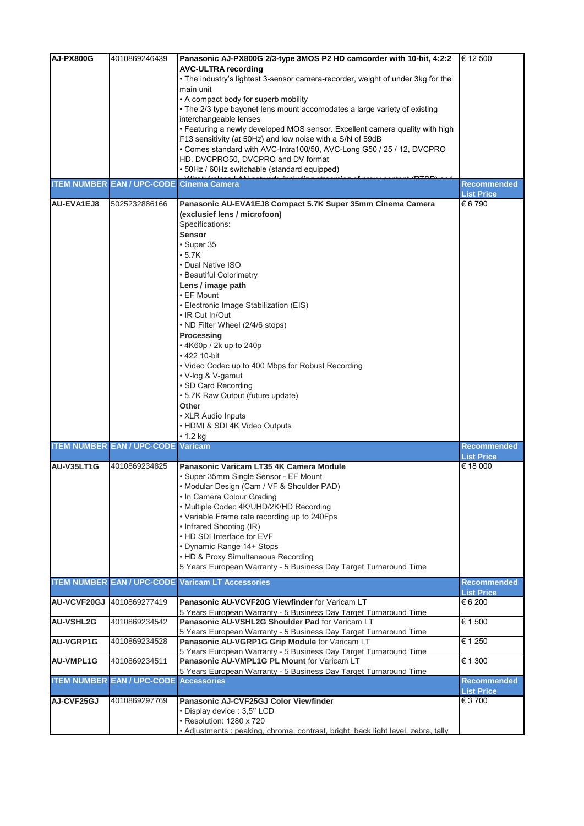| <b>AJ-PX800G</b>   | 4010869246439                                   | Panasonic AJ-PX800G 2/3-type 3MOS P2 HD camcorder with 10-bit, 4:2:2<br><b>AVC-ULTRA recording</b><br>• The industry's lightest 3-sensor camera-recorder, weight of under 3kg for the<br>main unit<br>• A compact body for superb mobility<br>• The 2/3 type bayonet lens mount accomodates a large variety of existing<br>interchangeable lenses<br>• Featuring a newly developed MOS sensor. Excellent camera quality with high<br>F13 sensitivity (at 50Hz) and low noise with a S/N of 59dB<br>• Comes standard with AVC-Intra100/50, AVC-Long G50 / 25 / 12, DVCPRO<br>HD, DVCPRO50, DVCPRO and DV format<br>• 50Hz / 60Hz switchable (standard equipped) | € 12 500                                |
|--------------------|-------------------------------------------------|----------------------------------------------------------------------------------------------------------------------------------------------------------------------------------------------------------------------------------------------------------------------------------------------------------------------------------------------------------------------------------------------------------------------------------------------------------------------------------------------------------------------------------------------------------------------------------------------------------------------------------------------------------------|-----------------------------------------|
|                    | <b>ITEM NUMBER EAN / UPC-CODE Cinema Camera</b> |                                                                                                                                                                                                                                                                                                                                                                                                                                                                                                                                                                                                                                                                | <b>Recommended</b><br><b>List Price</b> |
| AU-EVA1EJ8         | 5025232886166                                   | Panasonic AU-EVA1EJ8 Compact 5.7K Super 35mm Cinema Camera<br>(exclusief lens / microfoon)<br>Specifications:<br>Sensor<br>· Super 35<br>•5.7K<br>• Dual Native ISO<br>• Beautiful Colorimetry<br>Lens / image path<br>• EF Mount<br>• Electronic Image Stabilization (EIS)<br>• IR Cut In/Out<br>• ND Filter Wheel (2/4/6 stops)<br>Processing<br>• 4K60p / 2k up to 240p<br>• 422 10-bit<br>• Video Codec up to 400 Mbps for Robust Recording<br>• V-log & V-gamut<br>· SD Card Recording<br>• 5.7K Raw Output (future update)<br>Other<br>• XLR Audio Inputs<br>• HDMI & SDI 4K Video Outputs<br>$\cdot$ 1.2 kg                                             | € 6 790                                 |
|                    | <b>ITEM NUMBER EAN / UPC-CODE Varicam</b>       |                                                                                                                                                                                                                                                                                                                                                                                                                                                                                                                                                                                                                                                                | <b>Recommended</b><br><b>List Price</b> |
| AU-V35LT1G         | 4010869234825                                   | Panasonic Varicam LT35 4K Camera Module<br>• Super 35mm Single Sensor - EF Mount<br>• Modular Design (Cam / VF & Shoulder PAD)<br>• In Camera Colour Grading<br>• Multiple Codec 4K/UHD/2K/HD Recording<br>• Variable Frame rate recording up to 240Fps<br>• Infrared Shooting (IR)<br>• HD SDI Interface for EVF<br>• Dynamic Range 14+ Stops<br>• HD & Proxy Simultaneous Recording<br>5 Years European Warranty - 5 Business Day Target Turnaround Time                                                                                                                                                                                                     | € 18 000                                |
|                    |                                                 | <b>ITEM NUMBER EAN / UPC-CODE Varicam LT Accessories</b>                                                                                                                                                                                                                                                                                                                                                                                                                                                                                                                                                                                                       | <b>Recommended</b><br><b>List Price</b> |
|                    | AU-VCVF20GJ 4010869277419                       | Panasonic AU-VCVF20G Viewfinder for Varicam LT<br>5 Years European Warranty - 5 Business Day Target Turnaround Time                                                                                                                                                                                                                                                                                                                                                                                                                                                                                                                                            | € 6 200                                 |
| <b>AU-VSHL2G</b>   | 4010869234542                                   | Panasonic AU-VSHL2G Shoulder Pad for Varicam LT<br>5 Years European Warranty - 5 Business Day Target Turnaround Time                                                                                                                                                                                                                                                                                                                                                                                                                                                                                                                                           | € 1 500                                 |
| <b>AU-VGRP1G</b>   | 4010869234528                                   | Panasonic AU-VGRP1G Grip Module for Varicam LT<br>5 Years European Warranty - 5 Business Day Target Turnaround Time                                                                                                                                                                                                                                                                                                                                                                                                                                                                                                                                            | € 1 250                                 |
| <b>AU-VMPL1G</b>   | 4010869234511                                   | Panasonic AU-VMPL1G PL Mount for Varicam LT<br>5 Years European Warranty - 5 Business Day Target Turnaround Time                                                                                                                                                                                                                                                                                                                                                                                                                                                                                                                                               | € 1 300                                 |
| <b>ITEM NUMBER</b> | <b>EAN / UPC-CODE</b>                           | <b>Accessories</b>                                                                                                                                                                                                                                                                                                                                                                                                                                                                                                                                                                                                                                             | <b>Recommended</b><br><b>List Price</b> |
| AJ-CVF25GJ         | 4010869297769                                   | Panasonic AJ-CVF25GJ Color Viewfinder<br>Display device: 3,5" LCD<br>· Resolution: 1280 x 720<br>Adjustments : peaking, chroma, contrast, bright, back light level, zebra, tally                                                                                                                                                                                                                                                                                                                                                                                                                                                                               | € 3 700                                 |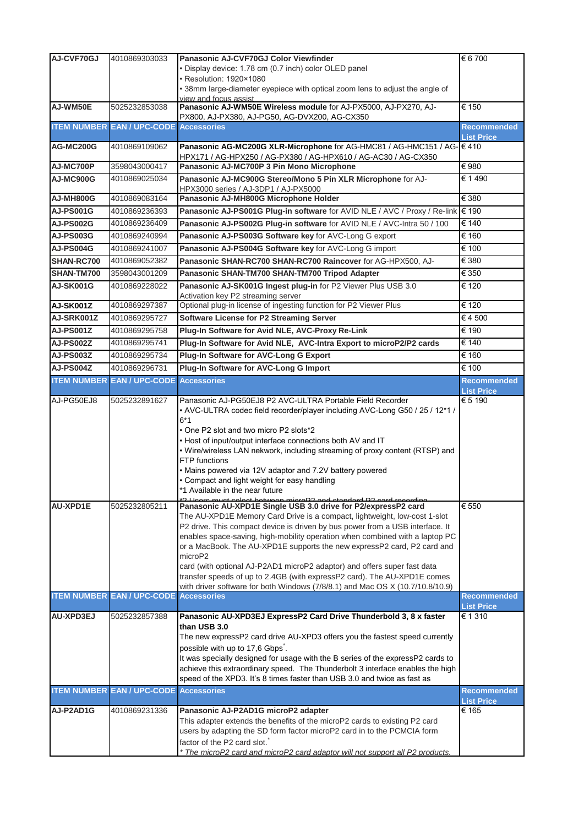|                    | 4010869303033                                 | Panasonic AJ-CVF70GJ Color Viewfinder<br>Display device: 1.78 cm (0.7 inch) color OLED panel                                                                      | € 6 700                                 |
|--------------------|-----------------------------------------------|-------------------------------------------------------------------------------------------------------------------------------------------------------------------|-----------------------------------------|
|                    |                                               | Resolution: 1920×1080                                                                                                                                             |                                         |
|                    |                                               | · 38mm large-diameter eyepiece with optical zoom lens to adjust the angle of<br>view and focus assist                                                             |                                         |
| AJ-WM50E           | 5025232853038                                 | Panasonic AJ-WM50E Wireless module for AJ-PX5000, AJ-PX270, AJ-<br>PX800, AJ-PX380, AJ-PG50, AG-DVX200, AG-CX350                                                  | € 150                                   |
|                    | <b>ITEM NUMBER EAN / UPC-CODE Accessories</b> |                                                                                                                                                                   | <b>Recommended</b><br><b>List Price</b> |
| <b>AG-MC200G</b>   | 4010869109062                                 | Panasonic AG-MC200G XLR-Microphone for AG-HMC81 / AG-HMC151 / AG- € 410                                                                                           |                                         |
| AJ-MC700P          | 3598043000417                                 | <u>HPX171 / AG-HPX250 / AG-PX380 / AG-HPX610 / AG-AC30 / AG-CX350</u><br>Panasonic AJ-MC700P 3 Pin Mono Microphone                                                | € 980                                   |
| AJ-MC900G          | 4010869025034                                 | Panasonic AJ-MC900G Stereo/Mono 5 Pin XLR Microphone for AJ-                                                                                                      | € 1 490                                 |
|                    |                                               | HPX3000 series / AJ-3DP1 / AJ-PX5000                                                                                                                              |                                         |
| AJ-MH800G          | 4010869083164                                 | Panasonic AJ-MH800G Microphone Holder                                                                                                                             | € 380                                   |
| <b>AJ-PS001G</b>   | 4010869236393                                 | Panasonic AJ-PS001G Plug-in software for AVID NLE / AVC / Proxy / Re-link € 190                                                                                   |                                         |
| <b>AJ-PS002G</b>   | 4010869236409                                 | Panasonic AJ-PS002G Plug-in software for AVID NLE / AVC-Intra 50 / 100                                                                                            | € 140                                   |
| AJ-PS003G          | 4010869240994                                 | Panasonic AJ-PS003G Software key for AVC-Long G export                                                                                                            | € 160                                   |
| AJ-PS004G          | 4010869241007                                 | Panasonic AJ-PS004G Software key for AVC-Long G import                                                                                                            | $\overline{\epsilon}$ 100               |
| SHAN-RC700         | 4010869052382                                 | Panasonic SHAN-RC700 SHAN-RC700 Raincover for AG-HPX500, AJ-                                                                                                      | € 380                                   |
| SHAN-TM700         | 3598043001209                                 | Panasonic SHAN-TM700 SHAN-TM700 Tripod Adapter                                                                                                                    | € 350                                   |
| <b>AJ-SK001G</b>   | 4010869228022                                 | Panasonic AJ-SK001G Ingest plug-in for P2 Viewer Plus USB 3.0<br>Activation key P2 streaming server                                                               | € 120                                   |
| AJ-SK001Z          | 4010869297387                                 | Optional plug-in license of ingesting function for P2 Viewer Plus                                                                                                 | € 120                                   |
| AJ-SRK001Z         | 4010869295727                                 | Software License for P2 Streaming Server                                                                                                                          | €4 500                                  |
| AJ-PS001Z          | 4010869295758                                 | Plug-In Software for Avid NLE, AVC-Proxy Re-Link                                                                                                                  | € 190                                   |
| <b>AJ-PS002Z</b>   | 4010869295741                                 | Plug-In Software for Avid NLE, AVC-Intra Export to microP2/P2 cards                                                                                               | $\overline{\epsilon}$ 140               |
| <b>AJ-PS003Z</b>   | 4010869295734                                 | Plug-In Software for AVC-Long G Export                                                                                                                            | € 160                                   |
| AJ-PS004Z          | 4010869296731                                 | Plug-In Software for AVC-Long G Import                                                                                                                            | € 100                                   |
| <b>ITEM NUMBER</b> | <b>EAN / UPC-CODE</b>                         | <b>Accessories</b>                                                                                                                                                | <b>Recommended</b>                      |
| AJ-PG50EJ8         | 5025232891627                                 | Panasonic AJ-PG50EJ8 P2 AVC-ULTRA Portable Field Recorder                                                                                                         | <b>List Price</b><br>€ 5 190            |
|                    |                                               | • AVC-ULTRA codec field recorder/player including AVC-Long G50 / 25 / 12*1 /                                                                                      |                                         |
|                    |                                               | 6*1                                                                                                                                                               |                                         |
|                    |                                               | One P2 slot and two micro P2 slots*2                                                                                                                              |                                         |
|                    |                                               | · Host of input/output interface connections both AV and IT<br>• Wire/wireless LAN nekwork, including streaming of proxy content (RTSP) and                       |                                         |
|                    |                                               | FTP functions                                                                                                                                                     |                                         |
|                    |                                               | • Mains powered via 12V adaptor and 7.2V battery powered                                                                                                          |                                         |
|                    |                                               |                                                                                                                                                                   |                                         |
|                    |                                               | • Compact and light weight for easy handling                                                                                                                      |                                         |
|                    |                                               | 1 Available in the near future<br>must coloct between microD2 and standard D2 cord recording                                                                      |                                         |
| AU-XPD1E           | 5025232805211                                 | Panasonic AU-XPD1E Single USB 3.0 drive for P2/expressP2 card                                                                                                     | € 550                                   |
|                    |                                               | The AU-XPD1E Memory Card Drive is a compact, lightweight, low-cost 1-slot                                                                                         |                                         |
|                    |                                               | P2 drive. This compact device is driven by bus power from a USB interface. It                                                                                     |                                         |
|                    |                                               | enables space-saving, high-mobility operation when combined with a laptop PC<br>or a MacBook. The AU-XPD1E supports the new expressP2 card, P2 card and           |                                         |
|                    |                                               | microP2                                                                                                                                                           |                                         |
|                    |                                               | card (with optional AJ-P2AD1 microP2 adaptor) and offers super fast data                                                                                          |                                         |
|                    |                                               | transfer speeds of up to 2.4GB (with expressP2 card). The AU-XPD1E comes<br>with driver software for both Windows (7/8/8.1) and Mac OS X (10.7/10.8/10.9)         |                                         |
|                    | <b>ITEM NUMBER EAN / UPC-CODE Accessories</b> |                                                                                                                                                                   | <b>Recommended</b>                      |
| <b>AU-XPD3EJ</b>   | 5025232857388                                 | Panasonic AU-XPD3EJ ExpressP2 Card Drive Thunderbold 3, 8 x faster                                                                                                | <b>List Price</b><br>€ 1 310            |
|                    |                                               | than USB 3.0                                                                                                                                                      |                                         |
|                    |                                               | The new expressP2 card drive AU-XPD3 offers you the fastest speed currently                                                                                       |                                         |
|                    |                                               | possible with up to 17,6 Gbps.                                                                                                                                    |                                         |
|                    |                                               | It was specially designed for usage with the B series of the expressP2 cards to<br>achieve this extraordinary speed. The Thunderbolt 3 interface enables the high |                                         |
|                    |                                               | speed of the XPD3. It's 8 times faster than USB 3.0 and twice as fast as                                                                                          |                                         |
|                    | <b>ITEM NUMBER EAN / UPC-CODE Accessories</b> |                                                                                                                                                                   | <b>Recommended</b>                      |
| AJ-P2AD1G          | 4010869231336                                 |                                                                                                                                                                   | <b>List Price</b><br>€ 165              |
|                    |                                               | Panasonic AJ-P2AD1G microP2 adapter<br>This adapter extends the benefits of the microP2 cards to existing P2 card                                                 |                                         |
|                    |                                               | users by adapting the SD form factor microP2 card in to the PCMCIA form                                                                                           |                                         |
|                    |                                               | factor of the P2 card slot.<br>* The microP2 card and microP2 card adaptor will not support all P2 products.                                                      |                                         |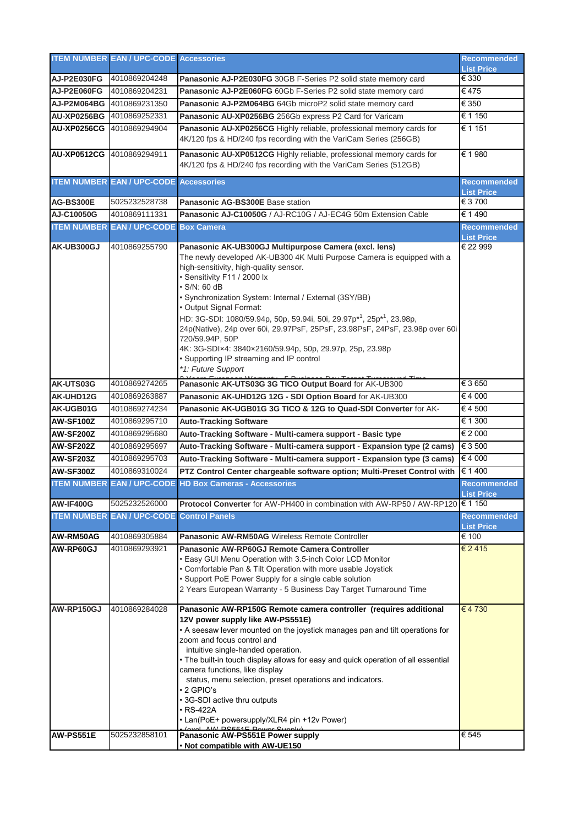|                                | <b>ITEM NUMBER EAN / UPC-CODE Accessories</b> |                                                                                                                                                                                                                                                                                                                                                                                                                                                                                                                                                                                                                                            | Recommended<br><b>List Price</b>        |
|--------------------------------|-----------------------------------------------|--------------------------------------------------------------------------------------------------------------------------------------------------------------------------------------------------------------------------------------------------------------------------------------------------------------------------------------------------------------------------------------------------------------------------------------------------------------------------------------------------------------------------------------------------------------------------------------------------------------------------------------------|-----------------------------------------|
| AJ-P2E030FG                    | 4010869204248                                 | Panasonic AJ-P2E030FG 30GB F-Series P2 solid state memory card                                                                                                                                                                                                                                                                                                                                                                                                                                                                                                                                                                             | € 330                                   |
| AJ-P2E060FG                    | 4010869204231                                 | Panasonic AJ-P2E060FG 60Gb F-Series P2 solid state memory card                                                                                                                                                                                                                                                                                                                                                                                                                                                                                                                                                                             | € 475                                   |
| AJ-P2M064BG                    | 4010869231350                                 | Panasonic AJ-P2M064BG 64Gb microP2 solid state memory card                                                                                                                                                                                                                                                                                                                                                                                                                                                                                                                                                                                 | € 350                                   |
| <b>AU-XP0256BG</b>             | 4010869252331                                 | Panasonic AU-XP0256BG 256Gb express P2 Card for Varicam                                                                                                                                                                                                                                                                                                                                                                                                                                                                                                                                                                                    | € 1 150                                 |
| AU-XP0256CG                    | 4010869294904                                 | Panasonic AU-XP0256CG Highly reliable, professional memory cards for<br>4K/120 fps & HD/240 fps recording with the VariCam Series (256GB)                                                                                                                                                                                                                                                                                                                                                                                                                                                                                                  | € 1 $151$                               |
|                                | AU-XP0512CG 4010869294911                     | Panasonic AU-XP0512CG Highly reliable, professional memory cards for<br>4K/120 fps & HD/240 fps recording with the VariCam Series (512GB)                                                                                                                                                                                                                                                                                                                                                                                                                                                                                                  | € 1 980                                 |
|                                | <b>ITEM NUMBER EAN / UPC-CODE Accessories</b> |                                                                                                                                                                                                                                                                                                                                                                                                                                                                                                                                                                                                                                            | <b>Recommended</b><br><b>List Price</b> |
| AG-BS300E                      | 5025232528738                                 | Panasonic AG-BS300E Base station                                                                                                                                                                                                                                                                                                                                                                                                                                                                                                                                                                                                           | € 3 700                                 |
| AJ-C10050G                     | 4010869111331                                 | Panasonic AJ-C10050G / AJ-RC10G / AJ-EC4G 50m Extension Cable                                                                                                                                                                                                                                                                                                                                                                                                                                                                                                                                                                              | $\overline{\epsilon}$ 1 490             |
| <b>ITEM NUMBER</b>             | <b>EAN / UPC-CODE Box Camera</b>              |                                                                                                                                                                                                                                                                                                                                                                                                                                                                                                                                                                                                                                            | <b>Recommended</b><br><b>List Price</b> |
| AK-UB300GJ                     | 4010869255790                                 | Panasonic AK-UB300GJ Multipurpose Camera (excl. lens)<br>The newly developed AK-UB300 4K Multi Purpose Camera is equipped with a<br>high-sensitivity, high-quality sensor.<br>Sensitivity F11 / 2000 lx<br>S/N: 60 dB<br>• Synchronization System: Internal / External (3SY/BB)<br>Output Signal Format:<br>HD: 3G-SDI: 1080/59.94p, 50p, 59.94i, 50i, 29.97p <sup>*1</sup> , 25p <sup>*1</sup> , 23.98p,<br>24p(Native), 24p over 60i, 29.97PsF, 25PsF, 23.98PsF, 24PsF, 23.98p over 60i<br>720/59.94P, 50P<br>4K: 3G-SDIx4: 3840x2160/59.94p, 50p, 29.97p, 25p, 23.98p<br>• Supporting IP streaming and IP control<br>*1: Future Support | € 22 999                                |
| AK-UTS03G                      | 4010869274265                                 | Panasonic AK-UTS03G 3G TICO Output Board for AK-UB300                                                                                                                                                                                                                                                                                                                                                                                                                                                                                                                                                                                      | € 3 650                                 |
| AK-UHD12G                      | 4010869263887                                 | Panasonic AK-UHD12G 12G - SDI Option Board for AK-UB300                                                                                                                                                                                                                                                                                                                                                                                                                                                                                                                                                                                    | €4 000                                  |
| AK-UGB01G                      | 4010869274234                                 | Panasonic AK-UGB01G 3G TICO & 12G to Quad-SDI Converter for AK-                                                                                                                                                                                                                                                                                                                                                                                                                                                                                                                                                                            | €4 500                                  |
| AW-SF100Z                      | 4010869295710                                 | <b>Auto-Tracking Software</b>                                                                                                                                                                                                                                                                                                                                                                                                                                                                                                                                                                                                              | € 1 300                                 |
| <b>AW-SF200Z</b>               | 4010869295680                                 | Auto-Tracking Software - Multi-camera support - Basic type                                                                                                                                                                                                                                                                                                                                                                                                                                                                                                                                                                                 | € 2 000                                 |
| <b>AW-SF202Z</b>               | 4010869295697                                 | Auto-Tracking Software - Multi-camera support - Expansion type (2 cams)                                                                                                                                                                                                                                                                                                                                                                                                                                                                                                                                                                    | € 3 500                                 |
| <b>AW-SF203Z</b>               | 4010869295703                                 | Auto-Tracking Software - Multi-camera support - Expansion type (3 cams)                                                                                                                                                                                                                                                                                                                                                                                                                                                                                                                                                                    | €4 000                                  |
| <b>AW-SF300Z</b>               | 4010869310024                                 | PTZ Control Center chargeable software option; Multi-Preset Control with                                                                                                                                                                                                                                                                                                                                                                                                                                                                                                                                                                   | $\epsilon$ 1 400                        |
|                                |                                               | <b>ITEM NUMBER EAN / UPC-CODE HD Box Cameras - Accessories</b>                                                                                                                                                                                                                                                                                                                                                                                                                                                                                                                                                                             | <b>Recommended</b><br><b>List Price</b> |
| <b>AW-IF400G</b>               | 5025232526000                                 | Protocol Converter for AW-PH400 in combination with AW-RP50 / AW-RP120 € 1 150                                                                                                                                                                                                                                                                                                                                                                                                                                                                                                                                                             |                                         |
| <b>ITEM NUMBER</b>             | <b>EAN / UPC-CODE</b>                         | <b>Control Panels</b>                                                                                                                                                                                                                                                                                                                                                                                                                                                                                                                                                                                                                      | <b>Recommended</b>                      |
|                                |                                               |                                                                                                                                                                                                                                                                                                                                                                                                                                                                                                                                                                                                                                            | <b>List Price</b>                       |
| AW-RM50AG                      | 4010869305884                                 | Panasonic AW-RM50AG Wireless Remote Controller                                                                                                                                                                                                                                                                                                                                                                                                                                                                                                                                                                                             | € 100                                   |
| AW-RP60GJ                      | 4010869293921                                 | Panasonic AW-RP60GJ Remote Camera Controller<br>• Easy GUI Menu Operation with 3.5-inch Color LCD Monitor<br>Comfortable Pan & Tilt Operation with more usable Joystick<br>Support PoE Power Supply for a single cable solution<br>2 Years European Warranty - 5 Business Day Target Turnaround Time                                                                                                                                                                                                                                                                                                                                       | € 2415                                  |
| AW-RP150GJ<br><b>AW-PS551E</b> | 4010869284028<br>5025232858101                | Panasonic AW-RP150G Remote camera controller (requires additional<br>12V power supply like AW-PS551E)<br>• A seesaw lever mounted on the joystick manages pan and tilt operations for<br>zoom and focus control and<br>intuitive single-handed operation.<br>. The built-in touch display allows for easy and quick operation of all essential<br>camera functions, like display<br>status, menu selection, preset operations and indicators.<br>∙2 GPIO's<br>3G-SDI active thru outputs<br><b>RS-422A</b><br>Lan(PoE+ powersupply/XLR4 pin +12v Power)<br>Panasonic AW-PS551E Power supply                                                | €4730<br>€ 545                          |
|                                |                                               | Not compatible with AW-UE150                                                                                                                                                                                                                                                                                                                                                                                                                                                                                                                                                                                                               |                                         |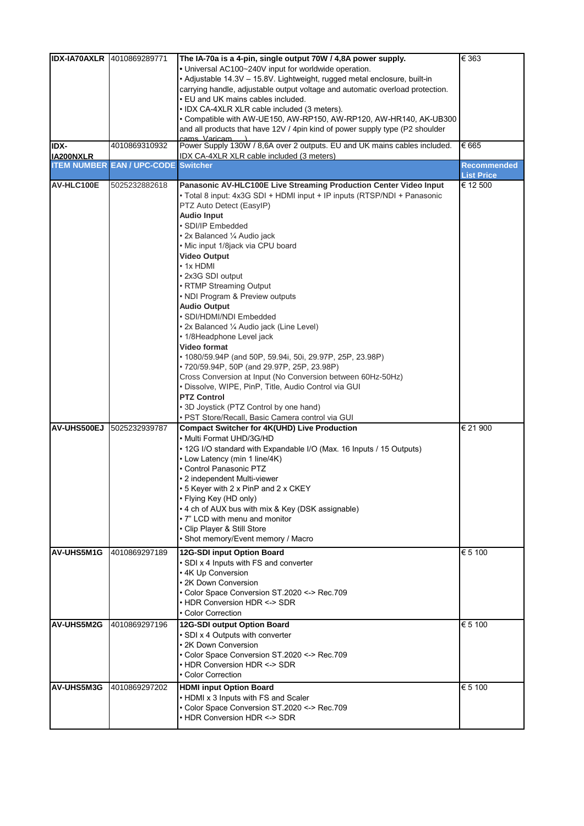|                   | <b>IDX-IA70AXLR 14010869289771</b>                          | The IA-70a is a 4-pin, single output 70W / 4,8A power supply.<br>• Universal AC100~240V input for worldwide operation.<br>• Adjustable 14.3V - 15.8V. Lightweight, rugged metal enclosure, built-in<br>carrying handle, adjustable output voltage and automatic overload protection.<br>• EU and UK mains cables included.<br>• IDX CA-4XLR XLR cable included (3 meters).<br>• Compatible with AW-UE150, AW-RP150, AW-RP120, AW-HR140, AK-UB300<br>and all products that have 12V / 4pin kind of power supply type (P2 shoulder<br>came Varicam                                                                                                                                                                                                                                                                                                                                                                   | € 363                       |
|-------------------|-------------------------------------------------------------|--------------------------------------------------------------------------------------------------------------------------------------------------------------------------------------------------------------------------------------------------------------------------------------------------------------------------------------------------------------------------------------------------------------------------------------------------------------------------------------------------------------------------------------------------------------------------------------------------------------------------------------------------------------------------------------------------------------------------------------------------------------------------------------------------------------------------------------------------------------------------------------------------------------------|-----------------------------|
| IDX-<br>IA200NXLR | 4010869310932<br><b>ITEM NUMBER EAN / UPC-CODE Switcher</b> | Power Supply 130W / 8,6A over 2 outputs. EU and UK mains cables included.<br>IDX CA-4XLR XLR cable included (3 meters)                                                                                                                                                                                                                                                                                                                                                                                                                                                                                                                                                                                                                                                                                                                                                                                             | € 665<br><b>Recommended</b> |
|                   |                                                             |                                                                                                                                                                                                                                                                                                                                                                                                                                                                                                                                                                                                                                                                                                                                                                                                                                                                                                                    | <b>List Price</b>           |
| AV-HLC100E        | 5025232882618                                               | Panasonic AV-HLC100E Live Streaming Production Center Video Input<br>• Total 8 input: 4x3G SDI + HDMI input + IP inputs (RTSP/NDI + Panasonic<br>PTZ Auto Detect (EasyIP)<br><b>Audio Input</b><br>SDI/IP Embedded<br>• 2x Balanced 1/4 Audio jack<br>• Mic input 1/8jack via CPU board<br><b>Video Output</b><br>• 1x HDMI<br>· 2x3G SDI output<br>• RTMP Streaming Output<br>• NDI Program & Preview outputs<br><b>Audio Output</b><br>• SDI/HDMI/NDI Embedded<br>• 2x Balanced 1/4 Audio jack (Line Level)<br>• 1/8Headphone Level jack<br>Video format<br>• 1080/59.94P (and 50P, 59.94i, 50i, 29.97P, 25P, 23.98P)<br>• 720/59.94P, 50P (and 29.97P, 25P, 23.98P)<br>Cross Conversion at Input (No Conversion between 60Hz-50Hz)<br>· Dissolve, WIPE, PinP, Title, Audio Control via GUI<br><b>PTZ Control</b><br>• 3D Joystick (PTZ Control by one hand)<br>• PST Store/Recall, Basic Camera control via GUI | € 12 500                    |
| AV-UHS500EJ       | 5025232939787                                               | <b>Compact Switcher for 4K(UHD) Live Production</b><br>• Multi Format UHD/3G/HD<br>• 12G I/O standard with Expandable I/O (Max. 16 Inputs / 15 Outputs)<br>• Low Latency (min 1 line/4K)<br>• Control Panasonic PTZ<br>• 2 independent Multi-viewer<br>• 5 Keyer with 2 x PinP and 2 x CKEY<br>• Flying Key (HD only)<br>• 4 ch of AUX bus with mix & Key (DSK assignable)<br>. 7" LCD with menu and monitor<br>• Clip Player & Still Store<br>• Shot memory/Event memory / Macro                                                                                                                                                                                                                                                                                                                                                                                                                                  | € 21 900                    |
| AV-UHS5M1G        | 4010869297189                                               | 12G-SDI input Option Board<br>• SDI x 4 Inputs with FS and converter<br>• 4K Up Conversion<br>• 2K Down Conversion<br>Color Space Conversion ST.2020 <-> Rec.709<br>• HDR Conversion HDR <-> SDR<br><b>Color Correction</b>                                                                                                                                                                                                                                                                                                                                                                                                                                                                                                                                                                                                                                                                                        | € 5 100                     |
| AV-UHS5M2G        | 4010869297196                                               | 12G-SDI output Option Board<br>• SDI x 4 Outputs with converter<br>• 2K Down Conversion<br>Color Space Conversion ST.2020 <-> Rec.709<br>• HDR Conversion HDR <-> SDR<br>Color Correction                                                                                                                                                                                                                                                                                                                                                                                                                                                                                                                                                                                                                                                                                                                          | € 5 100                     |
| AV-UHS5M3G        | 4010869297202                                               | <b>HDMI input Option Board</b><br>• HDMI x 3 Inputs with FS and Scaler<br>Color Space Conversion ST.2020 <-> Rec.709<br>HDR Conversion HDR <-> SDR                                                                                                                                                                                                                                                                                                                                                                                                                                                                                                                                                                                                                                                                                                                                                                 | € 5 100                     |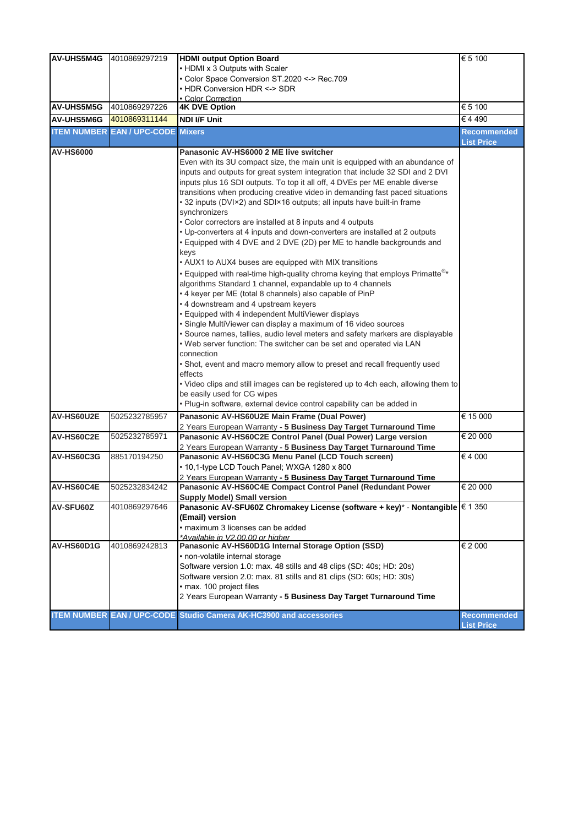| <b>AV-UHS5M4G</b> | 4010869297219                            | <b>HDMI output Option Board</b>                                                                  | € 5 100                          |
|-------------------|------------------------------------------|--------------------------------------------------------------------------------------------------|----------------------------------|
|                   |                                          | • HDMI x 3 Outputs with Scaler                                                                   |                                  |
|                   |                                          | Color Space Conversion ST.2020 <-> Rec.709                                                       |                                  |
|                   |                                          | • HDR Conversion HDR <-> SDR                                                                     |                                  |
|                   |                                          | · Color Correction                                                                               |                                  |
| <b>AV-UHS5M5G</b> | 4010869297226                            | <b>4K DVE Option</b>                                                                             | € 5 100                          |
| AV-UHS5M6G        | 4010869311144                            | <b>NDI I/F Unit</b>                                                                              | €4490                            |
|                   | <b>ITEM NUMBER EAN / UPC-CODE Mixers</b> |                                                                                                  | Recommended<br><b>List Price</b> |
| <b>AV-HS6000</b>  |                                          | Panasonic AV-HS6000 2 ME live switcher                                                           |                                  |
|                   |                                          | Even with its 3U compact size, the main unit is equipped with an abundance of                    |                                  |
|                   |                                          | inputs and outputs for great system integration that include 32 SDI and 2 DVI                    |                                  |
|                   |                                          | inputs plus 16 SDI outputs. To top it all off, 4 DVEs per ME enable diverse                      |                                  |
|                   |                                          | transitions when producing creative video in demanding fast paced situations                     |                                  |
|                   |                                          | • 32 inputs (DVI×2) and SDI×16 outputs; all inputs have built-in frame                           |                                  |
|                   |                                          | synchronizers                                                                                    |                                  |
|                   |                                          | • Color correctors are installed at 8 inputs and 4 outputs                                       |                                  |
|                   |                                          | • Up-converters at 4 inputs and down-converters are installed at 2 outputs                       |                                  |
|                   |                                          | • Equipped with 4 DVE and 2 DVE (2D) per ME to handle backgrounds and                            |                                  |
|                   |                                          | keys                                                                                             |                                  |
|                   |                                          | • AUX1 to AUX4 buses are equipped with MIX transitions                                           |                                  |
|                   |                                          | • Equipped with real-time high-quality chroma keying that employs Primatte <sup>®*</sup>         |                                  |
|                   |                                          | algorithms Standard 1 channel, expandable up to 4 channels                                       |                                  |
|                   |                                          | • 4 keyer per ME (total 8 channels) also capable of PinP<br>• 4 downstream and 4 upstream keyers |                                  |
|                   |                                          | • Equipped with 4 independent MultiViewer displays                                               |                                  |
|                   |                                          | · Single MultiViewer can display a maximum of 16 video sources                                   |                                  |
|                   |                                          | · Source names, tallies, audio level meters and safety markers are displayable                   |                                  |
|                   |                                          | • Web server function: The switcher can be set and operated via LAN                              |                                  |
|                   |                                          | connection                                                                                       |                                  |
|                   |                                          | • Shot, event and macro memory allow to preset and recall frequently used                        |                                  |
|                   |                                          | effects                                                                                          |                                  |
|                   |                                          | • Video clips and still images can be registered up to 4ch each, allowing them to                |                                  |
|                   |                                          | be easily used for CG wipes                                                                      |                                  |
|                   |                                          | • Plug-in software, external device control capability can be added in                           |                                  |
| AV-HS60U2E        | 5025232785957                            | Panasonic AV-HS60U2E Main Frame (Dual Power)                                                     | € 15 000                         |
|                   |                                          | 2 Years European Warranty - 5 Business Day Target Turnaround Time                                |                                  |
| AV-HS60C2E        | 5025232785971                            | Panasonic AV-HS60C2E Control Panel (Dual Power) Large version                                    | € 20 000                         |
|                   |                                          | 2 Years European Warranty - 5 Business Day Target Turnaround Time                                |                                  |
| AV-HS60C3G        | 885170194250                             | Panasonic AV-HS60C3G Menu Panel (LCD Touch screen)                                               | €4 000                           |
|                   |                                          | • 10,1-type LCD Touch Panel; WXGA 1280 x 800                                                     |                                  |
|                   |                                          | 2 Years European Warranty - 5 Business Day Target Turnaround Time                                |                                  |
| AV-HS60C4E        | 5025232834242                            | Panasonic AV-HS60C4E Compact Control Panel (Redundant Power                                      | € 20 000                         |
|                   |                                          | <b>Supply Model) Small version</b>                                                               |                                  |
| AV-SFU60Z         | 4010869297646                            | Panasonic AV-SFU60Z Chromakey License (software + key)* - Nontangible   € 1 350                  |                                  |
|                   |                                          | (Email) version                                                                                  |                                  |
|                   |                                          | · maximum 3 licenses can be added                                                                |                                  |
| AV-HS60D1G        | 4010869242813                            | *Available in V2.00.00 or higher<br>Panasonic AV-HS60D1G Internal Storage Option (SSD)           | € 2 000                          |
|                   |                                          | · non-volatile internal storage                                                                  |                                  |
|                   |                                          | Software version 1.0: max. 48 stills and 48 clips (SD: 40s; HD: 20s)                             |                                  |
|                   |                                          | Software version 2.0: max. 81 stills and 81 clips (SD: 60s; HD: 30s)                             |                                  |
|                   |                                          | · max. 100 project files                                                                         |                                  |
|                   |                                          | 2 Years European Warranty - 5 Business Day Target Turnaround Time                                |                                  |
|                   |                                          |                                                                                                  |                                  |
|                   |                                          | ITEM NUMBER EAN / UPC-CODE Studio Camera AK-HC3900 and accessories                               | Recommended                      |
|                   |                                          |                                                                                                  | <b>List Price</b>                |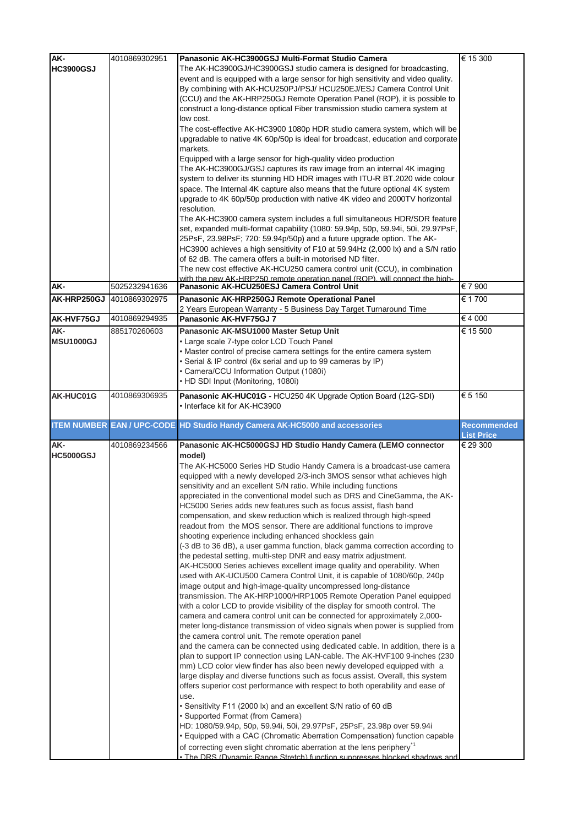| AK-                     | 4010869302951 | Panasonic AK-HC3900GSJ Multi-Format Studio Camera                                                                                                                                                                                                                                                                                                                                                                                                                                                                                                                                                                                                                                                                                                                                                                                                                                                                                                                                                                                                                                                                                                                                                                                                                                                                                                                                                                                                                                                                                                                                                                                                                                                                                                                                                                                                                                                                                                                                                                                                                                                                                                                                                                                                                            | € 15 300                                |
|-------------------------|---------------|------------------------------------------------------------------------------------------------------------------------------------------------------------------------------------------------------------------------------------------------------------------------------------------------------------------------------------------------------------------------------------------------------------------------------------------------------------------------------------------------------------------------------------------------------------------------------------------------------------------------------------------------------------------------------------------------------------------------------------------------------------------------------------------------------------------------------------------------------------------------------------------------------------------------------------------------------------------------------------------------------------------------------------------------------------------------------------------------------------------------------------------------------------------------------------------------------------------------------------------------------------------------------------------------------------------------------------------------------------------------------------------------------------------------------------------------------------------------------------------------------------------------------------------------------------------------------------------------------------------------------------------------------------------------------------------------------------------------------------------------------------------------------------------------------------------------------------------------------------------------------------------------------------------------------------------------------------------------------------------------------------------------------------------------------------------------------------------------------------------------------------------------------------------------------------------------------------------------------------------------------------------------------|-----------------------------------------|
| <b>HC3900GSJ</b>        |               | The AK-HC3900GJ/HC3900GSJ studio camera is designed for broadcasting,<br>event and is equipped with a large sensor for high sensitivity and video quality.<br>By combining with AK-HCU250PJ/PSJ/ HCU250EJ/ESJ Camera Control Unit<br>(CCU) and the AK-HRP250GJ Remote Operation Panel (ROP), it is possible to<br>construct a long-distance optical Fiber transmission studio camera system at<br>low cost.<br>The cost-effective AK-HC3900 1080p HDR studio camera system, which will be<br>upgradable to native 4K 60p/50p is ideal for broadcast, education and corporate<br>markets.<br>Equipped with a large sensor for high-quality video production<br>The AK-HC3900GJ/GSJ captures its raw image from an internal 4K imaging<br>system to deliver its stunning HD HDR images with ITU-R BT.2020 wide colour<br>space. The Internal 4K capture also means that the future optional 4K system<br>upgrade to 4K 60p/50p production with native 4K video and 2000TV horizontal                                                                                                                                                                                                                                                                                                                                                                                                                                                                                                                                                                                                                                                                                                                                                                                                                                                                                                                                                                                                                                                                                                                                                                                                                                                                                           |                                         |
|                         |               | resolution.<br>The AK-HC3900 camera system includes a full simultaneous HDR/SDR feature<br>set, expanded multi-format capability (1080: 59.94p, 50p, 59.94i, 50i, 29.97PsF,<br>25PsF, 23.98PsF; 720: 59.94p/50p) and a future upgrade option. The AK-<br>HC3900 achieves a high sensitivity of F10 at 59.94Hz (2,000 lx) and a S/N ratio<br>of 62 dB. The camera offers a built-in motorised ND filter.<br>The new cost effective AK-HCU250 camera control unit (CCU), in combination                                                                                                                                                                                                                                                                                                                                                                                                                                                                                                                                                                                                                                                                                                                                                                                                                                                                                                                                                                                                                                                                                                                                                                                                                                                                                                                                                                                                                                                                                                                                                                                                                                                                                                                                                                                        |                                         |
|                         |               | with the new AK-HRP250 remote operation panel (ROP), will connect the high-                                                                                                                                                                                                                                                                                                                                                                                                                                                                                                                                                                                                                                                                                                                                                                                                                                                                                                                                                                                                                                                                                                                                                                                                                                                                                                                                                                                                                                                                                                                                                                                                                                                                                                                                                                                                                                                                                                                                                                                                                                                                                                                                                                                                  |                                         |
| AK-                     | 5025232941636 | Panasonic AK-HCU250ESJ Camera Control Unit                                                                                                                                                                                                                                                                                                                                                                                                                                                                                                                                                                                                                                                                                                                                                                                                                                                                                                                                                                                                                                                                                                                                                                                                                                                                                                                                                                                                                                                                                                                                                                                                                                                                                                                                                                                                                                                                                                                                                                                                                                                                                                                                                                                                                                   | € 7 900                                 |
| AK-HRP250GJ             | 4010869302975 | Panasonic AK-HRP250GJ Remote Operational Panel<br>2 Years European Warranty - 5 Business Day Target Turnaround Time                                                                                                                                                                                                                                                                                                                                                                                                                                                                                                                                                                                                                                                                                                                                                                                                                                                                                                                                                                                                                                                                                                                                                                                                                                                                                                                                                                                                                                                                                                                                                                                                                                                                                                                                                                                                                                                                                                                                                                                                                                                                                                                                                          | € 1700                                  |
| AK-HVF75GJ              | 4010869294935 | Panasonic AK-HVF75GJ 7                                                                                                                                                                                                                                                                                                                                                                                                                                                                                                                                                                                                                                                                                                                                                                                                                                                                                                                                                                                                                                                                                                                                                                                                                                                                                                                                                                                                                                                                                                                                                                                                                                                                                                                                                                                                                                                                                                                                                                                                                                                                                                                                                                                                                                                       | €4 000                                  |
| AK-                     | 885170260603  | Panasonic AK-MSU1000 Master Setup Unit                                                                                                                                                                                                                                                                                                                                                                                                                                                                                                                                                                                                                                                                                                                                                                                                                                                                                                                                                                                                                                                                                                                                                                                                                                                                                                                                                                                                                                                                                                                                                                                                                                                                                                                                                                                                                                                                                                                                                                                                                                                                                                                                                                                                                                       | € 15 500                                |
| <b>MSU1000GJ</b>        |               | Large scale 7-type color LCD Touch Panel<br>• Master control of precise camera settings for the entire camera system<br>Serial & IP control (6x serial and up to 99 cameras by IP)<br>Camera/CCU Information Output (1080i)<br>• HD SDI Input (Monitoring, 1080i)                                                                                                                                                                                                                                                                                                                                                                                                                                                                                                                                                                                                                                                                                                                                                                                                                                                                                                                                                                                                                                                                                                                                                                                                                                                                                                                                                                                                                                                                                                                                                                                                                                                                                                                                                                                                                                                                                                                                                                                                            |                                         |
| AK-HUC01G               | 4010869306935 | Panasonic AK-HUC01G - HCU250 4K Upgrade Option Board (12G-SDI)<br>• Interface kit for AK-HC3900                                                                                                                                                                                                                                                                                                                                                                                                                                                                                                                                                                                                                                                                                                                                                                                                                                                                                                                                                                                                                                                                                                                                                                                                                                                                                                                                                                                                                                                                                                                                                                                                                                                                                                                                                                                                                                                                                                                                                                                                                                                                                                                                                                              | € 5 150                                 |
|                         |               | ITEM NUMBER EAN / UPC-CODE HD Studio Handy Camera AK-HC5000 and accessories                                                                                                                                                                                                                                                                                                                                                                                                                                                                                                                                                                                                                                                                                                                                                                                                                                                                                                                                                                                                                                                                                                                                                                                                                                                                                                                                                                                                                                                                                                                                                                                                                                                                                                                                                                                                                                                                                                                                                                                                                                                                                                                                                                                                  | <b>Recommended</b><br><b>List Price</b> |
| AK-<br><b>HC5000GSJ</b> | 4010869234566 | Panasonic AK-HC5000GSJ HD Studio Handy Camera (LEMO connector<br>model)<br>The AK-HC5000 Series HD Studio Handy Camera is a broadcast-use camera<br>equipped with a newly developed 2/3-inch 3MOS sensor wthat achieves high<br>sensitivity and an excellent S/N ratio. While including functions<br>appreciated in the conventional model such as DRS and CineGamma, the AK-<br>HC5000 Series adds new features such as focus assist, flash band<br>compensation, and skew reduction which is realized through high-speed<br>readout from the MOS sensor. There are additional functions to improve<br>shooting experience including enhanced shockless gain<br>(-3 dB to 36 dB), a user gamma function, black gamma correction according to<br>the pedestal setting, multi-step DNR and easy matrix adjustment.<br>AK-HC5000 Series achieves excellent image quality and operability. When<br>used with AK-UCU500 Camera Control Unit, it is capable of 1080/60p, 240p<br>image output and high-image-quality uncompressed long-distance<br>transmission. The AK-HRP1000/HRP1005 Remote Operation Panel equipped<br>with a color LCD to provide visibility of the display for smooth control. The<br>camera and camera control unit can be connected for approximately 2,000-<br>meter long-distance transmission of video signals when power is supplied from<br>the camera control unit. The remote operation panel<br>and the camera can be connected using dedicated cable. In addition, there is a<br>plan to support IP connection using LAN-cable. The AK-HVF100 9-inches (230<br>mm) LCD color view finder has also been newly developed equipped with a<br>large display and diverse functions such as focus assist. Overall, this system<br>offers superior cost performance with respect to both operability and ease of<br>use.<br>• Sensitivity F11 (2000 lx) and an excellent S/N ratio of 60 dB<br>• Supported Format (from Camera)<br>HD: 1080/59.94p, 50p, 59.94i, 50i, 29.97PsF, 25PsF, 23.98p over 59.94i<br>• Equipped with a CAC (Chromatic Aberration Compensation) function capable<br>of correcting even slight chromatic aberration at the lens periphery <sup>1</sup><br>The DRS (Dynamic Range Stretch) function suppresses blocked shadows and | € 29 300                                |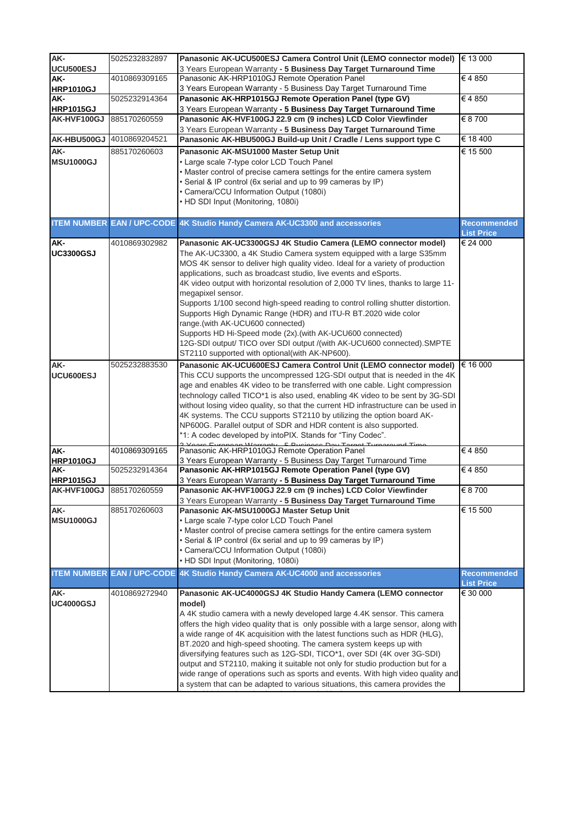| AK-                                          | 5025232832897 | Panasonic AK-UCU500ESJ Camera Control Unit (LEMO connector model)                                                                                               | € 13 000                    |
|----------------------------------------------|---------------|-----------------------------------------------------------------------------------------------------------------------------------------------------------------|-----------------------------|
| UCU500ESJ<br>AK-                             | 4010869309165 | 3 Years European Warranty - 5 Business Day Target Turnaround Time<br>Panasonic AK-HRP1010GJ Remote Operation Panel                                              | €4850                       |
|                                              |               | 3 Years European Warranty - 5 Business Day Target Turnaround Time                                                                                               |                             |
| <b>HRP1010GJ</b><br>AK-                      | 5025232914364 | Panasonic AK-HRP1015GJ Remote Operation Panel (type GV)                                                                                                         | €4850                       |
| <b>HRP1015GJ</b>                             |               | 3 Years European Warranty - 5 Business Day Target Turnaround Time                                                                                               |                             |
| AK-HVF100GJ                                  | 885170260559  | Panasonic AK-HVF100GJ 22.9 cm (9 inches) LCD Color Viewfinder                                                                                                   | € 8 700                     |
|                                              |               | 3 Years European Warranty - 5 Business Day Target Turnaround Time                                                                                               |                             |
| AK-HBU500GJ                                  | 4010869204521 | Panasonic AK-HBU500GJ Build-up Unit / Cradle / Lens support type C                                                                                              | € 18 400                    |
| AK-                                          | 885170260603  |                                                                                                                                                                 |                             |
| <b>MSU1000GJ</b>                             |               | Panasonic AK-MSU1000 Master Setup Unit<br>• Large scale 7-type color LCD Touch Panel                                                                            | € 15 500                    |
|                                              |               | Master control of precise camera settings for the entire camera system                                                                                          |                             |
|                                              |               | Serial & IP control (6x serial and up to 99 cameras by IP)                                                                                                      |                             |
|                                              |               | Camera/CCU Information Output (1080i)                                                                                                                           |                             |
|                                              |               | HD SDI Input (Monitoring, 1080i)                                                                                                                                |                             |
|                                              |               |                                                                                                                                                                 |                             |
|                                              |               | ITEM NUMBER EAN / UPC-CODE 4K Studio Handy Camera AK-UC3300 and accessories                                                                                     | <b>Recommended</b>          |
|                                              |               |                                                                                                                                                                 | <b>List Price</b>           |
| AK-                                          | 4010869302982 | Panasonic AK-UC3300GSJ 4K Studio Camera (LEMO connector model)                                                                                                  | € 24 000                    |
| <b>UC3300GSJ</b>                             |               | The AK-UC3300, a 4K Studio Camera system equipped with a large S35mm                                                                                            |                             |
|                                              |               | MOS 4K sensor to deliver high quality video. Ideal for a variety of production                                                                                  |                             |
|                                              |               | applications, such as broadcast studio, live events and eSports.                                                                                                |                             |
|                                              |               | 4K video output with horizontal resolution of 2,000 TV lines, thanks to large 11-                                                                               |                             |
|                                              |               | megapixel sensor.                                                                                                                                               |                             |
|                                              |               | Supports 1/100 second high-speed reading to control rolling shutter distortion.                                                                                 |                             |
|                                              |               | Supports High Dynamic Range (HDR) and ITU-R BT.2020 wide color                                                                                                  |                             |
|                                              |               | range.(with AK-UCU600 connected)                                                                                                                                |                             |
|                                              |               | Supports HD Hi-Speed mode (2x). (with AK-UCU600 connected)                                                                                                      |                             |
|                                              |               | 12G-SDI output/ TICO over SDI output /(with AK-UCU600 connected). SMPTE<br>ST2110 supported with optional(with AK-NP600).                                       |                             |
|                                              |               |                                                                                                                                                                 |                             |
| AK-                                          | 5025232883530 | Panasonic AK-UCU600ESJ Camera Control Unit (LEMO connector model)                                                                                               | € 16 000                    |
| UCU600ESJ                                    |               | This CCU supports the uncompressed 12G-SDI output that is needed in the 4K                                                                                      |                             |
|                                              |               | age and enables 4K video to be transferred with one cable. Light compression<br>technology called TICO*1 is also used, enabling 4K video to be sent by 3G-SDI   |                             |
|                                              |               | without losing video quality, so that the current HD infrastructure can be used in                                                                              |                             |
|                                              |               | 4K systems. The CCU supports ST2110 by utilizing the option board AK-                                                                                           |                             |
|                                              |               | NP600G. Parallel output of SDR and HDR content is also supported.                                                                                               |                             |
|                                              |               | *1: A codec developed by intoPIX. Stands for "Tiny Codec".                                                                                                      |                             |
|                                              |               |                                                                                                                                                                 |                             |
| AK-                                          | 4010869309165 | Panasonic AK-HRP1010GJ Remote Operation Panel                                                                                                                   | €4850                       |
| <b>HRP1010GJ</b>                             | 5025232914364 | 3 Years European Warranty - 5 Business Day Target Turnaround Time<br>Panasonic AK-HRP1015GJ Remote Operation Panel (type GV)                                    | €4850                       |
| AK-                                          |               |                                                                                                                                                                 |                             |
| <b>HRP1015GJ</b><br>AK-HVF100GJ 885170260559 |               | 3 Years European Warranty - 5 Business Day Target Turnaround Time<br>Panasonic AK-HVF100GJ 22.9 cm (9 inches) LCD Color Viewfinder                              | $\overline{\epsilon}$ 8 700 |
|                                              |               | 3 Years European Warranty - 5 Business Day Target Turnaround Time                                                                                               |                             |
| AK-                                          | 885170260603  | Panasonic AK-MSU1000GJ Master Setup Unit                                                                                                                        | € 15 500                    |
| <b>MSU1000GJ</b>                             |               | · Large scale 7-type color LCD Touch Panel                                                                                                                      |                             |
|                                              |               | Master control of precise camera settings for the entire camera system                                                                                          |                             |
|                                              |               | Serial & IP control (6x serial and up to 99 cameras by IP)                                                                                                      |                             |
|                                              |               | • Camera/CCU Information Output (1080i)                                                                                                                         |                             |
|                                              |               | • HD SDI Input (Monitoring, 1080i)                                                                                                                              |                             |
|                                              |               | ITEM NUMBER EAN / UPC-CODE 4K Studio Handy Camera AK-UC4000 and accessories                                                                                     | Recommended                 |
|                                              |               |                                                                                                                                                                 | <b>List Price</b>           |
| AK-                                          | 4010869272940 | Panasonic AK-UC4000GSJ 4K Studio Handy Camera (LEMO connector                                                                                                   | € 30 000                    |
| <b>UC4000GSJ</b>                             |               | model)                                                                                                                                                          |                             |
|                                              |               | A 4K studio camera with a newly developed large 4.4K sensor. This camera                                                                                        |                             |
|                                              |               | offers the high video quality that is only possible with a large sensor, along with                                                                             |                             |
|                                              |               | a wide range of 4K acquisition with the latest functions such as HDR (HLG),                                                                                     |                             |
|                                              |               | BT.2020 and high-speed shooting. The camera system keeps up with                                                                                                |                             |
|                                              |               | diversifying features such as 12G-SDI, TICO*1, over SDI (4K over 3G-SDI)                                                                                        |                             |
|                                              |               | output and ST2110, making it suitable not only for studio production but for a                                                                                  |                             |
|                                              |               | wide range of operations such as sports and events. With high video quality and<br>a system that can be adapted to various situations, this camera provides the |                             |
|                                              |               |                                                                                                                                                                 |                             |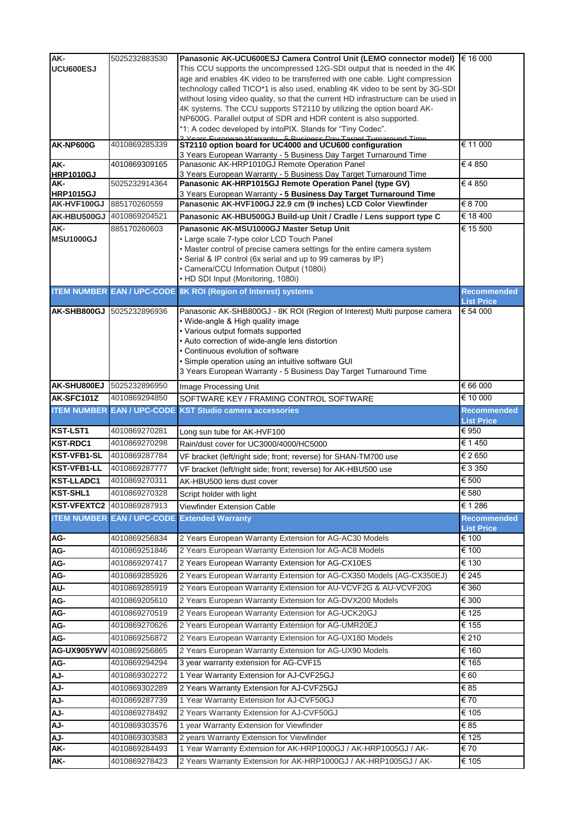| AK-                     | 5025232883530                                      | Panasonic AK-UCU600ESJ Camera Control Unit (LEMO connector model)   € 16 000                                                        |                                         |
|-------------------------|----------------------------------------------------|-------------------------------------------------------------------------------------------------------------------------------------|-----------------------------------------|
| UCU600ESJ               |                                                    | This CCU supports the uncompressed 12G-SDI output that is needed in the 4K                                                          |                                         |
|                         |                                                    | age and enables 4K video to be transferred with one cable. Light compression                                                        |                                         |
|                         |                                                    | technology called TICO*1 is also used, enabling 4K video to be sent by 3G-SDI                                                       |                                         |
|                         |                                                    | without losing video quality, so that the current HD infrastructure can be used in                                                  |                                         |
|                         |                                                    | 4K systems. The CCU supports ST2110 by utilizing the option board AK-                                                               |                                         |
|                         |                                                    | NP600G. Parallel output of SDR and HDR content is also supported.                                                                   |                                         |
|                         |                                                    | *1: A codec developed by intoPIX. Stands for "Tiny Codec".<br>European Warranty - 5 Rusiness Day Target Tu                          |                                         |
| AK-NP600G               | 4010869285339                                      | ST2110 option board for UC4000 and UCU600 configuration<br>3 Years European Warranty - 5 Business Day Target Turnaround Time        | € 11 000                                |
| AK-                     | 4010869309165                                      | Panasonic AK-HRP1010GJ Remote Operation Panel                                                                                       | €4850                                   |
| <b>HRP1010GJ</b>        |                                                    | 3 Years European Warranty - 5 Business Day Target Turnaround Time                                                                   |                                         |
| AK-                     | 5025232914364                                      | Panasonic AK-HRP1015GJ Remote Operation Panel (type GV)                                                                             | €4850                                   |
| <b>HRP1015GJ</b>        |                                                    | 3 Years European Warranty - 5 Business Day Target Turnaround Time<br>Panasonic AK-HVF100GJ 22.9 cm (9 inches) LCD Color Viewfinder  |                                         |
| AK-HVF100GJ             | 885170260559<br>4010869204521                      |                                                                                                                                     | € 8 700<br>€ 18 400                     |
| <b>AK-HBU500GJ</b>      | 885170260603                                       | Panasonic AK-HBU500GJ Build-up Unit / Cradle / Lens support type C                                                                  | € 15 500                                |
| AK-<br><b>MSU1000GJ</b> |                                                    | Panasonic AK-MSU1000GJ Master Setup Unit<br>• Large scale 7-type color LCD Touch Panel                                              |                                         |
|                         |                                                    | • Master control of precise camera settings for the entire camera system                                                            |                                         |
|                         |                                                    | · Serial & IP control (6x serial and up to 99 cameras by IP)                                                                        |                                         |
|                         |                                                    | • Camera/CCU Information Output (1080i)                                                                                             |                                         |
|                         |                                                    | • HD SDI Input (Monitoring, 1080i)                                                                                                  |                                         |
|                         |                                                    | <b>ITEM NUMBER EAN / UPC-CODE 8K ROI (Region of Interest) systems</b>                                                               | <b>Recommended</b><br><b>List Price</b> |
| AK-SHB800GJ             | 5025232896936                                      | Panasonic AK-SHB800GJ - 8K ROI (Region of Interest) Multi purpose camera                                                            | € 54 000                                |
|                         |                                                    | • Wide-angle & High quality image                                                                                                   |                                         |
|                         |                                                    | • Various output formats supported                                                                                                  |                                         |
|                         |                                                    | • Auto correction of wide-angle lens distortion                                                                                     |                                         |
|                         |                                                    | • Continuous evolution of software                                                                                                  |                                         |
|                         |                                                    | · Simple operation using an intuitive software GUI<br>3 Years European Warranty - 5 Business Day Target Turnaround Time             |                                         |
|                         |                                                    |                                                                                                                                     |                                         |
| AK-SHU800EJ             | 5025232896950                                      | Image Processing Unit                                                                                                               | € 66 000                                |
| AK-SFC101Z              | 4010869294850<br><b>ITEM NUMBER EAN / UPC-CODE</b> | SOFTWARE KEY / FRAMING CONTROL SOFTWARE<br><b>KST Studio camera accessories</b>                                                     | € 10 000                                |
|                         |                                                    |                                                                                                                                     | <b>Recommended</b><br><b>List Price</b> |
| <b>KST-LST1</b>         | 4010869270281                                      | Long sun tube for AK-HVF100                                                                                                         | € 950                                   |
| <b>KST-RDC1</b>         | 4010869270298                                      | Rain/dust cover for UC3000/4000/HC5000                                                                                              | € 1 450                                 |
| <b>KST-VFB1-SL</b>      | 4010869287784                                      | VF bracket (left/right side; front; reverse) for SHAN-TM700 use                                                                     | € 2 650                                 |
| <b>KST-VFB1-LL</b>      | 4010869287777                                      | VF bracket (left/right side; front; reverse) for AK-HBU500 use                                                                      | € 3 350                                 |
| <b>KST-LLADC1</b>       | 4010869270311                                      | AK-HBU500 lens dust cover                                                                                                           | € 500                                   |
| KST-SHL1                | 4010869270328                                      | Script holder with light                                                                                                            | € 580                                   |
| <b>KST-VFEXTC2</b>      | 4010869287913                                      | Viewfinder Extension Cable                                                                                                          | € 1 286                                 |
|                         |                                                    | <b>ITEM NUMBER EAN / UPC-CODE Extended Warranty</b>                                                                                 | <b>Recommended</b>                      |
| AG-                     | 4010869256834                                      | 2 Years European Warranty Extension for AG-AC30 Models                                                                              | <b>List Price</b><br>€ 100              |
| AG-                     | 4010869251846                                      | 2 Years European Warranty Extension for AG-AC8 Models                                                                               | € 100                                   |
| AG-                     | 4010869297417                                      | 2 Years European Warranty Extension for AG-CX10ES                                                                                   | € 130                                   |
| AG-                     | 4010869285926                                      | 2 Years European Warranty Extension for AG-CX350 Models (AG-CX350EJ)                                                                | € 245                                   |
|                         |                                                    | 2 Years European Warranty Extension for AU-VCVF2G & AU-VCVF20G                                                                      |                                         |
| AU-                     | 4010869285919                                      |                                                                                                                                     | € 360                                   |
| AG-                     | 4010869205610                                      | 2 Years European Warranty Extension for AG-DVX200 Models                                                                            | € 300                                   |
| AG-                     | 4010869270519                                      | 2 Years European Warranty Extension for AG-UCK20GJ                                                                                  | € 125                                   |
| AG-                     | 4010869270626                                      | 2 Years European Warranty Extension for AG-UMR20EJ                                                                                  | € 155                                   |
| AG-                     | 4010869256872                                      | 2 Years European Warranty Extension for AG-UX180 Models                                                                             | € 210                                   |
|                         |                                                    |                                                                                                                                     |                                         |
|                         | AG-UX905YWV 4010869256865                          | 2 Years European Warranty Extension for AG-UX90 Models                                                                              | € 160                                   |
| AG-                     | 4010869294294                                      | 3 year warranty extension for AG-CVF15                                                                                              | € 165                                   |
| AJ-                     | 4010869302272                                      | 1 Year Warranty Extension for AJ-CVF25GJ                                                                                            | € 60                                    |
| AJ-                     | 4010869302289                                      | 2 Years Warranty Extension for AJ-CVF25GJ                                                                                           | € 85                                    |
| AJ-                     | 4010869287739                                      | 1 Year Warranty Extension for AJ-CVF50GJ                                                                                            | € 70                                    |
| AJ-                     | 4010869278492                                      | 2 Years Warranty Extension for AJ-CVF50GJ                                                                                           | € 105                                   |
| AJ-                     | 4010869303576                                      | 1 year Warranty Extension for Viewfinder                                                                                            | €85                                     |
| AJ-                     | 4010869303583                                      | 2 years Warranty Extension for Viewfinder                                                                                           | € 125                                   |
| AK-                     | 4010869284493                                      | 1 Year Warranty Extension for AK-HRP1000GJ / AK-HRP1005GJ / AK-<br>2 Years Warranty Extension for AK-HRP1000GJ / AK-HRP1005GJ / AK- | € 70<br>€ 105                           |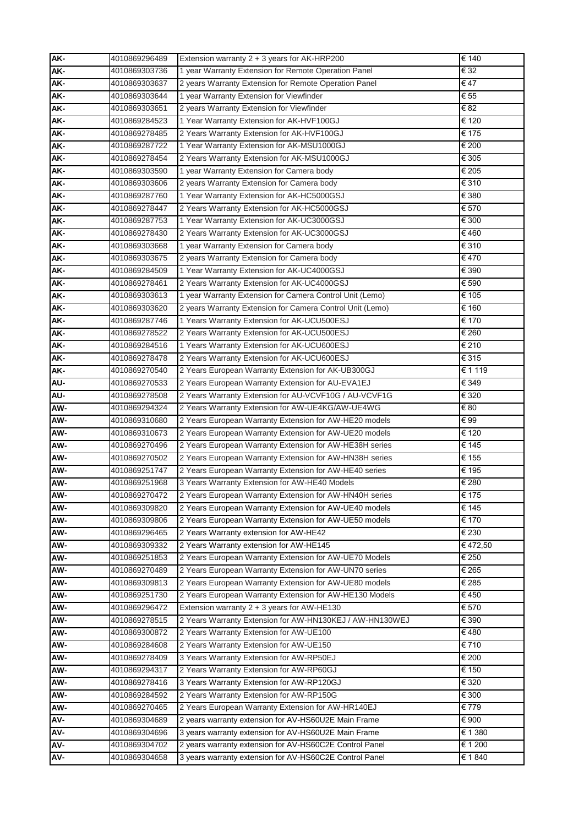| AK-        | 4010869296489                  | Extension warranty $2 + 3$ years for AK-HRP200                                                             | € 140                             |
|------------|--------------------------------|------------------------------------------------------------------------------------------------------------|-----------------------------------|
| AK-        | 4010869303736                  | 1 year Warranty Extension for Remote Operation Panel                                                       | € 32                              |
| AK-        | 4010869303637                  | 2 years Warranty Extension for Remote Operation Panel                                                      | €47                               |
| AK-        | 4010869303644                  | 1 year Warranty Extension for Viewfinder                                                                   | € 55                              |
| AK-        | 4010869303651                  | 2 years Warranty Extension for Viewfinder                                                                  | € 82                              |
| AK-        | 4010869284523                  | 1 Year Warranty Extension for AK-HVF100GJ                                                                  | € 120                             |
| AK-        | 4010869278485                  | 2 Years Warranty Extension for AK-HVF100GJ                                                                 | € 175                             |
| AK-        | 4010869287722                  | 1 Year Warranty Extension for AK-MSU1000GJ                                                                 | $\overline{\epsilon}$ 200         |
| AK-        | 4010869278454                  | 2 Years Warranty Extension for AK-MSU1000GJ                                                                | € 305                             |
| AK-        | 4010869303590                  | 1 year Warranty Extension for Camera body                                                                  | € 205                             |
| AK-        | 4010869303606                  | 2 years Warranty Extension for Camera body                                                                 | € 310                             |
| AK-        | 4010869287760                  | 1 Year Warranty Extension for AK-HC5000GSJ                                                                 | € 380                             |
| AK-        | 4010869278447                  | 2 Years Warranty Extension for AK-HC5000GSJ                                                                | € 570                             |
| AK-        | 4010869287753                  | 1 Year Warranty Extension for AK-UC3000GSJ                                                                 | € 300                             |
| AK-        | 4010869278430                  | 2 Years Warranty Extension for AK-UC3000GSJ                                                                | €460                              |
| AK-        | 4010869303668                  | 1 year Warranty Extension for Camera body                                                                  | $\overline{\epsilon}$ 310         |
| AK-        | 4010869303675                  | 2 years Warranty Extension for Camera body                                                                 | €470                              |
| AK-        | 4010869284509                  | 1 Year Warranty Extension for AK-UC4000GSJ                                                                 | € 390                             |
| AK-        | 4010869278461                  | 2 Years Warranty Extension for AK-UC4000GSJ                                                                | € 590                             |
| AK-        | 4010869303613                  | 1 year Warranty Extension for Camera Control Unit (Lemo)                                                   | € 105                             |
| AK-        | 4010869303620                  | 2 years Warranty Extension for Camera Control Unit (Lemo)                                                  | € 160                             |
| AK-        | 4010869287746                  | 1 Years Warranty Extension for AK-UCU500ESJ                                                                | € 170                             |
| AK-        | 4010869278522                  | 2 Years Warranty Extension for AK-UCU500ESJ                                                                | € 260                             |
| AK-        | 4010869284516                  | 1 Years Warranty Extension for AK-UCU600ESJ                                                                | € 210                             |
| AK-        | 4010869278478                  | 2 Years Warranty Extension for AK-UCU600ESJ                                                                | € 315                             |
| AK-        | 4010869270540                  | 2 Years European Warranty Extension for AK-UB300GJ                                                         | € 1 119                           |
| AU-        | 4010869270533                  | 2 Years European Warranty Extension for AU-EVA1EJ                                                          | € 349                             |
| AU-<br>AW- | 4010869278508<br>4010869294324 | 2 Years Warranty Extension for AU-VCVF10G / AU-VCVF1G                                                      | € 320<br>$\overline{\epsilon}$ 80 |
| AW-        | 4010869310680                  | 2 Years Warranty Extension for AW-UE4KG/AW-UE4WG<br>2 Years European Warranty Extension for AW-HE20 models | € 99                              |
| AW-        | 4010869310673                  | 2 Years European Warranty Extension for AW-UE20 models                                                     | € 120                             |
| AW-        | 4010869270496                  | 2 Years European Warranty Extension for AW-HE38H series                                                    | € 145                             |
| AW-        | 4010869270502                  | 2 Years European Warranty Extension for AW-HN38H series                                                    | € 155                             |
| AW-        | 4010869251747                  | 2 Years European Warranty Extension for AW-HE40 series                                                     | € 195                             |
| AW-        | 4010869251968                  | 3 Years Warranty Extension for AW-HE40 Models                                                              | € 280                             |
| AW-        | 4010869270472                  | 2 Years European Warranty Extension for AW-HN40H series                                                    | € 175                             |
| AW-        | 4010869309820                  | 2 Years European Warranty Extension for AW-UE40 models                                                     | € 145                             |
| $AW-$      | 4010869309806                  | 2 Years European Warranty Extension for AW-UE50 models                                                     | € 170                             |
| AW-        | 4010869296465                  | 2 Years Warranty extension for AW-HE42                                                                     | € 230                             |
| AW-        | 4010869309332                  | 2 Years Warranty extension for AW-HE145                                                                    | €472,50                           |
| AW-        | 4010869251853                  | 2 Years European Warranty Extension for AW-UE70 Models                                                     | $\overline{\epsilon}$ 250         |
| AW-        | 4010869270489                  | 2 Years European Warranty Extension for AW-UN70 series                                                     | € 265                             |
| AW-        | 4010869309813                  | 2 Years European Warranty Extension for AW-UE80 models                                                     | € 285                             |
| AW-        | 4010869251730                  | 2 Years European Warranty Extension for AW-HE130 Models                                                    | €450                              |
| AW-        | 4010869296472                  | Extension warranty 2 + 3 years for AW-HE130                                                                | € 570                             |
| AW-        | 4010869278515                  | 2 Years Warranty Extension for AW-HN130KEJ / AW-HN130WEJ                                                   | € 390                             |
| AW-        | 4010869300872                  | 2 Years Warranty Extension for AW-UE100                                                                    | €480                              |
| AW-        | 4010869284608                  | 2 Years Warranty Extension for AW-UE150                                                                    | € 710                             |
| AW-        | 4010869278409                  | 3 Years Warranty Extension for AW-RP50EJ                                                                   | € 200                             |
| AW-        | 4010869294317                  | 2 Years Warranty Extension for AW-RP60GJ                                                                   | € 150                             |
| AW-        | 4010869278416                  | 3 Years Warranty Extension for AW-RP120GJ                                                                  | € 320                             |
| AW-        | 4010869284592<br>4010869270465 | 2 Years Warranty Extension for AW-RP150G<br>2 Years European Warranty Extension for AW-HR140EJ             | € 300<br>€ 779                    |
| AW-<br>AV- | 4010869304689                  | 2 years warranty extension for AV-HS60U2E Main Frame                                                       | € 900                             |
| AV-        | 4010869304696                  | 3 years warranty extension for AV-HS60U2E Main Frame                                                       | € 1 380                           |
| AV-        | 4010869304702                  | 2 years warranty extension for AV-HS60C2E Control Panel                                                    | € 1 200                           |
| AV-        | 4010869304658                  | 3 years warranty extension for AV-HS60C2E Control Panel                                                    | € 1 840                           |
|            |                                |                                                                                                            |                                   |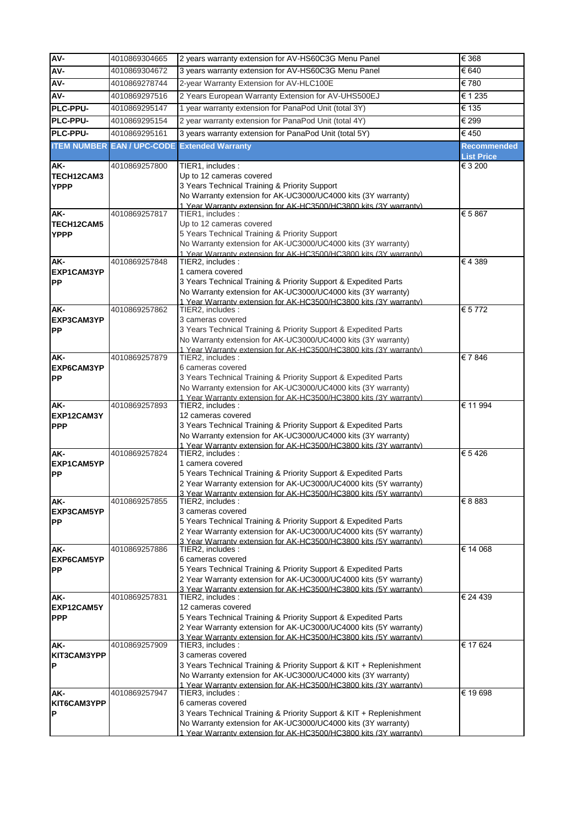| AV-                | 4010869304665 | 2 years warranty extension for AV-HS60C3G Menu Panel                                                                                 | € 368                      |
|--------------------|---------------|--------------------------------------------------------------------------------------------------------------------------------------|----------------------------|
| AV-                | 4010869304672 | 3 years warranty extension for AV-HS60C3G Menu Panel                                                                                 | € 640                      |
| AV-                | 4010869278744 | 2-year Warranty Extension for AV-HLC100E                                                                                             | € 780                      |
| $AV-$              | 4010869297516 | 2 Years European Warranty Extension for AV-UHS500EJ                                                                                  | € 1 235                    |
|                    |               |                                                                                                                                      |                            |
| PLC-PPU-           | 4010869295147 | 1 year warranty extension for PanaPod Unit (total 3Y)                                                                                | € 135                      |
| PLC-PPU-           | 4010869295154 | 2 year warranty extension for PanaPod Unit (total 4Y)                                                                                | € 299                      |
| PLC-PPU-           | 4010869295161 | 3 years warranty extension for PanaPod Unit (total 5Y)                                                                               | €450                       |
| <b>ITEM NUMBER</b> |               | <b>EAN / UPC-CODE Extended Warranty</b>                                                                                              | <b>Recommended</b>         |
|                    |               |                                                                                                                                      | <b>List Price</b>          |
| AK-                | 4010869257800 | TIER1, includes:                                                                                                                     | € 3 200                    |
| TECH12CAM3         |               | Up to 12 cameras covered                                                                                                             |                            |
| <b>YPPP</b>        |               | 3 Years Technical Training & Priority Support<br>No Warranty extension for AK-UC3000/UC4000 kits (3Y warranty)                       |                            |
|                    |               | 1 Year Warranty extension for AK-HC3500/HC3800 kits (3Y warranty)                                                                    |                            |
| AK-                | 4010869257817 | TIER1, includes :                                                                                                                    | € 5 867                    |
| TECH12CAM5         |               | Up to 12 cameras covered                                                                                                             |                            |
| <b>YPPP</b>        |               | 5 Years Technical Training & Priority Support                                                                                        |                            |
|                    |               | No Warranty extension for AK-UC3000/UC4000 kits (3Y warranty)                                                                        |                            |
|                    |               | 1 Year Warranty extension for AK-HC3500/HC3800 kits (3Y warranty)                                                                    | €4 389                     |
| AK-<br>EXP1CAM3YP  | 4010869257848 | TIER2, includes :<br>1 camera covered                                                                                                |                            |
| <b>PP</b>          |               | 3 Years Technical Training & Priority Support & Expedited Parts                                                                      |                            |
|                    |               | No Warranty extension for AK-UC3000/UC4000 kits (3Y warranty)                                                                        |                            |
|                    |               | 1 Year Warranty extension for AK-HC3500/HC3800 kits (3Y warranty)                                                                    |                            |
| AK-                | 4010869257862 | TIER2, includes :                                                                                                                    | $\overline{\epsilon$ 5 772 |
| EXP3CAM3YP         |               | 3 cameras covered                                                                                                                    |                            |
| <b>PP</b>          |               | 3 Years Technical Training & Priority Support & Expedited Parts                                                                      |                            |
|                    |               | No Warranty extension for AK-UC3000/UC4000 kits (3Y warranty)                                                                        |                            |
| AK-                | 4010869257879 | 1 Year Warranty extension for AK-HC3500/HC3800 kits (3Y warranty)<br>TIER2, includes :                                               | €7846                      |
| EXP6CAM3YP         |               | 6 cameras covered                                                                                                                    |                            |
| <b>PP</b>          |               | 3 Years Technical Training & Priority Support & Expedited Parts                                                                      |                            |
|                    |               | No Warranty extension for AK-UC3000/UC4000 kits (3Y warranty)                                                                        |                            |
|                    |               | 1 Year Warranty extension for AK-HC3500/HC3800 kits (3Y warranty)                                                                    |                            |
| AK-<br>EXP12CAM3Y  | 4010869257893 | TIER2, includes :<br>12 cameras covered                                                                                              | € 11 994                   |
| <b>PPP</b>         |               | 3 Years Technical Training & Priority Support & Expedited Parts                                                                      |                            |
|                    |               | No Warranty extension for AK-UC3000/UC4000 kits (3Y warranty)                                                                        |                            |
|                    |               | 1 Year Warranty extension for AK-HC3500/HC3800 kits (3Y warranty)                                                                    |                            |
| AK-                | 4010869257824 | TIER2, includes :                                                                                                                    | € 5426                     |
| EXP1CAM5YP         |               | 1 camera covered                                                                                                                     |                            |
| <b>PP</b>          |               | 5 Years Technical Training & Priority Support & Expedited Parts<br>2 Year Warranty extension for AK-UC3000/UC4000 kits (5Y warranty) |                            |
|                    |               | <u> Year Warranty extension for AK-HC3500/HC3800 kits (5Y warranty)</u>                                                              |                            |
| AK-                | 4010869257855 | TIER2, includes :                                                                                                                    | €8883                      |
| EXP3CAM5YP         |               | 3 cameras covered                                                                                                                    |                            |
| <b>PP</b>          |               | 5 Years Technical Training & Priority Support & Expedited Parts                                                                      |                            |
|                    |               | 2 Year Warranty extension for AK-UC3000/UC4000 kits (5Y warranty)                                                                    |                            |
| AK-                | 4010869257886 | 3 Year Warranty extension for AK-HC3500/HC3800 kits (5Y warranty)<br>TIER2, includes :                                               | € 14 068                   |
| EXP6CAM5YP         |               | 6 cameras covered                                                                                                                    |                            |
| <b>PP</b>          |               | 5 Years Technical Training & Priority Support & Expedited Parts                                                                      |                            |
|                    |               | 2 Year Warranty extension for AK-UC3000/UC4000 kits (5Y warranty)                                                                    |                            |
|                    |               | 3 Year Warranty extension for AK-HC3500/HC3800 kits (5Y warranty)                                                                    |                            |
| AK-                | 4010869257831 | TIER2, includes :                                                                                                                    | € 24 439                   |
| EXP12CAM5Y         |               | 12 cameras covered                                                                                                                   |                            |
| <b>PPP</b>         |               | 5 Years Technical Training & Priority Support & Expedited Parts<br>2 Year Warranty extension for AK-UC3000/UC4000 kits (5Y warranty) |                            |
|                    |               | 3 Year Warranty extension for AK-HC3500/HC3800 kits (5Y warranty)                                                                    |                            |
| AK-                | 4010869257909 | TIER3, includes :                                                                                                                    | € 17 624                   |
| KIT3CAM3YPP        |               | 3 cameras covered                                                                                                                    |                            |
| P                  |               | 3 Years Technical Training & Priority Support & KIT + Replenishment                                                                  |                            |
|                    |               | No Warranty extension for AK-UC3000/UC4000 kits (3Y warranty)                                                                        |                            |
| AK-                | 4010869257947 | 1 Year Warranty extension for AK-HC3500/HC3800 kits (3Y warranty)<br>TIER3, includes :                                               | € 19 698                   |
| KIT6CAM3YPP        |               | 6 cameras covered                                                                                                                    |                            |
| P                  |               | 3 Years Technical Training & Priority Support & KIT + Replenishment                                                                  |                            |
|                    |               | No Warranty extension for AK-UC3000/UC4000 kits (3Y warranty)                                                                        |                            |
|                    |               | 1 Year Warranty extension for AK-HC3500/HC3800 kits (3Y warranty)                                                                    |                            |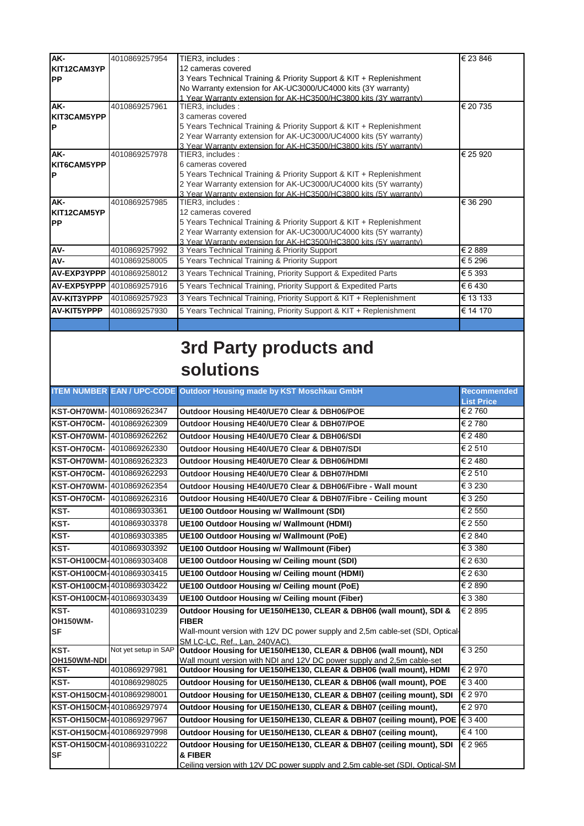| AK-                | 4010869257954                     | TIER3, includes :                                                                                                  | € 23 846                   |
|--------------------|-----------------------------------|--------------------------------------------------------------------------------------------------------------------|----------------------------|
| KIT12CAM3YP        |                                   | 12 cameras covered                                                                                                 |                            |
| <b>PP</b>          |                                   | 3 Years Technical Training & Priority Support & KIT + Replenishment                                                |                            |
|                    |                                   | No Warranty extension for AK-UC3000/UC4000 kits (3Y warranty)                                                      |                            |
|                    |                                   | 1 Year Warranty extension for AK-HC3500/HC3800 kits (3Y warranty)                                                  |                            |
| AK-                | 4010869257961                     | TIER3, includes :                                                                                                  | € 20 735                   |
| KIT3CAM5YPP        |                                   | 3 cameras covered                                                                                                  |                            |
| P                  |                                   | 5 Years Technical Training & Priority Support & KIT + Replenishment                                                |                            |
|                    |                                   | 2 Year Warranty extension for AK-UC3000/UC4000 kits (5Y warranty)                                                  |                            |
| AK-                | 4010869257978                     | 3 Year Warranty extension for AK-HC3500/HC3800 kits (5Y warranty)<br>TIER3, includes :                             | € 25 920                   |
| KIT6CAM5YPP        |                                   | 6 cameras covered                                                                                                  |                            |
| P                  |                                   | 5 Years Technical Training & Priority Support & KIT + Replenishment                                                |                            |
|                    |                                   | 2 Year Warranty extension for AK-UC3000/UC4000 kits (5Y warranty)                                                  |                            |
|                    |                                   | 3 Year Warranty extension for AK-HC3500/HC3800 kits (5Y warranty)                                                  |                            |
| AK-                | 4010869257985                     | TIER3, includes :                                                                                                  | € 36 290                   |
| KIT12CAM5YP        |                                   | 12 cameras covered                                                                                                 |                            |
| <b>PP</b>          |                                   | 5 Years Technical Training & Priority Support & KIT + Replenishment                                                |                            |
|                    |                                   | 2 Year Warranty extension for AK-UC3000/UC4000 kits (5Y warranty)                                                  |                            |
| AV-                | 4010869257992                     | 3 Year Warranty extension for AK-HC3500/HC3800 kits (5Y warranty)<br>3 Years Technical Training & Priority Support | € 2 889                    |
| AV-                | 4010869258005                     | 5 Years Technical Training & Priority Support                                                                      | € 5 296                    |
| AV-EXP3YPPP        | 4010869258012                     | 3 Years Technical Training, Priority Support & Expedited Parts                                                     | € 5 3 9 3                  |
|                    | AV-EXP5YPPP 4010869257916         | 5 Years Technical Training, Priority Support & Expedited Parts                                                     | € 6 430                    |
| AV-KIT3YPPP        | 4010869257923                     | 3 Years Technical Training, Priority Support & KIT + Replenishment                                                 | € 13 133                   |
| <b>AV-KIT5YPPP</b> | 4010869257930                     | 5 Years Technical Training, Priority Support & KIT + Replenishment                                                 | € 14 170                   |
|                    |                                   |                                                                                                                    |                            |
|                    |                                   |                                                                                                                    |                            |
|                    |                                   | 3rd Party products and                                                                                             |                            |
|                    |                                   | <b>solutions</b>                                                                                                   |                            |
|                    |                                   |                                                                                                                    |                            |
|                    | <b>ITEM NUMBER EAN / UPC-CODE</b> | <b>Outdoor Housing made by KST Moschkau GmbH</b>                                                                   | <b>Recommended</b>         |
|                    |                                   |                                                                                                                    | <b>List Price</b>          |
|                    | KST-OH70WM-14010869262347         | Outdoor Housing HE40/UE70 Clear & DBH06/POE                                                                        | € 2760                     |
| KST-OH70CM-        | 4010869262309                     | Outdoor Housing HE40/UE70 Clear & DBH07/POE                                                                        | $\overline{\epsilon$ 2 780 |
|                    | KST-OH70WM-14010869262262         | Outdoor Housing HE40/UE70 Clear & DBH06/SDI                                                                        | € 2 480                    |

|                 | KSI-UH/UWM-14010869Z6Z347 | Outdoor Housing HE40/UE70 Clear & DBH06/POE                                    | € 2 7 0U |
|-----------------|---------------------------|--------------------------------------------------------------------------------|----------|
| KST-OH70CM-     | 4010869262309             | Outdoor Housing HE40/UE70 Clear & DBH07/POE                                    | € 2780   |
|                 | KST-OH70WM-14010869262262 | Outdoor Housing HE40/UE70 Clear & DBH06/SDI                                    | € 2 480  |
|                 | KST-OH70CM- 4010869262330 | Outdoor Housing HE40/UE70 Clear & DBH07/SDI                                    | € 2 510  |
| KST-OH70WM-     | 4010869262323             | Outdoor Housing HE40/UE70 Clear & DBH06/HDMI                                   | € 2 480  |
| KST-OH70CM-     | 4010869262293             | Outdoor Housing HE40/UE70 Clear & DBH07/HDMI                                   | € 2 510  |
| KST-OH70WM-     | 4010869262354             | Outdoor Housing HE40/UE70 Clear & DBH06/Fibre - Wall mount                     | € 3 230  |
| KST-OH70CM-     | 4010869262316             | Outdoor Housing HE40/UE70 Clear & DBH07/Fibre - Ceiling mount                  | € 3 250  |
| KST-            | 4010869303361             | <b>UE100 Outdoor Housing w/ Wallmount (SDI)</b>                                | € 2 550  |
| KST-            | 4010869303378             | <b>UE100 Outdoor Housing w/ Wallmount (HDMI)</b>                               | € 2 550  |
| <b>KST-</b>     | 4010869303385             | <b>UE100 Outdoor Housing w/ Wallmount (PoE)</b>                                | € 2 840  |
| KST-            | 4010869303392             | <b>UE100 Outdoor Housing w/ Wallmount (Fiber)</b>                              | € 3 380  |
|                 | KST-OH100CM-4010869303408 | <b>UE100 Outdoor Housing w/ Ceiling mount (SDI)</b>                            | € 2 630  |
|                 | KST-OH100CM-4010869303415 | <b>UE100 Outdoor Housing w/ Ceiling mount (HDMI)</b>                           | € 2 630  |
|                 | KST-OH100CM-4010869303422 | <b>UE100 Outdoor Housing w/ Ceiling mount (PoE)</b>                            | € 2 890  |
|                 | KST-OH100CM-4010869303439 | UE100 Outdoor Housing w/ Ceiling mount (Fiber)                                 | € 3 380  |
| KST-            | 4010869310239             | Outdoor Housing for UE150/HE130, CLEAR & DBH06 (wall mount), SDI &             | € 2 895  |
| <b>OH150WM-</b> |                           | <b>FIBER</b>                                                                   |          |
| <b>SF</b>       |                           | Wall-mount version with 12V DC power supply and 2,5m cable-set (SDI, Optical-  |          |
|                 |                           | SM LC-LC, Ref., Lan, 240VAC)                                                   |          |
| KST-            | Not yet setup in SAP      | Outdoor Housing for UE150/HE130, CLEAR & DBH06 (wall mount), NDI               | € 3 250  |
| OH150WM-NDI     |                           | Wall mount version with NDI and 12V DC power supply and 2,5m cable-set         |          |
| KST-            | 4010869297981             | Outdoor Housing for UE150/HE130, CLEAR & DBH06 (wall mount), HDMI              | € 2 970  |
| <b>KST-</b>     | 4010869298025             | Outdoor Housing for UE150/HE130, CLEAR & DBH06 (wall mount), POE               | € 3 400  |
|                 | KST-OH150CM-4010869298001 | Outdoor Housing for UE150/HE130, CLEAR & DBH07 (ceiling mount), SDI            | € 2 970  |
|                 | KST-OH150CM-4010869297974 | Outdoor Housing for UE150/HE130, CLEAR & DBH07 (ceiling mount),                | € 2 970  |
|                 | KST-OH150CM-4010869297967 | Outdoor Housing for UE150/HE130, CLEAR & DBH07 (ceiling mount), POE            | € 3 400  |
|                 | KST-OH150CM-4010869297998 | Outdoor Housing for UE150/HE130, CLEAR & DBH07 (ceiling mount),                | €4 100   |
| <b>SF</b>       | KST-OH150CM-4010869310222 | Outdoor Housing for UE150/HE130, CLEAR & DBH07 (ceiling mount), SDI<br>& FIBER | € 2 965  |
|                 |                           | Ceiling version with 12V DC power supply and 2.5m cable-set (SDI. Optical-SM   |          |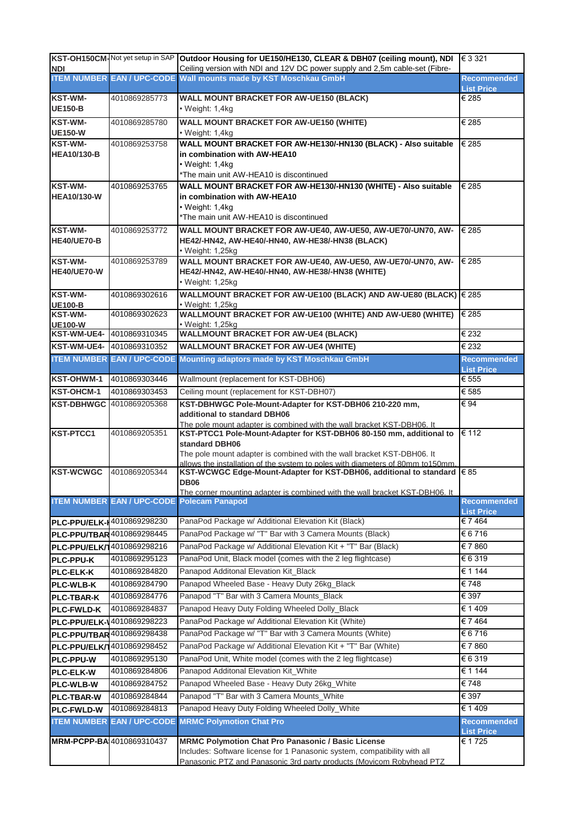|                                  |                                   | KST-OH150CM-Not yet setup in SAP   Outdoor Housing for UE150/HE130, CLEAR & DBH07 (ceiling mount), NDI                                                    | € 3 3 2 1                               |
|----------------------------------|-----------------------------------|-----------------------------------------------------------------------------------------------------------------------------------------------------------|-----------------------------------------|
| <b>NDI</b>                       |                                   | Ceiling version with NDI and 12V DC power supply and 2,5m cable-set (Fibre-<br><b>ITEM NUMBER EAN / UPC-CODE Wall mounts made by KST Moschkau GmbH</b>    | <b>Recommended</b>                      |
|                                  |                                   |                                                                                                                                                           | <b>List Price</b>                       |
| KST-WM-                          | 4010869285773                     | WALL MOUNT BRACKET FOR AW-UE150 (BLACK)                                                                                                                   | € 285                                   |
| <b>UE150-B</b>                   |                                   | · Weight: 1,4kg                                                                                                                                           |                                         |
| <b>KST-WM-</b><br><b>UE150-W</b> | 4010869285780                     | WALL MOUNT BRACKET FOR AW-UE150 (WHITE)<br>• Weight: 1,4kg                                                                                                | € 285                                   |
| KST-WM-                          | 4010869253758                     | WALL MOUNT BRACKET FOR AW-HE130/-HN130 (BLACK) - Also suitable                                                                                            | $\sqrt{\epsilon}$ 285                   |
| <b>HEA10/130-B</b>               |                                   | in combination with AW-HEA10                                                                                                                              |                                         |
|                                  |                                   | · Weight: 1,4kg<br>*The main unit AW-HEA10 is discontinued                                                                                                |                                         |
| <b>KST-WM-</b>                   | 4010869253765                     | WALL MOUNT BRACKET FOR AW-HE130/-HN130 (WHITE) - Also suitable                                                                                            | € 285                                   |
| <b>HEA10/130-W</b>               |                                   | in combination with AW-HEA10                                                                                                                              |                                         |
|                                  |                                   | • Weight: 1,4kg                                                                                                                                           |                                         |
|                                  |                                   | *The main unit AW-HEA10 is discontinued                                                                                                                   |                                         |
| <b>KST-WM-</b>                   | 4010869253772                     | WALL MOUNT BRACKET FOR AW-UE40, AW-UE50, AW-UE70/-UN70, AW-                                                                                               | € 285                                   |
| <b>HE40/UE70-B</b>               |                                   | HE42/-HN42, AW-HE40/-HN40, AW-HE38/-HN38 (BLACK)<br>• Weight: 1,25kg                                                                                      |                                         |
| <b>KST-WM-</b>                   | 4010869253789                     | WALL MOUNT BRACKET FOR AW-UE40, AW-UE50, AW-UE70/-UN70, AW-                                                                                               | € 285                                   |
| <b>HE40/UE70-W</b>               |                                   | HE42/-HN42, AW-HE40/-HN40, AW-HE38/-HN38 (WHITE)                                                                                                          |                                         |
|                                  |                                   | • Weight: 1,25kg                                                                                                                                          |                                         |
| KST-WM-<br><b>UE100-B</b>        | 4010869302616                     | WALLMOUNT BRACKET FOR AW-UE100 (BLACK) AND AW-UE80 (BLACK) € 285<br>• Weiaht: 1.25ka                                                                      |                                         |
| KST-WM-                          | 4010869302623                     | WALLMOUNT BRACKET FOR AW-UE100 (WHITE) AND AW-UE80 (WHITE)                                                                                                | € 285                                   |
| <b>UE100-W</b>                   |                                   | • Weight: 1,25kg                                                                                                                                          |                                         |
| <b>KST-WM-UE4-</b>               | 4010869310345                     | <b>WALLMOUNT BRACKET FOR AW-UE4 (BLACK)</b>                                                                                                               | € 232                                   |
| <b>KST-WM-UE4-</b>               | 4010869310352                     | <b>WALLMOUNT BRACKET FOR AW-UE4 (WHITE)</b>                                                                                                               | € 232                                   |
|                                  | <b>ITEM NUMBER EAN / UPC-CODE</b> | Mounting adaptors made by KST Moschkau GmbH                                                                                                               | <b>Recommended</b><br><b>List Price</b> |
| KST-OHWM-1                       | 4010869303446                     | Wallmount (replacement for KST-DBH06)                                                                                                                     | € 555                                   |
| KST-OHCM-1                       | 4010869303453                     | Ceiling mount (replacement for KST-DBH07)                                                                                                                 | € 585                                   |
|                                  | KST-DBHWGC 4010869205368          | KST-DBHWGC Pole-Mount-Adapter for KST-DBH06 210-220 mm,                                                                                                   | € 94                                    |
|                                  |                                   | additional to standard DBH06<br>The pole mount adapter is combined with the wall bracket KST-DBH06. It                                                    |                                         |
| <b>KST-PTCC1</b>                 | 4010869205351                     | KST-PTCC1 Pole-Mount-Adapter for KST-DBH06 80-150 mm, additional to                                                                                       | € 112                                   |
|                                  |                                   | standard DBH06                                                                                                                                            |                                         |
|                                  |                                   | The pole mount adapter is combined with the wall bracket KST-DBH06. It<br>allows the installation of the system to poles with diameters of 80mm to 150mm. |                                         |
| <b>KST-WCWGC</b>                 | 4010869205344                     | KST-WCWGC Edge-Mount-Adapter for KST-DBH06, additional to standard                                                                                        | $\epsilon$ 85                           |
|                                  |                                   | <b>DB06</b>                                                                                                                                               |                                         |
|                                  |                                   | The corner mounting adapter is combined with the wall bracket KST-DBH06. It<br><b>ITEM NUMBER EAN / UPC-CODE Polecam Panapod</b>                          | <b>Recommended</b>                      |
|                                  |                                   |                                                                                                                                                           | <b>List Price</b>                       |
| PLC-PPU/ELK-14010869298230       |                                   | PanaPod Package w/ Additional Elevation Kit (Black)                                                                                                       | € 7 464                                 |
|                                  | PLC-PPU/TBAR4010869298445         | PanaPod Package w/ "T" Bar with 3 Camera Mounts (Black)                                                                                                   | €6716                                   |
| PLC-PPU/ELK/14010869298216       | 4010869295123                     | PanaPod Package w/ Additional Elevation Kit + "T" Bar (Black)<br>PanaPod Unit, Black model (comes with the 2 leg flightcase)                              | €7860<br>€6319                          |
| <b>PLC-PPU-K</b>                 | 4010869284820                     | Panapod Additonal Elevation Kit_Black                                                                                                                     | € 1 144                                 |
| PLC-ELK-K<br><b>PLC-WLB-K</b>    | 4010869284790                     | Panapod Wheeled Base - Heavy Duty 26kg_Black                                                                                                              | €748                                    |
| <b>PLC-TBAR-K</b>                | 4010869284776                     | Panapod "T" Bar with 3 Camera Mounts_Black                                                                                                                | € 397                                   |
| <b>PLC-FWLD-K</b>                | 4010869284837                     | Panapod Heavy Duty Folding Wheeled Dolly_Black                                                                                                            | € 1 409                                 |
| PLC-PPU/ELK-14010869298223       |                                   | PanaPod Package w/ Additional Elevation Kit (White)                                                                                                       | €7464                                   |
|                                  | PLC-PPU/TBAR4010869298438         | PanaPod Package w/ "T" Bar with 3 Camera Mounts (White)                                                                                                   | €6716                                   |
|                                  | PLC-PPU/ELK/14010869298452        | PanaPod Package w/ Additional Elevation Kit + "T" Bar (White)                                                                                             | €7860                                   |
| PLC-PPU-W                        | 4010869295130                     | PanaPod Unit, White model (comes with the 2 leg flightcase)                                                                                               | €6319                                   |
| <b>PLC-ELK-W</b>                 | 4010869284806                     | Panapod Additonal Elevation Kit_White                                                                                                                     | € 1 144                                 |
| PLC-WLB-W                        | 4010869284752                     | Panapod Wheeled Base - Heavy Duty 26kg_White                                                                                                              | €748                                    |
| <b>PLC-TBAR-W</b>                | 4010869284844                     | Panapod "T" Bar with 3 Camera Mounts_White                                                                                                                | € 397                                   |
| <b>PLC-FWLD-W</b>                | 4010869284813                     | Panapod Heavy Duty Folding Wheeled Dolly_White                                                                                                            | € 1 409                                 |
|                                  |                                   | <b>ITEM NUMBER EAN / UPC-CODE MRMC Polymotion Chat Pro</b>                                                                                                | <b>Recommended</b><br><b>List Price</b> |
|                                  | MRM-PCPP-BA 4010869310437         | <b>MRMC Polymotion Chat Pro Panasonic / Basic License</b>                                                                                                 | € 1 725                                 |
|                                  |                                   | Includes: Software license for 1 Panasonic system, compatibility with all                                                                                 |                                         |
|                                  |                                   | Panasonic PTZ and Panasonic 3rd party products (Movicom Robyhead PTZ                                                                                      |                                         |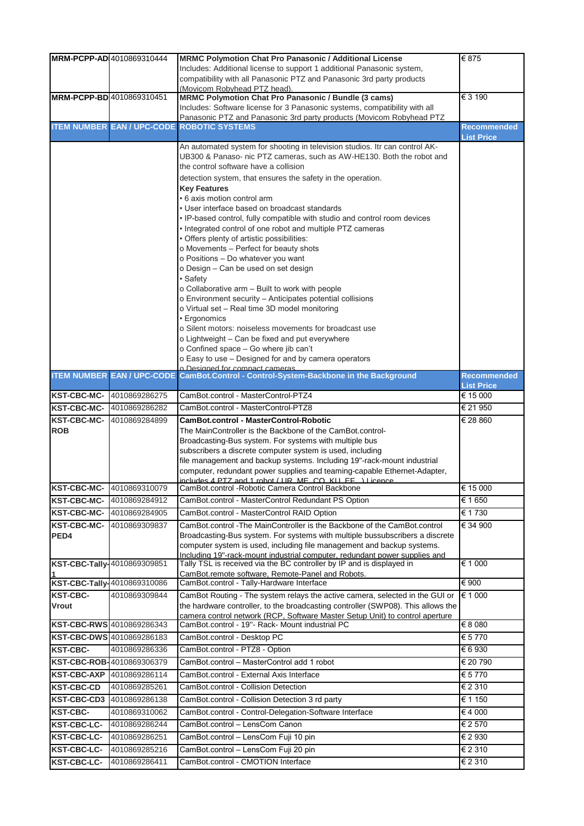|                             | MRM-PCPP-AD 4010869310444         | <b>MRMC Polymotion Chat Pro Panasonic / Additional License</b>                                                                                                   | € 875              |
|-----------------------------|-----------------------------------|------------------------------------------------------------------------------------------------------------------------------------------------------------------|--------------------|
|                             |                                   | Includes: Additional license to support 1 additional Panasonic system,                                                                                           |                    |
|                             |                                   | compatibility with all Panasonic PTZ and Panasonic 3rd party products                                                                                            |                    |
| MRM-PCPP-BD 4010869310451   |                                   | (Movicom Robyhead PTZ head).<br>MRMC Polymotion Chat Pro Panasonic / Bundle (3 cams)                                                                             | € 3 190            |
|                             |                                   | Includes: Software license for 3 Panasonic systems, compatibility with all                                                                                       |                    |
|                             |                                   | Panasonic PTZ and Panasonic 3rd party products (Movicom Robyhead PTZ                                                                                             |                    |
|                             | <b>ITEM NUMBER EAN / UPC-CODE</b> | <b>ROBOTIC SYSTEMS</b>                                                                                                                                           | Recommended        |
|                             |                                   | An automated system for shooting in television studios. Itr can control AK-                                                                                      | <b>List Price</b>  |
|                             |                                   | UB300 & Panaso- nic PTZ cameras, such as AW-HE130. Both the robot and                                                                                            |                    |
|                             |                                   | the control software have a collision                                                                                                                            |                    |
|                             |                                   | detection system, that ensures the safety in the operation.                                                                                                      |                    |
|                             |                                   | <b>Key Features</b>                                                                                                                                              |                    |
|                             |                                   | ∙ 6 axis motion control arm                                                                                                                                      |                    |
|                             |                                   | User interface based on broadcast standards<br>• IP-based control, fully compatible with studio and control room devices                                         |                    |
|                             |                                   | Integrated control of one robot and multiple PTZ cameras                                                                                                         |                    |
|                             |                                   | • Offers plenty of artistic possibilities:                                                                                                                       |                    |
|                             |                                   | o Movements - Perfect for beauty shots                                                                                                                           |                    |
|                             |                                   | o Positions - Do whatever you want                                                                                                                               |                    |
|                             |                                   | o Design - Can be used on set design<br>Safety •                                                                                                                 |                    |
|                             |                                   | o Collaborative arm - Built to work with people                                                                                                                  |                    |
|                             |                                   | o Environment security - Anticipates potential collisions                                                                                                        |                    |
|                             |                                   | o Virtual set - Real time 3D model monitoring                                                                                                                    |                    |
|                             |                                   | Ergonomics<br>o Silent motors: noiseless movements for broadcast use                                                                                             |                    |
|                             |                                   | o Lightweight - Can be fixed and put everywhere                                                                                                                  |                    |
|                             |                                   | o Confined space - Go where jib can't                                                                                                                            |                    |
|                             |                                   | o Easy to use – Designed for and by camera operators                                                                                                             |                    |
|                             | <b>ITEM NUMBER EAN / UPC-CODE</b> | <u>n Designed for compact cameras</u><br>CamBot.Control - Control-System-Backbone in the Background                                                              | <b>Recommended</b> |
|                             |                                   |                                                                                                                                                                  | <b>List Price</b>  |
| <b>KST-CBC-MC-</b>          | 4010869286275                     | CamBot.control - MasterControl-PTZ4                                                                                                                              | € 15 000           |
| <b>KST-CBC-MC-</b>          | 4010869286282                     | CamBot.control - MasterControl-PTZ8                                                                                                                              | € 21 950           |
| <b>KST-CBC-MC-</b>          | 4010869284899                     | CamBot.control - MasterControl-Robotic                                                                                                                           | € 28 860           |
| <b>ROB</b>                  |                                   | The MainController is the Backbone of the CamBot.control-<br>Broadcasting-Bus system. For systems with multiple bus                                              |                    |
|                             |                                   | subscribers a discrete computer system is used, including                                                                                                        |                    |
|                             |                                   | file management and backup systems. Including 19"-rack-mount industrial                                                                                          |                    |
|                             |                                   | computer, redundant power supplies and teaming-capable Ethernet-Adapter,                                                                                         |                    |
| KST-CBC-MC- 4010869310079   |                                   | includes 4 PT7 and 1 robot (LIR ME CO KLL FF ) Licence<br>CamBot.control -Robotic Camera Control Backbone                                                        | € 15 000           |
| <b>KST-CBC-MC-</b>          | 4010869284912                     | CamBot.control - MasterControl Redundant PS Option                                                                                                               | € 1 650            |
| <b>KST-CBC-MC-</b>          | 4010869284905                     | CamBot.control - MasterControl RAID Option                                                                                                                       | € 1730             |
| <b>KST-CBC-MC-</b>          | 4010869309837                     | CamBot.control - The MainController is the Backbone of the CamBot.control                                                                                        | € 34 900           |
| PED4                        |                                   | Broadcasting-Bus system. For systems with multiple bussubscribers a discrete                                                                                     |                    |
|                             |                                   | computer system is used, including file management and backup systems.                                                                                           |                    |
| KST-CBC-Tally-4010869309851 |                                   | Including 19"-rack-mount industrial computer, redundant power supplies and<br>Tally TSL is received via the BC controller by IP and is displayed in              | € 1 000            |
|                             |                                   | CamBot.remote software, Remote-Panel and Robots.                                                                                                                 |                    |
|                             | KST-CBC-Tally-4010869310086       | CamBot.control - Tally-Hardware Interface                                                                                                                        | € 900              |
| <b>KST-CBC-</b>             | 4010869309844                     | CamBot Routing - The system relays the active camera, selected in the GUI or                                                                                     | € 1 000            |
| <b>Vrout</b>                |                                   | the hardware controller, to the broadcasting controller (SWP08). This allows the<br>camera control network (RCP, Software Master Setup Unit) to control aperture |                    |
|                             | KST-CBC-RWS 4010869286343         | CamBot.control - 19"- Rack- Mount industrial PC                                                                                                                  | € 8 080            |
|                             | KST-CBC-DWS 4010869286183         | CamBot.control - Desktop PC                                                                                                                                      | € 5770             |
| <b>KST-CBC-</b>             | 4010869286336                     | CamBot.control - PTZ8 - Option                                                                                                                                   | € 6 930            |
|                             | KST-CBC-ROB-4010869306379         | CamBot.control - MasterControl add 1 robot                                                                                                                       | € 20 790           |
| <b>KST-CBC-AXP</b>          | 4010869286114                     | CamBot.control - External Axis Interface                                                                                                                         | € 5770             |
| <b>KST-CBC-CD</b>           | 4010869285261                     | CamBot.control - Collision Detection                                                                                                                             | € 2 310            |
| KST-CBC-CD3                 | 4010869286138                     | CamBot.control - Collision Detection 3 rd party                                                                                                                  | € 1 150            |
| <b>KST-CBC-</b>             | 4010869310062                     | CamBot.control - Control-Delegation-Software Interface                                                                                                           | €4 000             |
| <b>KST-CBC-LC-</b>          | 4010869286244                     | CamBot.control - LensCom Canon                                                                                                                                   | € 2 570            |
| KST-CBC-LC-                 | 4010869286251                     | CamBot.control - LensCom Fuji 10 pin                                                                                                                             | € 2 930            |
| <b>KST-CBC-LC-</b>          | 4010869285216                     | CamBot.control - LensCom Fuji 20 pin                                                                                                                             | € 2 310            |
| <b>KST-CBC-LC-</b>          | 4010869286411                     | CamBot.control - CMOTION Interface                                                                                                                               | € 2 310            |
|                             |                                   |                                                                                                                                                                  |                    |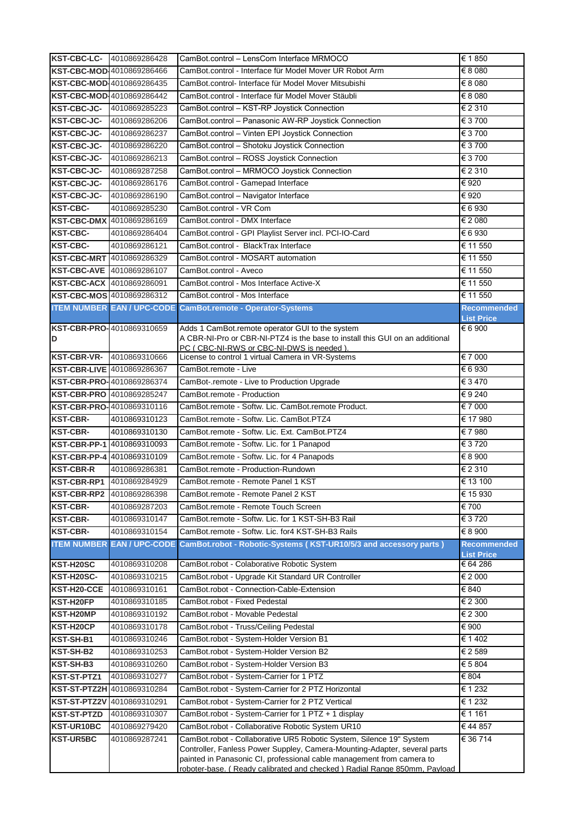|                                           | KST-CBC-LC- 4010869286428                   | CamBot.control - LensCom Interface MRMOCO                                                                                                          | € 1 850                                 |
|-------------------------------------------|---------------------------------------------|----------------------------------------------------------------------------------------------------------------------------------------------------|-----------------------------------------|
|                                           | KST-CBC-MOD-4010869286466                   | CamBot.control - Interface für Model Mover UR Robot Arm                                                                                            | € 8 080                                 |
|                                           | KST-CBC-MOD-4010869286435                   | CamBot.control- Interface für Model Mover Mitsubishi                                                                                               | € 8 080                                 |
|                                           | KST-CBC-MOD-4010869286442                   | CamBot.control - Interface für Model Mover Stäubli                                                                                                 | € 8 080                                 |
| <b>KST-CBC-JC-</b>                        | 4010869285223                               | CamBot.control - KST-RP Joystick Connection                                                                                                        | € 2 310                                 |
| <b>KST-CBC-JC-</b>                        | 4010869286206                               | CamBot.control - Panasonic AW-RP Joystick Connection                                                                                               | € 3 700                                 |
| <b>KST-CBC-JC-</b>                        | 4010869286237                               | CamBot.control - Vinten EPI Joystick Connection                                                                                                    | € 3 700                                 |
| <b>KST-CBC-JC-</b>                        | 4010869286220                               | CamBot.control - Shotoku Joystick Connection                                                                                                       | € 3 700                                 |
| <b>KST-CBC-JC-</b>                        | 4010869286213                               | CamBot.control - ROSS Joystick Connection                                                                                                          | € 3 700                                 |
| <b>KST-CBC-JC-</b>                        | 4010869287258                               | CamBot.control - MRMOCO Joystick Connection                                                                                                        | € 2 310                                 |
| <b>KST-CBC-JC-</b>                        | 4010869286176                               | CamBot.control - Gamepad Interface                                                                                                                 | € 920                                   |
| <b>KST-CBC-JC-</b>                        | 4010869286190                               | CamBot.control - Navigator Interface                                                                                                               | € 920                                   |
| <b>KST-CBC-</b>                           | 4010869285230                               | CamBot.control - VR Com                                                                                                                            | € 6 930                                 |
|                                           | KST-CBC-DMX 4010869286169                   | CamBot.control - DMX Interface                                                                                                                     | € 2 080                                 |
| <b>KST-CBC-</b>                           | 4010869286404                               | CamBot.control - GPI Playlist Server incl. PCI-IO-Card                                                                                             | € 6 930                                 |
| <b>KST-CBC-</b>                           | 4010869286121                               | CamBot.control - BlackTrax Interface                                                                                                               | € 11 550                                |
|                                           | KST-CBC-MRT 4010869286329                   | CamBot.control - MOSART automation                                                                                                                 | € 11 550                                |
|                                           | KST-CBC-AVE 4010869286107                   | CamBot.control - Aveco                                                                                                                             | € 11 550                                |
|                                           | KST-CBC-ACX 4010869286091                   | CamBot.control - Mos Interface Active-X                                                                                                            | € 11 550                                |
|                                           | KST-CBC-MOS 4010869286312                   | CamBot.control - Mos Interface                                                                                                                     | € 11 550                                |
|                                           | <b>ITEM NUMBER EAN / UPC-CODE</b>           | <b>CamBot.remote - Operator-Systems</b>                                                                                                            | <b>Recommended</b><br><b>List Price</b> |
|                                           | KST-CBR-PRO-4010869310659                   | Adds 1 CamBot.remote operator GUI to the system                                                                                                    | € 6 900                                 |
| D                                         |                                             | A CBR-NI-Pro or CBR-NI-PTZ4 is the base to install this GUI on an additional                                                                       |                                         |
| <b>KST-CBR-VR-</b>                        | 4010869310666                               | PC (CBC-NI-RWS or CBC-NI-DWS is needed)<br>License to control 1 virtual Camera in VR-Systems                                                       | € 7 000                                 |
|                                           | KST-CBR-LIVE 4010869286367                  | CamBot.remote - Live                                                                                                                               | € 6 930                                 |
|                                           | KST-CBR-PRO-4010869286374                   | CamBot-.remote - Live to Production Upgrade                                                                                                        | € 3 470                                 |
|                                           | KST-CBR-PRO 4010869285247                   | CamBot.remote - Production                                                                                                                         | €9240                                   |
|                                           | KST-CBR-PRO-4010869310116                   | CamBot.remote - Softw. Lic. CamBot.remote Product.                                                                                                 | € 7 000                                 |
| <b>KST-CBR-</b>                           | 4010869310123                               | CamBot.remote - Softw. Lic. CamBot.PTZ4                                                                                                            | € 17 980                                |
| <b>KST-CBR-</b>                           | 4010869310130                               | CamBot.remote - Softw. Lic. Ext. CamBot.PTZ4                                                                                                       | € 7 980                                 |
|                                           | KST-CBR-PP-1 4010869310093                  | CamBot.remote - Softw. Lic. for 1 Panapod                                                                                                          | € 3720                                  |
|                                           | KST-CBR-PP-4 4010869310109                  | CamBot.remote - Softw. Lic. for 4 Panapods                                                                                                         | € 8 900                                 |
| <b>KST-CBR-R</b>                          | 4010869286381                               | CamBot.remote - Production-Rundown                                                                                                                 | $\overline{\epsilon}$ 2 310             |
| KST-CBR-RP1                               | 4010869284929                               | CamBot.remote - Remote Panel 1 KST                                                                                                                 | € 13 100                                |
| KST-CBR-RP2 4010869286398                 |                                             | CamBot.remote - Remote Panel 2 KST                                                                                                                 | € 15 930                                |
| <b>KST-CBR-</b>                           | 4010869287203                               | CamBot.remote - Remote Touch Screen                                                                                                                | € 700                                   |
| <b>KST-CBR-</b>                           | 4010869310147                               | CamBot.remote - Softw. Lic. for 1 KST-SH-B3 Rail                                                                                                   | € 3720                                  |
| <b>KST-CBR-</b>                           | 4010869310154                               | CamBot.remote - Softw. Lic. for4 KST-SH-B3 Rails                                                                                                   | € 8 900                                 |
| <b>ITEM NUMBER</b>                        | <b>EAN / UPC-CODE</b>                       | CamBot.robot - Robotic-Systems (KST-UR10/5/3 and accessory parts)                                                                                  | <b>Recommended</b><br><b>List Price</b> |
| KST-H20SC                                 | 4010869310208                               | CamBot.robot - Colaborative Robotic System                                                                                                         | € 64 286                                |
| KST-H20SC-                                | 4010869310215                               | CamBot.robot - Upgrade Kit Standard UR Controller                                                                                                  | € 2 000                                 |
| KST-H20-CCE                               | 4010869310161                               | CamBot.robot - Connection-Cable-Extension                                                                                                          | € 840                                   |
| KST-H20FP                                 | 4010869310185                               | CamBot.robot - Fixed Pedestal                                                                                                                      | € 2 300                                 |
| KST-H20MP                                 | 4010869310192                               | CamBot.robot - Movable Pedestal                                                                                                                    | € 2 300                                 |
| KST-H20CP                                 | 4010869310178                               | CamBot.robot - Truss/Ceiling Pedestal                                                                                                              | € 900                                   |
| KST-SH-B1                                 | 4010869310246                               | CamBot.robot - System-Holder Version B1                                                                                                            | € 1 402                                 |
| KST-SH-B2                                 | 4010869310253                               | CamBot.robot - System-Holder Version B2                                                                                                            | € 2 589                                 |
| KST-SH-B3                                 | 4010869310260                               | CamBot.robot - System-Holder Version B3                                                                                                            | € 5 804                                 |
| KST-ST-PTZ1                               | 4010869310277                               | CamBot.robot - System-Carrier for 1 PTZ                                                                                                            | € 804                                   |
|                                           | KST-ST-PTZ2H 4010869310284<br>4010869310291 | CamBot.robot - System-Carrier for 2 PTZ Horizontal                                                                                                 | € 1 232<br>€ 1 232                      |
| <b>KST-ST-PTZ2V</b><br><b>KST-ST-PTZD</b> | 4010869310307                               | CamBot.robot - System-Carrier for 2 PTZ Vertical<br>CamBot.robot - System-Carrier for 1 PTZ + 1 display                                            | € 1 161                                 |
| KST-UR10BC                                | 4010869279420                               | CamBot.robot - Collaborative Robotic System UR10                                                                                                   | €44 857                                 |
| <b>KST-UR5BC</b>                          | 4010869287241                               | CamBot.robot - Collaborative UR5 Robotic System, Silence 19" System                                                                                | € 36 714                                |
|                                           |                                             | Controller, Fanless Power Suppley, Camera-Mounting-Adapter, several parts<br>painted in Panasonic CI, professional cable management from camera to |                                         |
|                                           |                                             | roboter-base. (Ready calibrated and checked) Radial Range 850mm. Pavload                                                                           |                                         |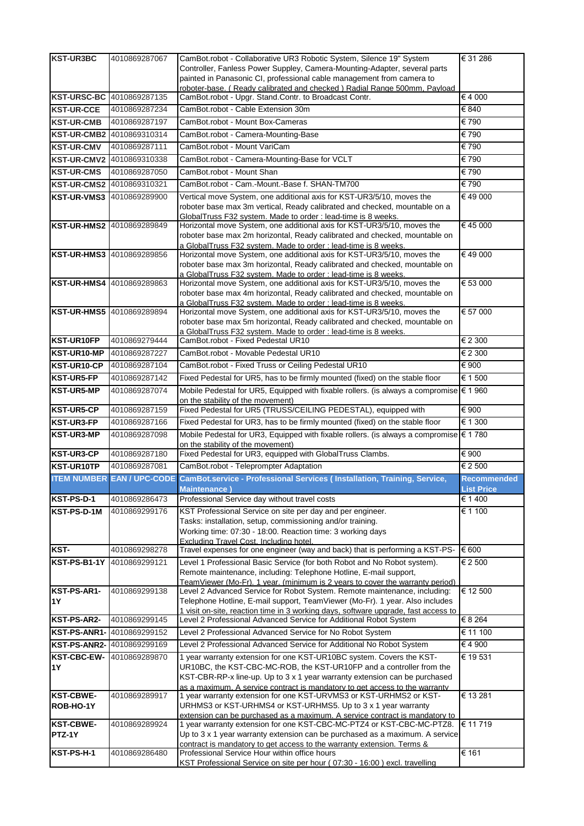| <b>KST-UR3BC</b>   | 4010869287067             | CamBot.robot - Collaborative UR3 Robotic System, Silence 19" System                                                                                                | € 31 286    |
|--------------------|---------------------------|--------------------------------------------------------------------------------------------------------------------------------------------------------------------|-------------|
|                    |                           | Controller, Fanless Power Suppley, Camera-Mounting-Adapter, several parts                                                                                          |             |
|                    |                           | painted in Panasonic CI, professional cable management from camera to                                                                                              |             |
|                    |                           | roboter-base. (Ready calibrated and checked) Radial Range 500mm. Payload                                                                                           |             |
|                    | KST-URSC-BC 4010869287135 | CamBot.robot - Upgr. Stand.Contr. to Broadcast Contr.                                                                                                              | €4 000      |
| <b>KST-UR-CCE</b>  | 4010869287234             | CamBot.robot - Cable Extension 30m                                                                                                                                 | € 840       |
| <b>KST-UR-CMB</b>  | 4010869287197             | CamBot.robot - Mount Box-Cameras                                                                                                                                   | € 790       |
|                    | KST-UR-CMB2 4010869310314 | CamBot.robot - Camera-Mounting-Base                                                                                                                                | € 790       |
| <b>KST-UR-CMV</b>  | 4010869287111             | CamBot.robot - Mount VariCam                                                                                                                                       | € 790       |
|                    | KST-UR-CMV2 4010869310338 | CamBot.robot - Camera-Mounting-Base for VCLT                                                                                                                       | € 790       |
| <b>KST-UR-CMS</b>  | 4010869287050             | CamBot.robot - Mount Shan                                                                                                                                          | €790        |
|                    | KST-UR-CMS2 4010869310321 | CamBot.robot - Cam.-Mount.-Base f. SHAN-TM700                                                                                                                      | € 790       |
|                    | KST-UR-VMS3 4010869289900 | Vertical move System, one additional axis for KST-UR3/5/10, moves the                                                                                              | €49 000     |
|                    |                           | roboter base max 3m vertical, Ready calibrated and checked, mountable on a                                                                                         |             |
|                    |                           | GlobalTruss F32 system. Made to order : lead-time is 8 weeks.                                                                                                      |             |
|                    | KST-UR-HMS2 4010869289849 | Horizontal move System, one additional axis for KST-UR3/5/10, moves the                                                                                            | €45 000     |
|                    |                           | roboter base max 2m horizontal, Ready calibrated and checked, mountable on                                                                                         |             |
|                    | KST-UR-HMS3 4010869289856 | a GlobalTruss F32 system. Made to order : lead-time is 8 weeks.<br>Horizontal move System, one additional axis for KST-UR3/5/10, moves the                         | €49 000     |
|                    |                           | roboter base max 3m horizontal, Ready calibrated and checked, mountable on                                                                                         |             |
|                    |                           | a GlobalTruss F32 system. Made to order: lead-time is 8 weeks.                                                                                                     |             |
|                    | KST-UR-HMS4 4010869289863 | Horizontal move System, one additional axis for KST-UR3/5/10, moves the                                                                                            | € 53 000    |
|                    |                           | roboter base max 4m horizontal, Ready calibrated and checked, mountable on<br>a GlobalTruss F32 system. Made to order: lead-time is 8 weeks.                       |             |
|                    | KST-UR-HMS5 4010869289894 | Horizontal move System, one additional axis for KST-UR3/5/10, moves the                                                                                            | € 57 000    |
|                    |                           | roboter base max 5m horizontal, Ready calibrated and checked, mountable on                                                                                         |             |
|                    |                           | a GlobalTruss F32 system. Made to order : lead-time is 8 weeks.                                                                                                    |             |
| KST-UR10FP         | 4010869279444             | CamBot.robot - Fixed Pedestal UR10                                                                                                                                 | € 2 300     |
| KST-UR10-MP        | 4010869287227             | CamBot.robot - Movable Pedestal UR10                                                                                                                               | € 2 300     |
| KST-UR10-CP        | 4010869287104             | CamBot.robot - Fixed Truss or Ceiling Pedestal UR10                                                                                                                | € 900       |
| <b>KST-UR5-FP</b>  | 4010869287142             | Fixed Pedestal for UR5, has to be firmly mounted (fixed) on the stable floor                                                                                       | € 1 500     |
| <b>KST-UR5-MP</b>  | 4010869287074             | Mobile Pedestal for UR5, Equipped with fixable rollers. (is always a compromise € 1960                                                                             |             |
|                    |                           | on the stability of the movement)                                                                                                                                  |             |
| <b>KST-UR5-CP</b>  | 4010869287159             | Fixed Pedestal for UR5 (TRUSS/CEILING PEDESTAL), equipped with                                                                                                     | € 900       |
| <b>KST-UR3-FP</b>  | 4010869287166             | Fixed Pedestal for UR3, has to be firmly mounted (fixed) on the stable floor                                                                                       | € 1 300     |
| <b>KST-UR3-MP</b>  | 4010869287098             | Mobile Pedestal for UR3, Equipped with fixable rollers. (is always a compromise € 1 780                                                                            |             |
| <b>KST-UR3-CP</b>  | 4010869287180             | on the stability of the movement)<br>Fixed Pedestal for UR3, equipped with GlobalTruss Clambs.                                                                     | € 900       |
| <b>KST-UR10TP</b>  | 4010869287081             | CamBot.robot - Teleprompter Adaptation                                                                                                                             | € 2 500     |
|                    |                           | ITEM NUMBER EAN / UPC-CODE CamBot.service - Professional Services (Installation, Training, Service,                                                                | Recommended |
|                    |                           | Maintenance)                                                                                                                                                       | List Price  |
| KST-PS-D-1         | 4010869286473             | Professional Service day without travel costs                                                                                                                      | € 1 400     |
| KST-PS-D-1M        | 4010869299176             | KST Professional Service on site per day and per engineer.                                                                                                         | € 1 100     |
|                    |                           | Tasks: installation, setup, commissioning and/or training.                                                                                                         |             |
|                    |                           | Working time: 07:30 - 18:00. Reaction time: 3 working days                                                                                                         |             |
| KST-               | 4010869298278             | Excluding Travel Cost. Including hotel<br>Travel expenses for one engineer (way and back) that is performing a KST-PS-                                             | € 600       |
| $KST-PS-B1-1Y$     | 4010869299121             | Level 1 Professional Basic Service (for both Robot and No Robot system).                                                                                           | € 2 500     |
|                    |                           | Remote maintenance, including: Telephone Hotline, E-mail support,                                                                                                  |             |
|                    |                           | TeamViewer (Mo-Fr), 1 year, (minimum is 2 years to cover the warranty period)                                                                                      |             |
| KST-PS-AR1-        | 4010869299138             | Level 2 Advanced Service for Robot System. Remote maintenance, including:                                                                                          | € 12 500    |
| 1Y                 |                           | Telephone Hotline, E-mail support, TeamViewer (Mo-Fr). 1 year. Also includes<br>1 visit on-site, reaction time in 3 working days, software upgrade, fast access to |             |
| KST-PS-AR2-        | 4010869299145             | Level 2 Professional Advanced Service for Additional Robot System                                                                                                  | € 8 264     |
| KST-PS-ANR1-       | 4010869299152             | Level 2 Professional Advanced Service for No Robot System                                                                                                          | € 11 100    |
| KST-PS-ANR2-       | 4010869299169             | Level 2 Professional Advanced Service for Additional No Robot System                                                                                               | €4 900      |
| <b>KST-CBC-EW-</b> | 4010869289870             | 1 year warranty extension for one KST-UR10BC system. Covers the KST-                                                                                               | € 19 531    |
| 1Υ                 |                           | UR10BC, the KST-CBC-MC-ROB, the KST-UR10FP and a controller from the                                                                                               |             |
|                    |                           | KST-CBR-RP-x line-up. Up to 3 x 1 year warranty extension can be purchased                                                                                         |             |
|                    |                           | as a maximum. A service contract is mandatory to get access to the warranty                                                                                        |             |
| <b>KST-CBWE-</b>   | 4010869289917             | 1 year warranty extension for one KST-URVMS3 or KST-URHMS2 or KST-<br>URHMS3 or KST-URHMS4 or KST-URHMS5. Up to 3 x 1 year warranty                                | € 13 281    |
| ROB-HO-1Y          |                           | extension can be purchased as a maximum. A service contract is mandatory to                                                                                        |             |
| <b>KST-CBWE-</b>   | 4010869289924             | 1 year warranty extension for one KST-CBC-MC-PTZ4 or KST-CBC-MC-PTZ8.                                                                                              | € 11 719    |
| PTZ-1Y             |                           | Up to 3 x 1 year warranty extension can be purchased as a maximum. A service                                                                                       |             |
|                    |                           | contract is mandatory to get access to the warranty extension. Terms &<br>Professional Service Hour within office hours                                            | € 161       |
| KST-PS-H-1         | 4010869286480             | KST Professional Service on site per hour (07:30 - 16:00) excl. travelling                                                                                         |             |
|                    |                           |                                                                                                                                                                    |             |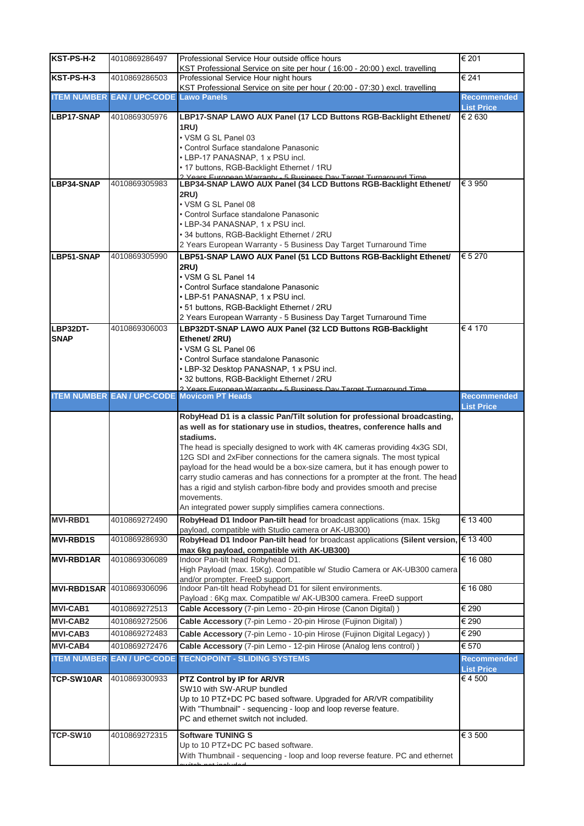| KST-PS-H-2         | 4010869286497                                 | Professional Service Hour outside office hours                                                                          | € 201                     |
|--------------------|-----------------------------------------------|-------------------------------------------------------------------------------------------------------------------------|---------------------------|
|                    |                                               | KST Professional Service on site per hour (16:00 - 20:00) excl. travelling                                              |                           |
| KST-PS-H-3         | 4010869286503                                 | Professional Service Hour night hours                                                                                   | € 241                     |
|                    |                                               | KST Professional Service on site per hour (20:00 - 07:30) excl. travelling                                              |                           |
|                    | <b>ITEM NUMBER EAN / UPC-CODE Lawo Panels</b> |                                                                                                                         | <b>Recommended</b>        |
|                    |                                               |                                                                                                                         | <b>List Price</b>         |
| LBP17-SNAP         | 4010869305976                                 | LBP17-SNAP LAWO AUX Panel (17 LCD Buttons RGB-Backlight Ethenet/                                                        | € 2 630                   |
|                    |                                               | <b>1RU)</b>                                                                                                             |                           |
|                    |                                               | • VSM G SL Panel 03                                                                                                     |                           |
|                    |                                               | • Control Surface standalone Panasonic                                                                                  |                           |
|                    |                                               | • LBP-17 PANASNAP, 1 x PSU incl.                                                                                        |                           |
|                    |                                               | • 17 buttons, RGB-Backlight Ethernet / 1RU                                                                              |                           |
|                    |                                               | 2 Vaare Europaan Warranty - 5 Rusinges Day Target Turnaround Time                                                       |                           |
| LBP34-SNAP         | 4010869305983                                 | LBP34-SNAP LAWO AUX Panel (34 LCD Buttons RGB-Backlight Ethenet/                                                        | € 3 950                   |
|                    |                                               | <b>2RU)</b>                                                                                                             |                           |
|                    |                                               | • VSM G SL Panel 08                                                                                                     |                           |
|                    |                                               | • Control Surface standalone Panasonic                                                                                  |                           |
|                    |                                               | • LBP-34 PANASNAP, 1 x PSU incl.                                                                                        |                           |
|                    |                                               | • 34 buttons, RGB-Backlight Ethernet / 2RU                                                                              |                           |
|                    |                                               | 2 Years European Warranty - 5 Business Day Target Turnaround Time                                                       |                           |
| LBP51-SNAP         | 4010869305990                                 | LBP51-SNAP LAWO AUX Panel (51 LCD Buttons RGB-Backlight Ethenet/                                                        | € 5 270                   |
|                    |                                               | <b>2RU)</b>                                                                                                             |                           |
|                    |                                               | • VSM G SL Panel 14                                                                                                     |                           |
|                    |                                               |                                                                                                                         |                           |
|                    |                                               | • Control Surface standalone Panasonic                                                                                  |                           |
|                    |                                               | • LBP-51 PANASNAP, 1 x PSU incl.                                                                                        |                           |
|                    |                                               | • 51 buttons, RGB-Backlight Ethernet / 2RU                                                                              |                           |
|                    |                                               | 2 Years European Warranty - 5 Business Day Target Turnaround Time                                                       |                           |
| LBP32DT-           | 4010869306003                                 | LBP32DT-SNAP LAWO AUX Panel (32 LCD Buttons RGB-Backlight                                                               | €4 170                    |
| <b>SNAP</b>        |                                               | Ethenet/ 2RU)                                                                                                           |                           |
|                    |                                               | • VSM G SL Panel 06                                                                                                     |                           |
|                    |                                               | • Control Surface standalone Panasonic                                                                                  |                           |
|                    |                                               | • LBP-32 Desktop PANASNAP, 1 x PSU incl.                                                                                |                           |
|                    |                                               | • 32 buttons, RGB-Backlight Ethernet / 2RU                                                                              |                           |
|                    |                                               | 2 Years European Warranty - 5 Rusiness Day Target Turnaround Time<br><b>ITEM NUMBER EAN / UPC-CODE Movicom PT Heads</b> | <b>Recommended</b>        |
|                    |                                               |                                                                                                                         | <b>List Price</b>         |
|                    |                                               |                                                                                                                         |                           |
|                    |                                               |                                                                                                                         |                           |
|                    |                                               | RobyHead D1 is a classic Pan/Tilt solution for professional broadcasting,                                               |                           |
|                    |                                               | as well as for stationary use in studios, theatres, conference halls and                                                |                           |
|                    |                                               | stadiums.                                                                                                               |                           |
|                    |                                               | The head is specially designed to work with 4K cameras providing 4x3G SDI,                                              |                           |
|                    |                                               | 12G SDI and 2xFiber connections for the camera signals. The most typical                                                |                           |
|                    |                                               | payload for the head would be a box-size camera, but it has enough power to                                             |                           |
|                    |                                               | carry studio cameras and has connections for a prompter at the front. The head                                          |                           |
|                    |                                               | has a rigid and stylish carbon-fibre body and provides smooth and precise                                               |                           |
|                    |                                               | movements.                                                                                                              |                           |
|                    |                                               | An integrated power supply simplifies camera connections.                                                               |                           |
| <b>MVI-RBD1</b>    | 4010869272490                                 | RobyHead D1 Indoor Pan-tilt head for broadcast applications (max. 15kg                                                  | € 13 400                  |
|                    |                                               | payload, compatible with Studio camera or AK-UB300)                                                                     |                           |
| <b>MVI-RBD1S</b>   | 4010869286930                                 | RobyHead D1 Indoor Pan-tilt head for broadcast applications (Silent version, € 13 400                                   |                           |
|                    |                                               | max 6kg payload, compatible with AK-UB300)                                                                              |                           |
| <b>MVI-RBD1AR</b>  | 4010869306089                                 | Indoor Pan-tilt head Robyhead D1.                                                                                       | € 16 080                  |
|                    |                                               | High Payload (max. 15Kg). Compatible w/ Studio Camera or AK-UB300 camera                                                |                           |
|                    | MVI-RBD1SAR 4010869306096                     | and/or prompter. FreeD support.<br>Indoor Pan-tilt head Robyhead D1 for silent environments.                            | € 16 080                  |
|                    |                                               |                                                                                                                         |                           |
| <b>MVI-CAB1</b>    | 4010869272513                                 | Payload: 6Kg max. Compatible w/ AK-UB300 camera. FreeD support                                                          | $\overline{\epsilon}$ 290 |
|                    |                                               | Cable Accessory (7-pin Lemo - 20-pin Hirose (Canon Digital))                                                            |                           |
| <b>MVI-CAB2</b>    | 4010869272506                                 | Cable Accessory (7-pin Lemo - 20-pin Hirose (Fujinon Digital))                                                          | € 290                     |
| <b>MVI-CAB3</b>    | 4010869272483                                 | Cable Accessory (7-pin Lemo - 10-pin Hirose (Fujinon Digital Legacy))                                                   | € 290                     |
| <b>MVI-CAB4</b>    | 4010869272476                                 | Cable Accessory (7-pin Lemo - 12-pin Hirose (Analog lens control))                                                      | € 570                     |
| <b>ITEM NUMBER</b> | <b>EAN / UPC-CODE</b>                         | <b>TECNOPOINT - SLIDING SYSTEMS</b>                                                                                     | <b>Recommended</b>        |
|                    |                                               |                                                                                                                         | <b>List Price</b>         |
| <b>TCP-SW10AR</b>  | 4010869300933                                 | PTZ Control by IP for AR/VR                                                                                             | €4 500                    |
|                    |                                               | SW10 with SW-ARUP bundled                                                                                               |                           |
|                    |                                               | Up to 10 PTZ+DC PC based software. Upgraded for AR/VR compatibility                                                     |                           |
|                    |                                               | With "Thumbnail" - sequencing - loop and loop reverse feature.                                                          |                           |
|                    |                                               | PC and ethernet switch not included.                                                                                    |                           |
|                    |                                               |                                                                                                                         |                           |
| TCP-SW10           | 4010869272315                                 | <b>Software TUNING S</b>                                                                                                | € 3 500                   |
|                    |                                               | Up to 10 PTZ+DC PC based software.                                                                                      |                           |
|                    |                                               | With Thumbnail - sequencing - loop and loop reverse feature. PC and ethernet                                            |                           |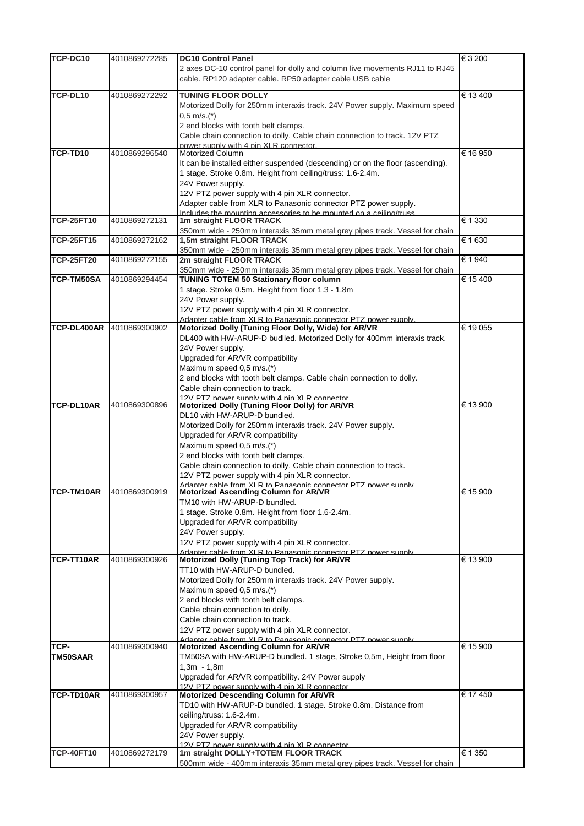| TCP-DC10          | 4010869272285 | <b>DC10 Control Panel</b>                                                                                                                    | € 3 200  |
|-------------------|---------------|----------------------------------------------------------------------------------------------------------------------------------------------|----------|
|                   |               | 2 axes DC-10 control panel for dolly and column live movements RJ11 to RJ45                                                                  |          |
|                   |               | cable. RP120 adapter cable. RP50 adapter cable USB cable                                                                                     |          |
|                   |               |                                                                                                                                              |          |
| TCP-DL10          | 4010869272292 | <b>TUNING FLOOR DOLLY</b>                                                                                                                    | € 13 400 |
|                   |               | Motorized Dolly for 250mm interaxis track. 24V Power supply. Maximum speed                                                                   |          |
|                   |               | $0.5$ m/s. $(*)$                                                                                                                             |          |
|                   |               | 2 end blocks with tooth belt clamps.                                                                                                         |          |
|                   |               | Cable chain connection to dolly. Cable chain connection to track. 12V PTZ                                                                    |          |
| TCP-TD10          |               | nower supply with 4 pin XLR connector.                                                                                                       |          |
|                   | 4010869296540 | <b>Motorized Column</b>                                                                                                                      | € 16 950 |
|                   |               | It can be installed either suspended (descending) or on the floor (ascending).<br>1 stage. Stroke 0.8m. Height from ceiling/truss: 1.6-2.4m. |          |
|                   |               | 24V Power supply.                                                                                                                            |          |
|                   |               | 12V PTZ power supply with 4 pin XLR connector.                                                                                               |          |
|                   |               | Adapter cable from XLR to Panasonic connector PTZ power supply.                                                                              |          |
|                   |               | includes the mounting accessories to be mounted on a ceiling/truss                                                                           |          |
| <b>TCP-25FT10</b> | 4010869272131 | 1m straight FLOOR TRACK                                                                                                                      | € 1 330  |
|                   |               | 350mm wide - 250mm interaxis 35mm metal grey pipes track. Vessel for chain                                                                   |          |
| <b>TCP-25FT15</b> | 4010869272162 | 1,5m straight FLOOR TRACK                                                                                                                    | € 1 630  |
|                   |               | 350mm wide - 250mm interaxis 35mm metal grey pipes track. Vessel for chain                                                                   |          |
| <b>TCP-25FT20</b> | 4010869272155 | 2m straight FLOOR TRACK                                                                                                                      | € 1940   |
|                   |               | 350mm wide - 250mm interaxis 35mm metal grey pipes track. Vessel for chain                                                                   |          |
| <b>TCP-TM50SA</b> | 4010869294454 | <b>TUNING TOTEM 50 Stationary floor column</b>                                                                                               | € 15 400 |
|                   |               | 1 stage. Stroke 0.5m. Height from floor 1.3 - 1.8m                                                                                           |          |
|                   |               | 24V Power supply.                                                                                                                            |          |
|                   |               | 12V PTZ power supply with 4 pin XLR connector.                                                                                               |          |
| TCP-DL400AR       | 4010869300902 | Adapter cable from XLR to Panasonic connector PTZ power supply.<br>Motorized Dolly (Tuning Floor Dolly, Wide) for AR/VR                      | € 19 055 |
|                   |               | DL400 with HW-ARUP-D budlled. Motorized Dolly for 400mm interaxis track.                                                                     |          |
|                   |               | 24V Power supply.                                                                                                                            |          |
|                   |               | Upgraded for AR/VR compatibility                                                                                                             |          |
|                   |               | Maximum speed 0,5 m/s.(*)                                                                                                                    |          |
|                   |               | 2 end blocks with tooth belt clamps. Cable chain connection to dolly.                                                                        |          |
|                   |               | Cable chain connection to track.                                                                                                             |          |
|                   |               | 12V PTZ nower supply with 4 pin XLR connector                                                                                                |          |
| TCP-DL10AR        | 4010869300896 | Motorized Dolly (Tuning Floor Dolly) for AR/VR                                                                                               | € 13 900 |
|                   |               | DL10 with HW-ARUP-D bundled.                                                                                                                 |          |
|                   |               | Motorized Dolly for 250mm interaxis track. 24V Power supply.                                                                                 |          |
|                   |               | Upgraded for AR/VR compatibility                                                                                                             |          |
|                   |               | Maximum speed 0,5 m/s.(*)                                                                                                                    |          |
|                   |               | 2 end blocks with tooth belt clamps.                                                                                                         |          |
|                   |               | Cable chain connection to dolly. Cable chain connection to track.<br>12V PTZ power supply with 4 pin XLR connector.                          |          |
|                   |               | Adanter cable from XLR to Panasonic connector PT7 nower supply                                                                               |          |
| TCP-TM10AR        | 4010869300919 | <b>Motorized Ascending Column for AR/VR</b>                                                                                                  | € 15 900 |
|                   |               | TM10 with HW-ARUP-D bundled.                                                                                                                 |          |
|                   |               | 1 stage. Stroke 0.8m. Height from floor 1.6-2.4m.                                                                                            |          |
|                   |               | Upgraded for AR/VR compatibility                                                                                                             |          |
|                   |               | 24V Power supply.                                                                                                                            |          |
|                   |               | 12V PTZ power supply with 4 pin XLR connector.                                                                                               |          |
|                   |               | Adanter cable from XLR to Panasonic connector PTZ nower supply                                                                               | € 13 900 |
| TCP-TT10AR        | 4010869300926 | Motorized Dolly (Tuning Top Track) for AR/VR<br>TT10 with HW-ARUP-D bundled.                                                                 |          |
|                   |               | Motorized Dolly for 250mm interaxis track. 24V Power supply.                                                                                 |          |
|                   |               | Maximum speed $0,5$ m/s. $(*)$                                                                                                               |          |
|                   |               | 2 end blocks with tooth belt clamps.                                                                                                         |          |
|                   |               | Cable chain connection to dolly.                                                                                                             |          |
|                   |               | Cable chain connection to track.                                                                                                             |          |
|                   |               | 12V PTZ power supply with 4 pin XLR connector.                                                                                               |          |
|                   |               | Adapter cable from XLR to Panasonic connector PT7 nower supply                                                                               |          |
| TCP-              | 4010869300940 | <b>Motorized Ascending Column for AR/VR</b>                                                                                                  | € 15 900 |
| <b>TM50SAAR</b>   |               | TM50SA with HW-ARUP-D bundled. 1 stage, Stroke 0,5m, Height from floor                                                                       |          |
|                   |               | $1,3m - 1,8m$                                                                                                                                |          |
|                   |               | Upgraded for AR/VR compatibility. 24V Power supply                                                                                           |          |
|                   |               | 12V PTZ power supply with 4 pin XLR connector                                                                                                |          |
| TCP-TD10AR        | 4010869300957 | <b>Motorized Descending Column for AR/VR</b>                                                                                                 | € 17 450 |
|                   |               | TD10 with HW-ARUP-D bundled. 1 stage. Stroke 0.8m. Distance from                                                                             |          |
|                   |               | ceiling/truss: 1.6-2.4m.                                                                                                                     |          |
|                   |               | Upgraded for AR/VR compatibility<br>24V Power supply.                                                                                        |          |
|                   |               | 12V PTZ nower supply with 4 pin XI R connector.                                                                                              |          |
| <b>TCP-40FT10</b> | 4010869272179 | 1m straight DOLLY+TOTEM FLOOR TRACK                                                                                                          | € 1 350  |
|                   |               | 500mm wide - 400mm interaxis 35mm metal grey pipes track. Vessel for chain                                                                   |          |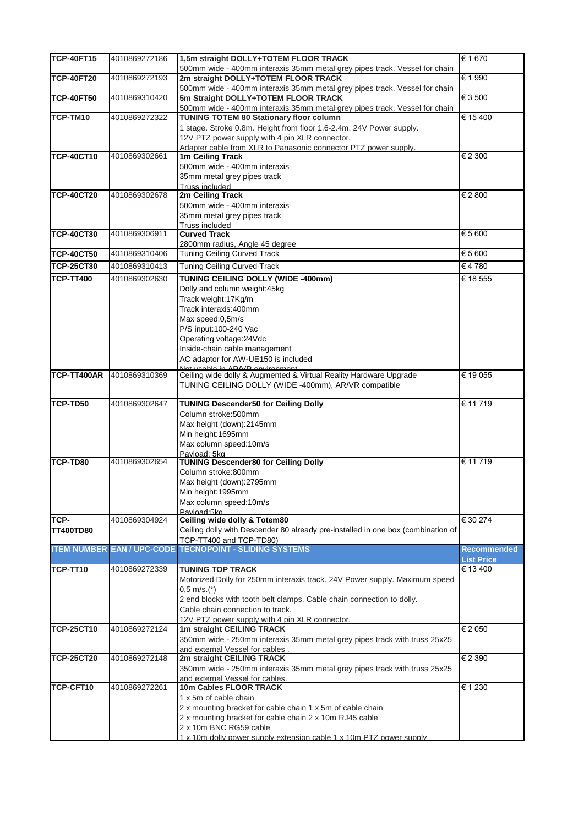| <b>TCP-40FT15</b> | 4010869272186 | 1,5m straight DOLLY+TOTEM FLOOR TRACK                                                                             | € 1 670                                 |
|-------------------|---------------|-------------------------------------------------------------------------------------------------------------------|-----------------------------------------|
| <b>TCP-40FT20</b> | 4010869272193 | 500mm wide - 400mm interaxis 35mm metal grey pipes track. Vessel for chain<br>2m straight DOLLY+TOTEM FLOOR TRACK | $\overline{\epsilon}$ 1 990             |
|                   |               | 500mm wide - 400mm interaxis 35mm metal grey pipes track. Vessel for chain                                        |                                         |
| <b>TCP-40FT50</b> | 4010869310420 | 5m Straight DOLLY+TOTEM FLOOR TRACK                                                                               | € 3 500                                 |
|                   |               | 500mm wide - 400mm interaxis 35mm metal grey pipes track. Vessel for chain                                        |                                         |
| TCP-TM10          | 4010869272322 | <b>TUNING TOTEM 80 Stationary floor column</b>                                                                    | € 15 400                                |
|                   |               | 1 stage. Stroke 0.8m. Height from floor 1.6-2.4m. 24V Power supply.                                               |                                         |
|                   |               | 12V PTZ power supply with 4 pin XLR connector.                                                                    |                                         |
| <b>TCP-40CT10</b> | 4010869302661 | Adapter cable from XLR to Panasonic connector PTZ power supply.<br>1m Ceiling Track                               | € 2 300                                 |
|                   |               | 500mm wide - 400mm interaxis                                                                                      |                                         |
|                   |               | 35mm metal grey pipes track                                                                                       |                                         |
|                   |               | Truss included                                                                                                    |                                         |
| <b>TCP-40CT20</b> | 4010869302678 | 2m Ceiling Track                                                                                                  | € 2 800                                 |
|                   |               | 500mm wide - 400mm interaxis                                                                                      |                                         |
|                   |               | 35mm metal grey pipes track<br>Truss included                                                                     |                                         |
| <b>TCP-40CT30</b> | 4010869306911 | <b>Curved Track</b>                                                                                               | € 5 600                                 |
|                   |               | 2800mm radius, Angle 45 degree                                                                                    |                                         |
| <b>TCP-40CT50</b> | 4010869310406 | <b>Tuning Ceiling Curved Track</b>                                                                                | € 5 600                                 |
| <b>TCP-25CT30</b> | 4010869310413 | <b>Tuning Ceiling Curved Track</b>                                                                                | €4780                                   |
| <b>TCP-TT400</b>  | 4010869302630 | TUNING CEILING DOLLY (WIDE -400mm)                                                                                | € 18 555                                |
|                   |               | Dolly and column weight:45kg                                                                                      |                                         |
|                   |               | Track weight:17Kg/m                                                                                               |                                         |
|                   |               | Track interaxis:400mm                                                                                             |                                         |
|                   |               | Max speed:0,5m/s<br>P/S input:100-240 Vac                                                                         |                                         |
|                   |               | Operating voltage: 24Vdc                                                                                          |                                         |
|                   |               | Inside-chain cable management                                                                                     |                                         |
|                   |               | AC adaptor for AW-UE150 is included                                                                               |                                         |
| TCP-TT400AR       | 4010869310369 | Net usable in ARA/P environment<br>Ceiling wide dolly & Augmented & Virtual Reality Hardware Upgrade              | € 19 055                                |
|                   |               | TUNING CEILING DOLLY (WIDE -400mm), AR/VR compatible                                                              |                                         |
|                   |               |                                                                                                                   |                                         |
| TCP-TD50          | 4010869302647 | <b>TUNING Descender50 for Ceiling Dolly</b>                                                                       | € 11 719                                |
|                   |               | Column stroke:500mm                                                                                               |                                         |
|                   |               | Max height (down):2145mm                                                                                          |                                         |
|                   |               | Min height: 1695mm<br>Max column speed: 10m/s                                                                     |                                         |
|                   |               | Pavload: 5kg                                                                                                      |                                         |
| TCP-TD80          | 4010869302654 | <b>TUNING Descender80 for Ceiling Dolly</b>                                                                       | € 11 719                                |
|                   |               | Column stroke:800mm                                                                                               |                                         |
|                   |               | Max height (down):2795mm                                                                                          |                                         |
|                   |               | Min height:1995mm<br>Max column speed: 10m/s                                                                      |                                         |
|                   |               | Pavload:5kg                                                                                                       |                                         |
| TCP-              | 4010869304924 | Ceiling wide dolly & Totem80                                                                                      | € 30 274                                |
| <b>TT400TD80</b>  |               | Ceiling dolly with Descender 80 already pre-installed in one box (combination of                                  |                                         |
|                   |               | TCP-TT400 and TCP-TD80)<br>ITEM NUMBER EAN / UPC-CODE TECNOPOINT - SLIDING SYSTEMS                                |                                         |
|                   |               |                                                                                                                   | <b>Recommended</b><br><b>List Price</b> |
| TCP-TT10          | 4010869272339 | <b>TUNING TOP TRACK</b>                                                                                           | € 13 400                                |
|                   |               | Motorized Dolly for 250mm interaxis track. 24V Power supply. Maximum speed                                        |                                         |
|                   |               | $0,5 \text{ m/s.}$ (*)                                                                                            |                                         |
|                   |               | 2 end blocks with tooth belt clamps. Cable chain connection to dolly.                                             |                                         |
|                   |               | Cable chain connection to track.                                                                                  |                                         |
| <b>TCP-25CT10</b> | 4010869272124 | 12V PTZ power supply with 4 pin XLR connector.<br>1m straight CEILING TRACK                                       | € 2 050                                 |
|                   |               | 350mm wide - 250mm interaxis 35mm metal grey pipes track with truss 25x25                                         |                                         |
|                   |               | and external Vessel for cables.                                                                                   |                                         |
| <b>TCP-25CT20</b> | 4010869272148 | 2m straight CEILING TRACK                                                                                         | € 2 390                                 |
|                   |               | 350mm wide - 250mm interaxis 35mm metal grey pipes track with truss 25x25                                         |                                         |
|                   |               | and external Vessel for cables.                                                                                   |                                         |
| TCP-CFT10         | 4010869272261 | 10m Cables FLOOR TRACK<br>1 x 5m of cable chain                                                                   | € 1 230                                 |
|                   |               | 2 x mounting bracket for cable chain 1 x 5m of cable chain                                                        |                                         |
|                   |               | 2 x mounting bracket for cable chain 2 x 10m RJ45 cable                                                           |                                         |
|                   |               | 2 x 10m BNC RG59 cable                                                                                            |                                         |
|                   |               | 1 x 10m dolly nower supply extension cable 1 x 10m PTZ power supply                                               |                                         |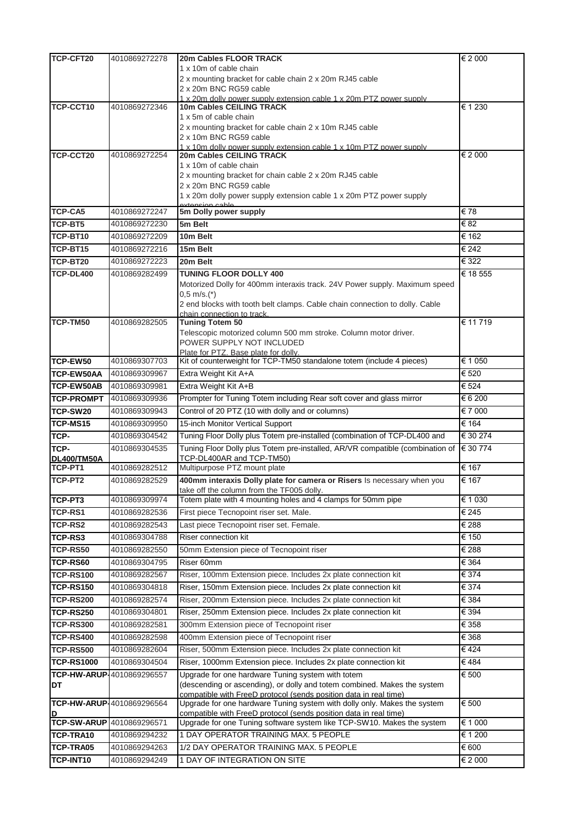| TCP-CFT20          |                           |                                                                                                                                               |          |
|--------------------|---------------------------|-----------------------------------------------------------------------------------------------------------------------------------------------|----------|
|                    | 4010869272278             | 20m Cables FLOOR TRACK<br>1 x 10m of cable chain                                                                                              | € 2 000  |
|                    |                           | 2 x mounting bracket for cable chain 2 x 20m RJ45 cable                                                                                       |          |
|                    |                           | 2 x 20m BNC RG59 cable                                                                                                                        |          |
|                    |                           | 1 x 20m dolly power supply extension cable 1 x 20m PTZ power supply                                                                           |          |
| TCP-CCT10          | 4010869272346             | 10m Cables CEILING TRACK                                                                                                                      | € 1 230  |
|                    |                           | 1 x 5m of cable chain                                                                                                                         |          |
|                    |                           | 2 x mounting bracket for cable chain 2 x 10m RJ45 cable<br>2 x 10m BNC RG59 cable                                                             |          |
|                    |                           | 1 x 10m dolly power supply extension cable 1 x 10m PTZ power supply                                                                           |          |
| TCP-CCT20          | 4010869272254             | 20m Cables CEILING TRACK                                                                                                                      | € 2 000  |
|                    |                           | 1 x 10m of cable chain                                                                                                                        |          |
|                    |                           | 2 x mounting bracket for chain cable 2 x 20m RJ45 cable                                                                                       |          |
|                    |                           | 2 x 20m BNC RG59 cable                                                                                                                        |          |
|                    |                           | 1 x 20m dolly power supply extension cable 1 x 20m PTZ power supply<br>wtonojon ophlo                                                         |          |
| TCP-CA5            | 4010869272247             | 5m Dolly power supply                                                                                                                         | €78      |
| TCP-BT5            | 4010869272230             | 5m Belt                                                                                                                                       | € 82     |
| TCP-BT10           | 4010869272209             | 10m Belt                                                                                                                                      | € 162    |
| TCP-BT15           | 4010869272216             | 15m Belt                                                                                                                                      | € 242    |
| TCP-BT20           | 4010869272223             | 20m Belt                                                                                                                                      | € 322    |
|                    |                           |                                                                                                                                               |          |
| TCP-DL400          | 4010869282499             | <b>TUNING FLOOR DOLLY 400</b>                                                                                                                 | € 18 555 |
|                    |                           | Motorized Dolly for 400mm interaxis track. 24V Power supply. Maximum speed<br>$0.5$ m/s. $(*)$                                                |          |
|                    |                           | 2 end blocks with tooth belt clamps. Cable chain connection to dolly. Cable                                                                   |          |
|                    |                           | chain connection to track.                                                                                                                    |          |
| TCP-TM50           | 4010869282505             | <b>Tuning Totem 50</b>                                                                                                                        | € 11 719 |
|                    |                           | Telescopic motorized column 500 mm stroke. Column motor driver.                                                                               |          |
|                    |                           | POWER SUPPLY NOT INCLUDED                                                                                                                     |          |
| TCP-EW50           | 4010869307703             | Plate for PTZ. Base plate for dolly.<br>Kit of counterweight for TCP-TM50 standalone totem (include 4 pieces)                                 | € 1 050  |
| TCP-EW50AA         | 4010869309967             | Extra Weight Kit A+A                                                                                                                          | € 520    |
| TCP-EW50AB         |                           | Extra Weight Kit A+B                                                                                                                          | € 524    |
|                    | 4010869309981             |                                                                                                                                               |          |
| <b>TCP-PROMPT</b>  | 4010869309936             | Prompter for Tuning Totem including Rear soft cover and glass mirror                                                                          | € 6 200  |
| TCP-SW20           | 4010869309943             | Control of 20 PTZ (10 with dolly and or columns)                                                                                              | € 7 000  |
| TCP-MS15           | 4010869309950             | 15-inch Monitor Vertical Support                                                                                                              | € 164    |
| TCP-               | 4010869304542             | Tuning Floor Dolly plus Totem pre-installed (combination of TCP-DL400 and                                                                     | € 30 274 |
| TCP-               | 4010869304535             | Tuning Floor Dolly plus Totem pre-installed, AR/VR compatible (combination of                                                                 | € 30 774 |
| <b>DL400/TM50A</b> |                           | TCP-DL400AR and TCP-TM50)                                                                                                                     |          |
| TCP-PT1            | 4010869282512             | Multipurpose PTZ mount plate                                                                                                                  | € 167    |
| TCP-PT2            | 4010869282529             | 400mm interaxis Dolly plate for camera or Risers Is necessary when you                                                                        | € 167    |
| TCP-PT3            | 4010869309974             | take off the column from the TF005 dolly.<br>Totem plate with 4 mounting holes and 4 clamps for 50mm pipe                                     | € 1 030  |
|                    |                           |                                                                                                                                               |          |
| TCP-RS1            | 4010869282536             | First piece Tecnopoint riser set. Male.                                                                                                       | € 245    |
| <b>TCP-RS2</b>     | 4010869282543             | Last piece Tecnopoint riser set. Female.                                                                                                      | € 288    |
| <b>TCP-RS3</b>     | 4010869304788             | Riser connection kit                                                                                                                          | € 150    |
| <b>TCP-RS50</b>    | 4010869282550             | 50mm Extension piece of Tecnopoint riser                                                                                                      | € 288    |
| <b>TCP-RS60</b>    | 4010869304795             | Riser 60mm                                                                                                                                    | € 364    |
| <b>TCP-RS100</b>   | 4010869282567             | Riser, 100mm Extension piece. Includes 2x plate connection kit                                                                                | € 374    |
| <b>TCP-RS150</b>   | 4010869304818             | Riser, 150mm Extension piece. Includes 2x plate connection kit                                                                                | € 374    |
| <b>TCP-RS200</b>   | 4010869282574             | Riser, 200mm Extension piece. Includes 2x plate connection kit                                                                                | € 384    |
| <b>TCP-RS250</b>   | 4010869304801             | Riser, 250mm Extension piece. Includes 2x plate connection kit                                                                                | € 394    |
| <b>TCP-RS300</b>   | 4010869282581             | 300mm Extension piece of Tecnopoint riser                                                                                                     | € 358    |
| <b>TCP-RS400</b>   | 4010869282598             | 400mm Extension piece of Tecnopoint riser                                                                                                     | € 368    |
|                    |                           |                                                                                                                                               |          |
| <b>TCP-RS500</b>   | 4010869282604             | Riser, 500mm Extension piece. Includes 2x plate connection kit                                                                                | € 424    |
| <b>TCP-RS1000</b>  | 4010869304504             | Riser, 1000mm Extension piece. Includes 2x plate connection kit                                                                               | €484     |
| DT                 | TCP-HW-ARUP-4010869296557 | Upgrade for one hardware Tuning system with totem<br>(descending or ascending), or dolly and totem combined. Makes the system                 | € 500    |
|                    | TCP-HW-ARUP-4010869296564 | compatible with FreeD protocol (sends position data in real time)<br>Upgrade for one hardware Tuning system with dolly only. Makes the system | € 500    |
|                    | TCP-SW-ARUP 4010869296571 | compatible with FreeD protocol (sends position data in real time)<br>Upgrade for one Tuning software system like TCP-SW10. Makes the system   | € 1 000  |
|                    |                           |                                                                                                                                               |          |
| TCP-TRA10          | 4010869294232             | 1 DAY OPERATOR TRAINING MAX. 5 PEOPLE                                                                                                         | € 1 200  |
| TCP-TRA05          | 4010869294263             | 1/2 DAY OPERATOR TRAINING MAX. 5 PEOPLE                                                                                                       | € 600    |
| TCP-INT10          | 4010869294249             | 1 DAY OF INTEGRATION ON SITE                                                                                                                  | € 2 000  |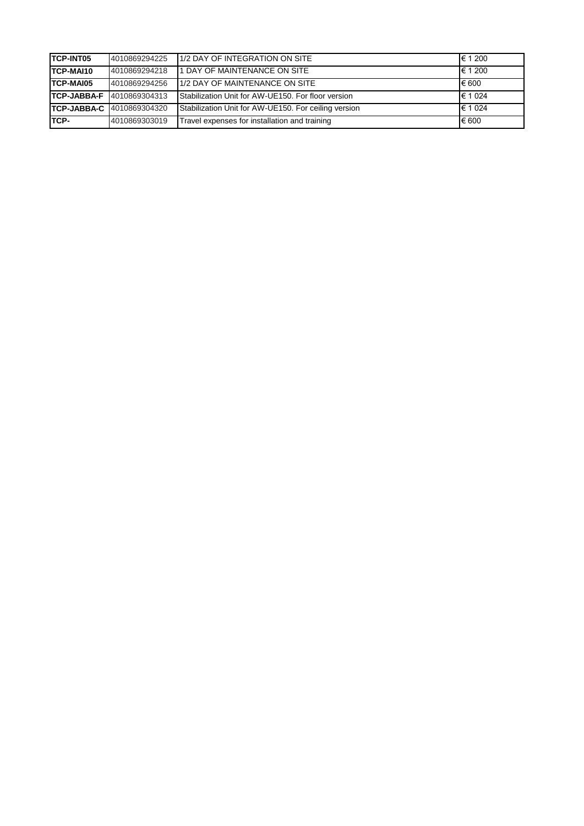| <b>ITCP-INT05</b>  | 4010869294225                    | 1/2 DAY OF INTEGRATION ON SITE                       | € 1 200 |
|--------------------|----------------------------------|------------------------------------------------------|---------|
| TCP-MAI10          | 4010869294218                    | 1 DAY OF MAINTENANCE ON SITE                         | € 1 200 |
| TCP-MAI05          | 4010869294256                    | 1/2 DAY OF MAINTENANCE ON SITE                       | € 600   |
| <b>TCP-JABBA-F</b> | 4010869304313                    | Stabilization Unit for AW-UE150. For floor version   | € 1 024 |
|                    | <b>TCP-JABBA-C 4010869304320</b> | Stabilization Unit for AW-UE150. For ceiling version | € 1 024 |
| TCP-               | 4010869303019                    | Travel expenses for installation and training        | € 600   |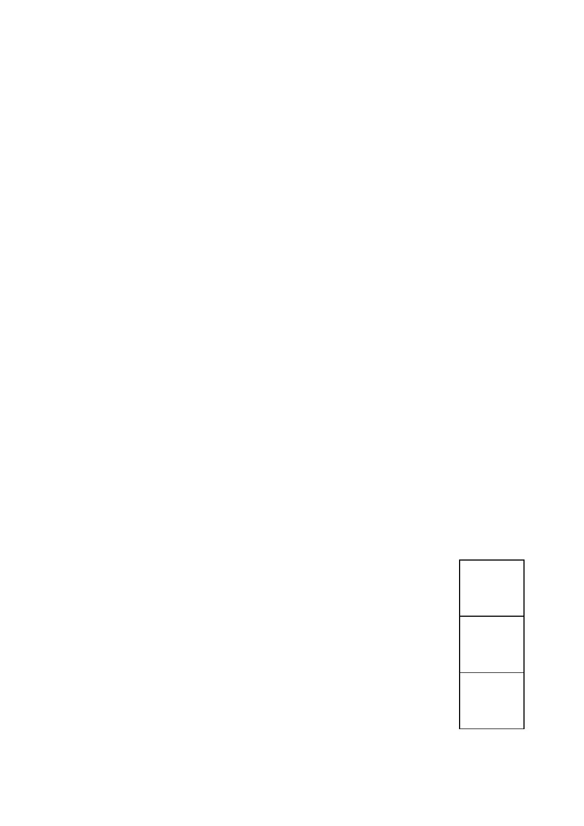